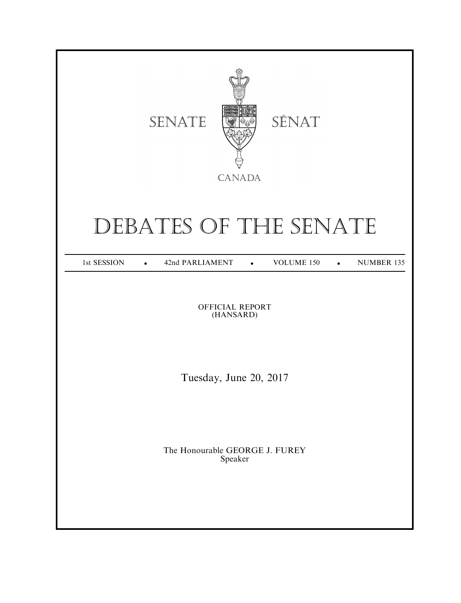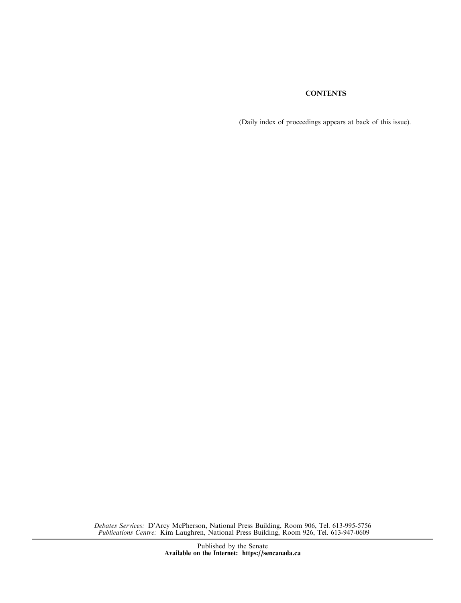# **CONTENTS**

(Daily index of proceedings appears at back of this issue).

Debates Services: D'Arcy McPherson, National Press Building, Room 906, Tel. 613-995-5756 Publications Centre: Kim Laughren, National Press Building, Room 926, Tel. 613-947-0609

> Published by the Senate Available on the Internet: https://sencanada.ca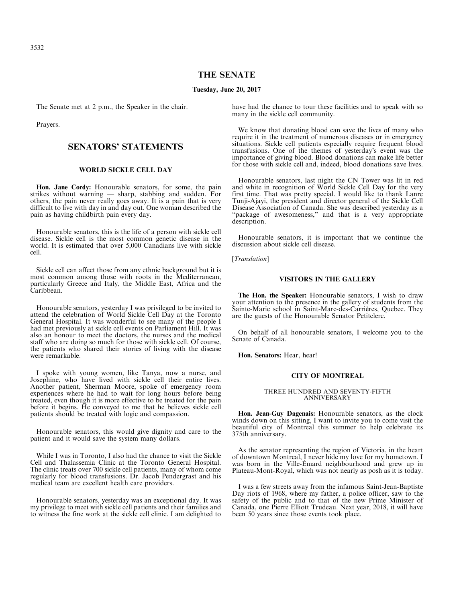# THE SENATE

#### Tuesday, June 20, 2017

The Senate met at 2 p.m., the Speaker in the chair.

Prayers.

# SENATORS' STATEMENTS

## WORLD SICKLE CELL DAY

Hon. Jane Cordy: Honourable senators, for some, the pain strikes without warning — sharp, stabbing and sudden. For others, the pain never really goes away. It is a pain that is very difficult to live with day in and day out. One woman described the pain as having childbirth pain every day.

Honourable senators, this is the life of a person with sickle cell disease. Sickle cell is the most common genetic disease in the world. It is estimated that over 5,000 Canadians live with sickle cell.

Sickle cell can affect those from any ethnic background but it is most common among those with roots in the Mediterranean, particularly Greece and Italy, the Middle East, Africa and the Caribbean.

Honourable senators, yesterday I was privileged to be invited to attend the celebration of World Sickle Cell Day at the Toronto General Hospital. It was wonderful to see many of the people I had met previously at sickle cell events on Parliament Hill. It was also an honour to meet the doctors, the nurses and the medical staff who are doing so much for those with sickle cell. Of course, the patients who shared their stories of living with the disease were remarkable.

I spoke with young women, like Tanya, now a nurse, and Josephine, who have lived with sickle cell their entire lives. Another patient, Sherman Moore, spoke of emergency room experiences where he had to wait for long hours before being treated, even though it is more effective to be treated for the pain before it begins. He conveyed to me that he believes sickle cell patients should be treated with logic and compassion.

Honourable senators, this would give dignity and care to the patient and it would save the system many dollars.

While I was in Toronto, I also had the chance to visit the Sickle Cell and Thalassemia Clinic at the Toronto General Hospital. The clinic treats over 700 sickle cell patients, many of whom come regularly for blood transfusions. Dr. Jacob Pendergrast and his medical team are excellent health care providers.

Honourable senators, yesterday was an exceptional day. It was my privilege to meet with sickle cell patients and their families and to witness the fine work at the sickle cell clinic. I am delighted to have had the chance to tour these facilities and to speak with so many in the sickle cell community.

We know that donating blood can save the lives of many who require it in the treatment of numerous diseases or in emergency situations. Sickle cell patients especially require frequent blood transfusions. One of the themes of yesterday's event was the importance of giving blood. Blood donations can make life better for those with sickle cell and, indeed, blood donations save lives.

Honourable senators, last night the CN Tower was lit in red and white in recognition of World Sickle Cell Day for the very first time. That was pretty special. I would like to thank Lanre Tunji-Ajayi, the president and director general of the Sickle Cell Disease Association of Canada. She was described yesterday as a "package of awesomeness," and that is a very appropriate description.

Honourable senators, it is important that we continue the discussion about sickle cell disease.

[*Translation*]

## VISITORS IN THE GALLERY

The Hon. the Speaker: Honourable senators, I wish to draw your attention to the presence in the gallery of students from the Sainte-Marie school in Saint-Marc-des-Carrières, Quebec. They are the guests of the Honourable Senator Petitclerc.

On behalf of all honourable senators, I welcome you to the Senate of Canada.

Hon. Senators: Hear, hear!

#### CITY OF MONTREAL

#### THREE HUNDRED AND SEVENTY-FIFTH ANNIVERSARY

Hon. Jean-Guy Dagenais: Honourable senators, as the clock winds down on this sitting, I want to invite you to come visit the beautiful city of Montreal this summer to help celebrate its 375th anniversary.

As the senator representing the region of Victoria, in the heart of downtown Montreal, I never hide my love for my hometown. I was born in the Ville-Émard neighbourhood and grew up in Plateau-Mont-Royal, which was not nearly as posh as it is today.

I was a few streets away from the infamous Saint-Jean-Baptiste Day riots of 1968, where my father, a police officer, saw to the safety of the public and to that of the new Prime Minister of Canada, one Pierre Elliott Trudeau. Next year, 2018, it will have been 50 years since those events took place.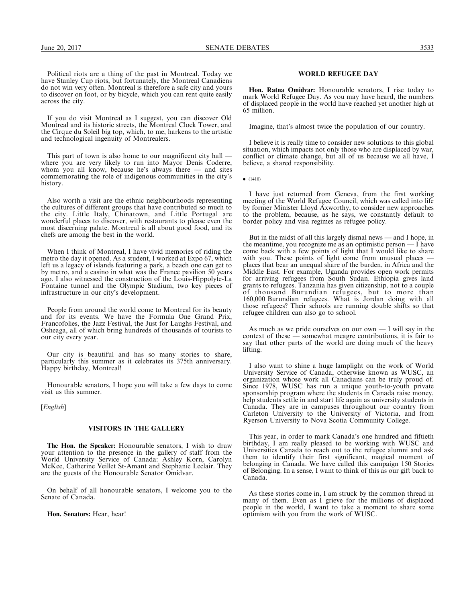Political riots are a thing of the past in Montreal. Today we have Stanley Cup riots, but fortunately, the Montreal Canadiens do not win very often. Montreal is therefore a safe city and yours to discover on foot, or by bicycle, which you can rent quite easily across the city.

If you do visit Montreal as I suggest, you can discover Old Montreal and its historic streets, the Montreal Clock Tower, and the Cirque du Soleil big top, which, to me, harkens to the artistic and technological ingenuity of Montrealers.

This part of town is also home to our magnificent city hall where you are very likely to run into Mayor Denis Coderre, whom you all know, because he's always there — and sites commemorating the role of indigenous communities in the city's history.

Also worth a visit are the ethnic neighbourhoods representing the cultures of different groups that have contributed so much to the city. Little Italy, Chinatown, and Little Portugal are wonderful places to discover, with restaurants to please even the most discerning palate. Montreal is all about good food, and its chefs are among the best in the world.

When I think of Montreal, I have vivid memories of riding the metro the day it opened. As a student, I worked at Expo 67, which left us a legacy of islands featuring a park, a beach one can get to by metro, and a casino in what was the France pavilion 50 years ago. I also witnessed the construction of the Louis-Hippolyte-La Fontaine tunnel and the Olympic Stadium, two key pieces of infrastructure in our city's development.

People from around the world come to Montreal for its beauty and for its events. We have the Formula One Grand Prix, Francofolies, the Jazz Festival, the Just for Laughs Festival, and Osheaga, all of which bring hundreds of thousands of tourists to our city every year.

Our city is beautiful and has so many stories to share, particularly this summer as it celebrates its 375th anniversary. Happy birthday, Montreal!

Honourable senators, I hope you will take a few days to come visit us this summer.

[*English*]

## VISITORS IN THE GALLERY

The Hon. the Speaker: Honourable senators, I wish to draw your attention to the presence in the gallery of staff from the World University Service of Canada: Ashley Korn, Carolyn McKee, Catherine Veillet St-Amant and Stephanie Leclair. They are the guests of the Honourable Senator Omidvar.

On behalf of all honourable senators, I welcome you to the Senate of Canada.

Hon. Senators: Hear, hear!

## WORLD REFUGEE DAY

Hon. Ratna Omidvar: Honourable senators, I rise today to mark World Refugee Day. As you may have heard, the numbers of displaced people in the world have reached yet another high at 65 million.

Imagine, that's almost twice the population of our country.

I believe it is really time to consider new solutions to this global situation, which impacts not only those who are displaced by war, conflict or climate change, but all of us because we all have, I believe, a shared responsibility.

 $\bullet$  (1410)

I have just returned from Geneva, from the first working meeting of the World Refugee Council, which was called into life by former Minister Lloyd Axworthy, to consider new approaches to the problem, because, as he says, we constantly default to border policy and visa regimes as refugee policy.

But in the midst of all this largely dismal news — and I hope, in the meantime, you recognize me as an optimistic person  $\overline{\phantom{a}}$  have come back with a few points of light that I would like to share with you. These points of light come from unusual places — places that bear an unequal share of the burden, in Africa and the Middle East. For example, Uganda provides open work permits for arriving refugees from South Sudan. Ethiopia gives land grants to refugees. Tanzania has given citizenship, not to a couple of thousand Burundian refugees, but to more than 160,000 Burundian refugees. What is Jordan doing with all those refugees? Their schools are running double shifts so that refugee children can also go to school.

As much as we pride ourselves on our own  $-$  I will say in the context of these — somewhat meagre contributions, it is fair to say that other parts of the world are doing much of the heavy lifting.

I also want to shine a huge lamplight on the work of World University Service of Canada, otherwise known as WUSC, an organization whose work all Canadians can be truly proud of. Since 1978, WUSC has run a unique youth-to-youth private sponsorship program where the students in Canada raise money, help students settle in and start life again as university students in Canada. They are in campuses throughout our country from Carleton University to the University of Victoria, and from Ryerson University to Nova Scotia Community College.

This year, in order to mark Canada's one hundred and fiftieth birthday, I am really pleased to be working with WUSC and Universities Canada to reach out to the refugee alumni and ask them to identify their first significant, magical moment of belonging in Canada. We have called this campaign 150 Stories of Belonging. In a sense, I want to think of this as our gift back to Canada.

As these stories come in, I am struck by the common thread in many of them. Even as I grieve for the millions of displaced people in the world, I want to take a moment to share some optimism with you from the work of WUSC.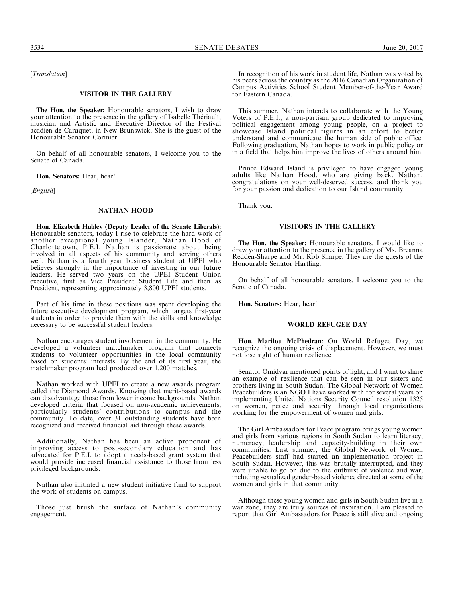[Translation]

#### VISITOR IN THE GALLERY

The Hon. the Speaker: Honourable senators, I wish to draw your attention to the presence in the gallery of Isabelle Thériault, musician and Artistic and Executive Director of the Festival acadien de Caraquet, in New Brunswick. She is the guest of the Honourable Senator Cormier.

On behalf of all honourable senators, I welcome you to the Senate of Canada.

Hon. Senators: Hear, hear!

[English]

#### NATHAN HOOD

Hon. Elizabeth Hubley (Deputy Leader of the Senate Liberals): Honourable senators, today I rise to celebrate the hard work of another exceptional young Islander, Nathan Hood of Charlottetown, P.E.I. Nathan is passionate about being involved in all aspects of his community and serving others well. Nathan is a fourth year business student at UPEI who believes strongly in the importance of investing in our future leaders. He served two years on the UPEI Student Union executive, first as Vice President Student Life and then as President, representing approximately 3,800 UPEI students.

Part of his time in these positions was spent developing the future executive development program, which targets first-year students in order to provide them with the skills and knowledge necessary to be successful student leaders.

Nathan encourages student involvement in the community. He developed a volunteer matchmaker program that connects students to volunteer opportunities in the local community based on students' interests. By the end of its first year, the matchmaker program had produced over 1,200 matches.

Nathan worked with UPEI to create a new awards program called the Diamond Awards. Knowing that merit-based awards can disadvantage those from lower income backgrounds, Nathan developed criteria that focused on non-academic achievements, particularly students' contributions to campus and the community. To date, over 31 outstanding students have been recognized and received financial aid through these awards.

Additionally, Nathan has been an active proponent of improving access to post-secondary education and has advocated for P.E.I. to adopt a needs-based grant system that would provide increased financial assistance to those from less privileged backgrounds.

Nathan also initiated a new student initiative fund to support the work of students on campus.

Those just brush the surface of Nathan's community engagement.

In recognition of his work in student life, Nathan was voted by his peers across the country as the 2016 Canadian Organization of Campus Activities School Student Member-of-the-Year Award for Eastern Canada.

This summer, Nathan intends to collaborate with the Young Voters of P.E.I., a non-partisan group dedicated to improving political engagement among young people, on a project to showcase Island political figures in an effort to better understand and communicate the human side of public office. Following graduation, Nathan hopes to work in public policy or in a field that helps him improve the lives of others around him.

Prince Edward Island is privileged to have engaged young adults like Nathan Hood, who are giving back. Nathan, congratulations on your well-deserved success, and thank you for your passion and dedication to our Island community.

Thank you.

## VISITORS IN THE GALLERY

The Hon. the Speaker: Honourable senators, I would like to draw your attention to the presence in the gallery of Ms. Breanna Redden-Sharpe and Mr. Rob Sharpe. They are the guests of the Honourable Senator Hartling.

On behalf of all honourable senators, I welcome you to the Senate of Canada.

Hon. Senators: Hear, hear!

## WORLD REFUGEE DAY

Hon. Marilou McPhedran: On World Refugee Day, we recognize the ongoing crisis of displacement. However, we must not lose sight of human resilience.

Senator Omidvar mentioned points of light, and I want to share an example of resilience that can be seen in our sisters and brothers living in South Sudan. The Global Network of Women Peacebuilders is an NGO I have worked with for several years on implementing United Nations Security Council resolution 1325 on women, peace and security through local organizations working for the empowerment of women and girls.

The Girl Ambassadors for Peace program brings young women and girls from various regions in South Sudan to learn literacy, numeracy, leadership and capacity-building in their own communities. Last summer, the Global Network of Women Peacebuilders staff had started an implementation project in South Sudan. However, this was brutally interrupted, and they were unable to go on due to the outburst of violence and war, including sexualized gender-based violence directed at some of the women and girls in that community.

Although these young women and girls in South Sudan live in a war zone, they are truly sources of inspiration. I am pleased to report that Girl Ambassadors for Peace is still alive and ongoing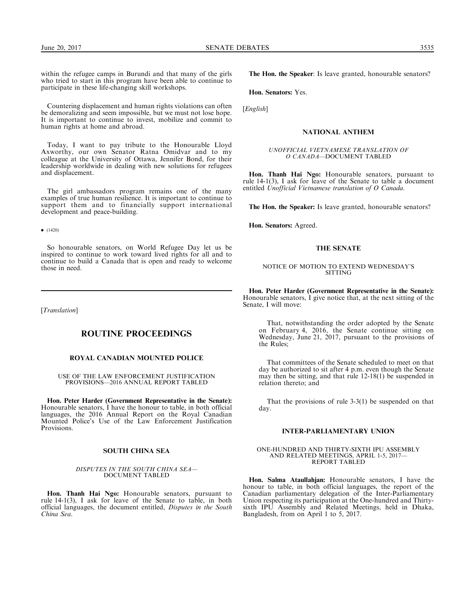within the refugee camps in Burundi and that many of the girls who tried to start in this program have been able to continue to participate in these life-changing skill workshops.

Countering displacement and human rights violations can often be demoralizing and seem impossible, but we must not lose hope. It is important to continue to invest, mobilize and commit to human rights at home and abroad.

Today, I want to pay tribute to the Honourable Lloyd Axworthy, our own Senator Ratna Omidvar and to my colleague at the University of Ottawa, Jennifer Bond, for their leadership worldwide in dealing with new solutions for refugees and displacement.

The girl ambassadors program remains one of the many examples of true human resilience. It is important to continue to support them and to financially support international development and peace-building.

 $\bullet$  (1420)

So honourable senators, on World Refugee Day let us be inspired to continue to work toward lived rights for all and to continue to build a Canada that is open and ready to welcome those in need.

[Translation]

## ROUTINE PROCEEDINGS

## ROYAL CANADIAN MOUNTED POLICE

USE OF THE LAW ENFORCEMENT JUSTIFICATION PROVISIONS—2016 ANNUAL REPORT TABLED

Hon. Peter Harder (Government Representative in the Senate): Honourable senators, I have the honour to table, in both official languages, the 2016 Annual Report on the Royal Canadian Mounted Police's Use of the Law Enforcement Justification Provisions.

## SOUTH CHINA SEA

#### DISPUTES IN THE SOUTH CHINA SEA— DOCUMENT TABLED

Hon. Thanh Hai Ngo: Honourable senators, pursuant to rule 14-1(3), I ask for leave of the Senate to table, in both official languages, the document entitled, Disputes in the South China Sea.

The Hon. the Speaker: Is leave granted, honourable senators?

Hon. Senators: Yes.

[*English*]

## NATIONAL ANTHEM

#### UNOFFICIAL VIETNAMESE TRANSLATION OF O CANADA—DOCUMENT TABLED

Hon. Thanh Hai Ngo: Honourable senators, pursuant to rule 14-1(3), I ask for leave of the Senate to table a document entitled Unofficial Vietnamese translation of O Canada.

The Hon. the Speaker: Is leave granted, honourable senators?

Hon. Senators: Agreed.

## THE SENATE

#### NOTICE OF MOTION TO EXTEND WEDNESDAY'S **SITTING**

Hon. Peter Harder (Government Representative in the Senate): Honourable senators, I give notice that, at the next sitting of the Senate, I will move:

That, notwithstanding the order adopted by the Senate on February 4, 2016, the Senate continue sitting on Wednesday, June 21, 2017, pursuant to the provisions of the Rules;

That committees of the Senate scheduled to meet on that day be authorized to sit after 4 p.m. even though the Senate may then be sitting, and that rule  $12-18(1)$  be suspended in relation thereto; and

That the provisions of rule 3-3(1) be suspended on that day.

## INTER-PARLIAMENTARY UNION

ONE-HUNDRED AND THIRTY-SIXTH IPU ASSEMBLY AND RELATED MEETINGS, APRIL 1-5, 2017— REPORT TABLED

Hon. Salma Ataullahjan: Honourable senators, I have the honour to table, in both official languages, the report of the Canadian parliamentary delegation of the Inter-Parliamentary Union respecting its participation at the One-hundred and Thirtysixth IPU Assembly and Related Meetings, held in Dhaka, Bangladesh, from on April 1 to 5, 2017.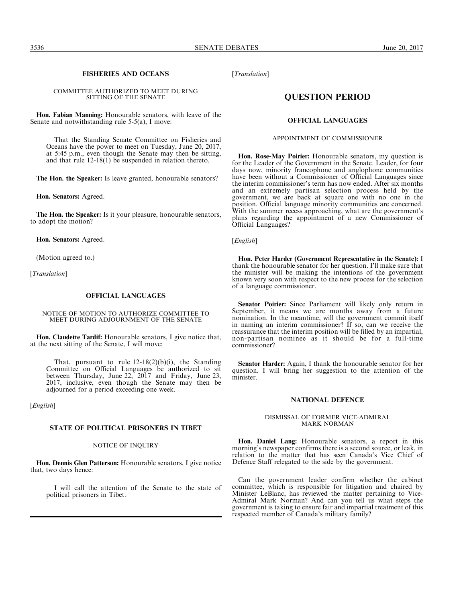## FISHERIES AND OCEANS

COMMITTEE AUTHORIZED TO MEET DURING SITTING OF THE SENATE

Hon. Fabian Manning: Honourable senators, with leave of the Senate and notwithstanding rule 5-5(a), I move:

That the Standing Senate Committee on Fisheries and Oceans have the power to meet on Tuesday, June 20, 2017, at 5:45 p.m., even though the Senate may then be sitting, and that rule 12-18(1) be suspended in relation thereto.

The Hon. the Speaker: Is leave granted, honourable senators?

Hon. Senators: Agreed.

The Hon. the Speaker: Is it your pleasure, honourable senators, to adopt the motion?

Hon. Senators: Agreed.

(Motion agreed to.)

[*Translation*]

## OFFICIAL LANGUAGES

NOTICE OF MOTION TO AUTHORIZE COMMITTEE TO MEET DURING ADJOURNMENT OF THE SENATE

Hon. Claudette Tardif: Honourable senators, I give notice that, at the next sitting of the Senate, I will move:

That, pursuant to rule  $12-18(2)(b)(i)$ , the Standing Committee on Official Languages be authorized to sit between Thursday, June  $22, 2017$  and Friday, June 23, 2017, inclusive, even though the Senate may then be adjourned for a period exceeding one week.

[*English*]

#### STATE OF POLITICAL PRISONERS IN TIBET

## NOTICE OF INQUIRY

Hon. Dennis Glen Patterson: Honourable senators, I give notice that, two days hence:

I will call the attention of the Senate to the state of political prisoners in Tibet.

[Translation]

# QUESTION PERIOD

## OFFICIAL LANGUAGES

#### APPOINTMENT OF COMMISSIONER

Hon. Rose-May Poirier: Honourable senators, my question is for the Leader of the Government in the Senate. Leader, for four days now, minority francophone and anglophone communities have been without a Commissioner of Official Languages since the interim commissioner's term has now ended. After six months and an extremely partisan selection process held by the government, we are back at square one with no one in the position. Official language minority communities are concerned. With the summer recess approaching, what are the government's plans regarding the appointment of a new Commissioner of Official Languages?

[English]

Hon. Peter Harder (Government Representative in the Senate): I thank the honourable senator for her question. I'll make sure that the minister will be making the intentions of the government known very soon with respect to the new process for the selection of a language commissioner.

Senator Poirier: Since Parliament will likely only return in September, it means we are months away from a future nomination. In the meantime, will the government commit itself in naming an interim commissioner? If so, can we receive the reassurance that the interim position will be filled by an impartial, non-partisan nominee as it should be for a full-time commissioner?

Senator Harder: Again, I thank the honourable senator for her question. I will bring her suggestion to the attention of the minister.

#### NATIONAL DEFENCE

#### DISMISSAL OF FORMER VICE-ADMIRAL MARK NORMAN

Hon. Daniel Lang: Honourable senators, a report in this morning's newspaper confirms there is a second source, or leak, in relation to the matter that has seen Canada's Vice Chief of Defence Staff relegated to the side by the government.

Can the government leader confirm whether the cabinet committee, which is responsible for litigation and chaired by Minister LeBlanc, has reviewed the matter pertaining to Vice-Admiral Mark Norman? And can you tell us what steps the government is taking to ensure fair and impartial treatment of this respected member of Canada's military family?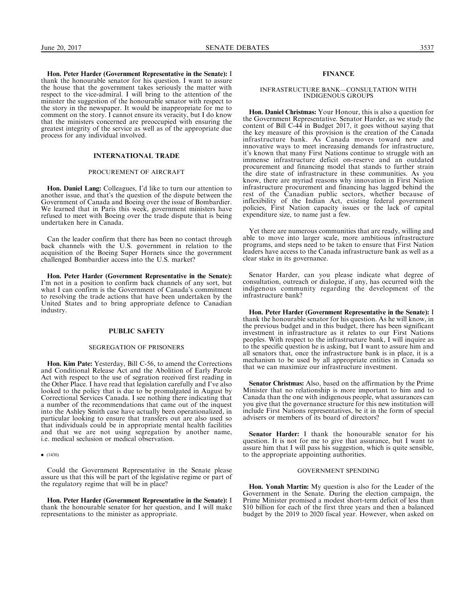Hon. Peter Harder (Government Representative in the Senate): I thank the honourable senator for his question. I want to assure the house that the government takes seriously the matter with respect to the vice-admiral. I will bring to the attention of the minister the suggestion of the honourable senator with respect to the story in the newspaper. It would be inappropriate for me to comment on the story. I cannot ensure its veracity, but I do know that the ministers concerned are preoccupied with ensuring the greatest integrity of the service as well as of the appropriate due process for any individual involved.

#### INTERNATIONAL TRADE

#### PROCUREMENT OF AIRCRAFT

Hon. Daniel Lang: Colleagues, I'd like to turn our attention to another issue, and that's the question of the dispute between the Government of Canada and Boeing over the issue of Bombardier. We learned that in Paris this week, government ministers have refused to meet with Boeing over the trade dispute that is being undertaken here in Canada.

Can the leader confirm that there has been no contact through back channels with the U.S. government in relation to the acquisition of the Boeing Super Hornets since the government challenged Bombardier access into the U.S. market?

Hon. Peter Harder (Government Representative in the Senate): I'm not in a position to confirm back channels of any sort, but what I can confirm is the Government of Canada's commitment to resolving the trade actions that have been undertaken by the United States and to bring appropriate defence to Canadian industry.

## PUBLIC SAFETY

#### SEGREGATION OF PRISONERS

Hon. Kim Pate: Yesterday, Bill C-56, to amend the Corrections and Conditional Release Act and the Abolition of Early Parole Act with respect to the use of segration received first reading in the Other Place. I have read that legislation carefully and I've also looked to the policy that is due to be promulgated in August by Correctional Services Canada. I see nothing there indicating that a number of the recommendations that came out of the inquest into the Ashley Smith case have actually been operationalized, in particular looking to ensure that transfers out are also used so that individuals could be in appropriate mental health facilities and that we are not using segregation by another name, i.e. medical seclusion or medical observation.

 $\bullet$  (1430)

Could the Government Representative in the Senate please assure us that this will be part of the legislative regime or part of the regulatory regime that will be in place?

Hon. Peter Harder (Government Representative in the Senate): I thank the honourable senator for her question, and I will make representations to the minister as appropriate.

## FINANCE

#### INFRASTRUCTURE BANK—CONSULTATION WITH INDIGENOUS GROUPS

Hon. Daniel Christmas: Your Honour, this is also a question for the Government Representative. Senator Harder, as we study the content of Bill C-44 in Budget 2017, it goes without saying that the key measure of this provision is the creation of the Canada infrastructure bank. As Canada moves toward new and innovative ways to meet increasing demands for infrastructure, it's known that many First Nations continue to struggle with an immense infrastructure deficit on-reserve and an outdated procurement and financing model that stands to further strain the dire state of infrastructure in these communities. As you know, there are myriad reasons why innovation in First Nation infrastructure procurement and financing has lagged behind the rest of the Canadian public sectors, whether because of inflexibility of the Indian Act, existing federal government policies, First Nation capacity issues or the lack of capital expenditure size, to name just a few.

Yet there are numerous communities that are ready, willing and able to move into larger scale, more ambitious infrastructure programs, and steps need to be taken to ensure that First Nation leaders have access to the Canada infrastructure bank as well as a clear stake in its governance.

Senator Harder, can you please indicate what degree of consultation, outreach or dialogue, if any, has occurred with the indigenous community regarding the development of the infrastructure bank?

Hon. Peter Harder (Government Representative in the Senate): I thank the honourable senator for his question. As he will know, in the previous budget and in this budget, there has been significant investment in infrastructure as it relates to our First Nations peoples. With respect to the infrastructure bank, I will inquire as to the specific question he is asking, but I want to assure him and all senators that, once the infrastructure bank is in place, it is a mechanism to be used by all appropriate entities in Canada so that we can maximize our infrastructure investment.

Senator Christmas: Also, based on the affirmation by the Prime Minister that no relationship is more important to him and to Canada than the one with indigenous people, what assurances can you give that the governance structure for this new institution will include First Nations representatives, be it in the form of special advisers or members of its board of directors?

Senator Harder: I thank the honourable senator for his question. It is not for me to give that assurance, but I want to assure him that I will pass his suggestion, which is quite sensible, to the appropriate appointing authorities.

## GOVERNMENT SPENDING

Hon. Yonah Martin: My question is also for the Leader of the Government in the Senate. During the election campaign, the Prime Minister promised a modest short-term deficit of less than \$10 billion for each of the first three years and then a balanced budget by the 2019 to 2020 fiscal year. However, when asked on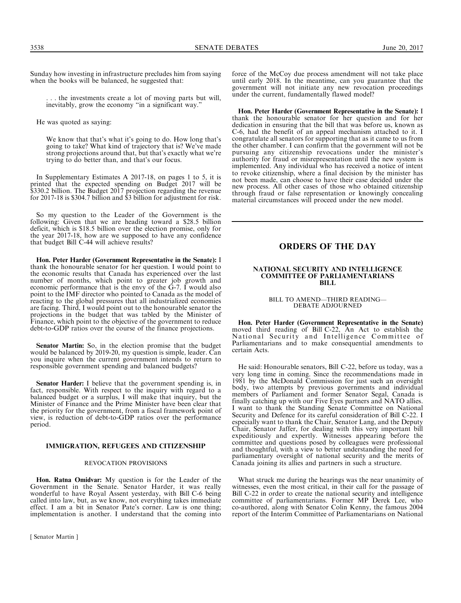Sunday how investing in infrastructure precludes him from saying when the books will be balanced, he suggested that:

. . . the investments create a lot of moving parts but will, inevitably, grow the economy "in a significant way."

He was quoted as saying:

We know that that's what it's going to do. How long that's going to take? What kind of trajectory that is? We've made strong projections around that, but that's exactly what we're trying to do better than, and that's our focus.

In Supplementary Estimates A 2017-18, on pages 1 to 5, it is printed that the expected spending on Budget 2017 will be \$330.2 billion. The Budget 2017 projection regarding the revenue for 2017-18 is \$304.7 billion and \$3 billion for adjustment for risk.

So my question to the Leader of the Government is the following: Given that we are heading toward a \$28.5 billion deficit, which is \$18.5 billion over the election promise, only for the year 2017-18, how are we supposed to have any confidence that budget Bill C-44 will achieve results?

Hon. Peter Harder (Government Representative in the Senate): I thank the honourable senator for her question. I would point to the economic results that Canada has experienced over the last number of months, which point to greater job growth and economic performance that is the envy of the G-7. I would also point to the IMF director who pointed to Canada as the model of reacting to the global pressures that all industrialized economies are facing. Third, I would point out to the honourable senator the projections in the budget that was tabled by the Minister of Finance, which point to the objective of the government to reduce debt-to-GDP ratios over the course of the finance projections.

Senator Martin: So, in the election promise that the budget would be balanced by 2019-20, my question is simple, leader. Can you inquire when the current government intends to return to responsible government spending and balanced budgets?

Senator Harder: I believe that the government spending is, in fact, responsible. With respect to the inquiry with regard to a balanced budget or a surplus, I will make that inquiry, but the Minister of Finance and the Prime Minister have been clear that the priority for the government, from a fiscal framework point of view, is reduction of debt-to-GDP ratios over the performance period.

#### IMMIGRATION, REFUGEES AND CITIZENSHIP

#### REVOCATION PROVISIONS

Hon. Ratna Omidvar: My question is for the Leader of the Government in the Senate. Senator Harder, it was really wonderful to have Royal Assent yesterday, with Bill C-6 being called into law, but, as we know, not everything takes immediate effect. I am a bit in Senator Pate's corner. Law is one thing; implementation is another. I understand that the coming into

[ Senator Martin ]

force of the McCoy due process amendment will not take place until early 2018. In the meantime, can you guarantee that the government will not initiate any new revocation proceedings under the current, fundamentally flawed model?

Hon. Peter Harder (Government Representative in the Senate): I thank the honourable senator for her question and for her dedication in ensuring that the bill that was before us, known as C-6, had the benefit of an appeal mechanism attached to it. I congratulate all senators for supporting that as it came to us from the other chamber. I can confirm that the government will not be pursuing any citizenship revocations under the minister's authority for fraud or misrepresentation until the new system is implemented. Any individual who has received a notice of intent to revoke citizenship, where a final decision by the minister has not been made, can choose to have their case decided under the new process. All other cases of those who obtained citizenship through fraud or false representation or knowingly concealing material circumstances will proceed under the new model.

# ORDERS OF THE DAY

#### NATIONAL SECURITY AND INTELLIGENCE COMMITTEE OF PARLIAMENTARIANS BILL

#### BILL TO AMEND—THIRD READING— DEBATE ADJOURNED

Hon. Peter Harder (Government Representative in the Senate) moved third reading of Bill C-22, An Act to establish the National Security and Intelligence Committee of Parliamentarians and to make consequential amendments to certain Acts.

He said: Honourable senators, Bill C-22, before us today, was a very long time in coming. Since the recommendations made in 1981 by the McDonald Commission for just such an oversight body, two attempts by previous governments and individual members of Parliament and former Senator Segal, Canada is finally catching up with our Five Eyes partners and NATO allies. I want to thank the Standing Senate Committee on National Security and Defence for its careful consideration of Bill C-22. I especially want to thank the Chair, Senator Lang, and the Deputy Chair, Senator Jaffer, for dealing with this very important bill expeditiously and expertly. Witnesses appearing before the committee and questions posed by colleagues were professional and thoughtful, with a view to better understanding the need for parliamentary oversight of national security and the merits of Canada joining its allies and partners in such a structure.

What struck me during the hearings was the near unanimity of witnesses, even the most critical, in their call for the passage of Bill C-22 in order to create the national security and intelligence committee of parliamentarians. Former MP Derek Lee, who co-authored, along with Senator Colin Kenny, the famous 2004 report of the Interim Committee of Parliamentarians on National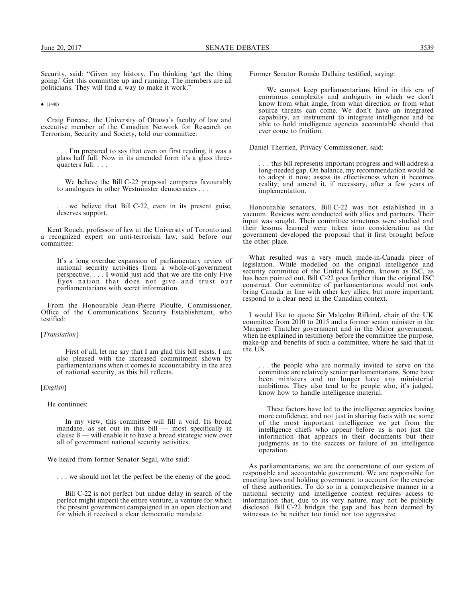Security, said: "Given my history, I'm thinking 'get the thing going.' Get this committee up and running. The members are all politicians. They will find a way to make it work.''

 $\bullet$  (1440)

Craig Forcese, the University of Ottawa's faculty of law and executive member of the Canadian Network for Research on Terrorism, Security and Society, told our committee:

. . . I'm prepared to say that even on first reading, it was a glass half full. Now in its amended form it's a glass threequarters full. . . .

We believe the Bill C-22 proposal compares favourably to analogues in other Westminster democracies . . .

. . . we believe that Bill C-22, even in its present guise, deserves support.

Kent Roach, professor of law at the University of Toronto and a recognized expert on anti-terrorism law, said before our committee:

It's a long overdue expansion of parliamentary review of national security activities from a whole-of-government perspective. . . . I would just add that we are the only Five Eyes nation that does not give and trust our parliamentarians with secret information.

From the Honourable Jean-Pierre Plouffe, Commissioner, Office of the Communications Security Establishment, who testified:

## [*Translation*]

First of all, let me say that I am glad this bill exists. I am also pleased with the increased commitment shown by parliamentarians when it comes to accountability in the area of national security, as this bill reflects.

## [*English*]

He continues:

In my view, this committee will fill a void. Its broad mandate, as set out in this bill — most specifically in clause 8 — will enable it to have a broad strategic view over all of government national security activities.

We heard from former Senator Segal, who said:

. . . we should not let the perfect be the enemy of the good.

Bill C-22 is not perfect but undue delay in search of the perfect might imperil the entire venture, a venture for which the present government campaigned in an open election and for which it received a clear democratic mandate.

Former Senator Roméo Dallaire testified, saying:

We cannot keep parliamentarians blind in this era of enormous complexity and ambiguity in which we don't know from what angle, from what direction or from what source threats can come. We don't have an integrated capability, an instrument to integrate intelligence and be able to hold intelligence agencies accountable should that ever come to fruition.

Daniel Therrien, Privacy Commissioner, said:

. . . this bill represents important progress and will address a long-needed gap. On balance, my recommendation would be to adopt it now; assess its effectiveness when it becomes reality; and amend it, if necessary, after a few years of implementation.

Honourable senators, Bill C-22 was not established in a vacuum. Reviews were conducted with allies and partners. Their input was sought. Their committee structures were studied and their lessons learned were taken into consideration as the government developed the proposal that it first brought before the other place.

What resulted was a very much made-in-Canada piece of legislation. While modelled on the original intelligence and security committee of the United Kingdom, known as ISC, as has been pointed out, Bill C-22 goes farther than the original ISC construct. Our committee of parliamentarians would not only bring Canada in line with other key allies, but more important, respond to a clear need in the Canadian context.

I would like to quote Sir Malcolm Rifkind, chair of the UK committee from 2010 to 2015 and a former senior minister in the Margaret Thatcher government and in the Major government, when he explained in testimony before the committee the purpose, make-up and benefits of such a committee, where he said that in the UK

. . . the people who are normally invited to serve on the committee are relatively senior parliamentarians. Some have been ministers and no longer have any ministerial ambitions. They also tend to be people who, it's judged, know how to handle intelligence material.

These factors have led to the intelligence agencies having more confidence, and not just in sharing facts with us; some of the most important intelligence we get from the intelligence chiefs who appear before us is not just the information that appears in their documents but their judgments as to the success or failure of an intelligence operation.

As parliamentarians, we are the cornerstone of our system of responsible and accountable government. We are responsible for enacting laws and holding government to account for the exercise of these authorities. To do so in a comprehensive manner in a national security and intelligence context requires access to information that, due to its very nature, may not be publicly disclosed. Bill C-22 bridges the gap and has been deemed by witnesses to be neither too timid nor too aggressive.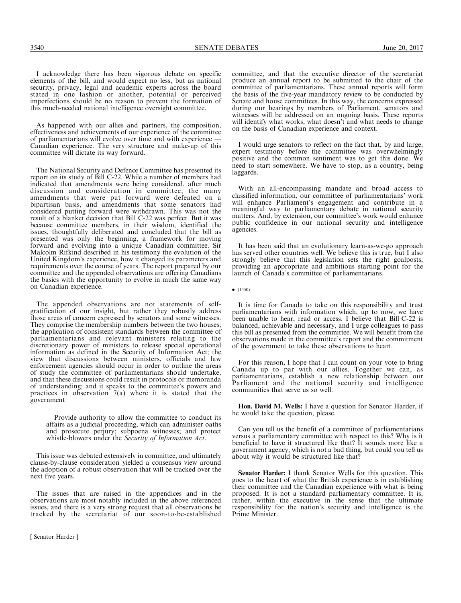I acknowledge there has been vigorous debate on specific elements of the bill, and would expect no less, but as national security, privacy, legal and academic experts across the board stated in one fashion or another, potential or perceived imperfections should be no reason to prevent the formation of this much-needed national intelligence oversight committee.

As happened with our allies and partners, the composition, effectiveness and achievements of our experience of the committee of parliamentarians will evolve over time and with experience — Canadian experience. The very structure and make-up of this committee will dictate its way forward.

The National Security and Defence Committee has presented its report on its study of Bill C-22. While a number of members had indicated that amendments were being considered, after much discussion and consideration in committee, the many amendments that were put forward were defeated on a bipartisan basis, and amendments that some senators had considered putting forward were withdrawn. This was not the result of a blanket decision that Bill C-22 was perfect. But it was because committee members, in their wisdom, identified the issues, thoughtfully deliberated and concluded that the bill as presented was only the beginning, a framework for moving forward and evolving into a unique Canadian committee. Sir Malcolm Rifkind described in his testimony the evolution of the United Kingdom's experience, how it changed its parameters and requirements over the course of years. The report prepared by our committee and the appended observations are offering Canadians the basics with the opportunity to evolve in much the same way on Canadian experience.

The appended observations are not statements of selfgratification of our insight, but rather they robustly address those areas of concern expressed by senators and some witnesses. They comprise the membership numbers between the two houses; the application of consistent standards between the committee of parliamentarians and relevant ministers relating to the discretionary power of ministers to release special operational information as defined in the Security of Information Act; the view that discussions between ministers, officials and law enforcement agencies should occur in order to outline the areas of study the committee of parliamentarians should undertake, and that these discussions could result in protocols or memoranda of understanding; and it speaks to the committee's powers and practices in observation 7(a) where it is stated that the government

Provide authority to allow the committee to conduct its affairs as a judicial proceeding, which can administer oaths and prosecute perjury; subpoena witnesses; and protect whistle-blowers under the Security of Information Act.

This issue was debated extensively in committee, and ultimately clause-by-clause consideration yielded a consensus view around the adoption of a robust observation that will be tracked over the next five years.

The issues that are raised in the appendices and in the observations are most notably included in the above referenced issues, and there is a very strong request that all observations be tracked by the secretariat of our soon-to-be-established

[ Senator Harder ]

committee, and that the executive director of the secretariat produce an annual report to be submitted to the chair of the committee of parliamentarians. These annual reports will form the basis of the five-year mandatory review to be conducted by Senate and house committees. In this way, the concerns expressed during our hearings by members of Parliament, senators and witnesses will be addressed on an ongoing basis. These reports will identify what works, what doesn't and what needs to change on the basis of Canadian experience and context.

I would urge senators to reflect on the fact that, by and large, expert testimony before the committee was overwhelmingly positive and the common sentiment was to get this done. We need to start somewhere. We have to stop, as a country, being laggards.

With an all-encompassing mandate and broad access to classified information, our committee of parliamentarians' work will enhance Parliament's engagement and contribute in a meaningful way to parliamentary debate in national security matters. And, by extension, our committee's work would enhance public confidence in our national security and intelligence agencies.

It has been said that an evolutionary learn-as-we-go approach has served other countries well. We believe this is true, but I also strongly believe that this legislation sets the right goalposts, providing an appropriate and ambitious starting point for the launch of Canada's committee of parliamentarians.

 $\bullet$  (1450)

It is time for Canada to take on this responsibility and trust parliamentarians with information which, up to now, we have been unable to hear, read or access. I believe that Bill C-22 is balanced, achievable and necessary, and I urge colleagues to pass this bill as presented from the committee. We will benefit from the observations made in the committee's report and the commitment of the government to take these observations to heart.

For this reason, I hope that I can count on your vote to bring Canada up to par with our allies. Together we can, as parliamentarians, establish a new relationship between our Parliament and the national security and intelligence communities that serve us so well.

Hon. David M. Wells: I have a question for Senator Harder, if he would take the question, please.

Can you tell us the benefit of a committee of parliamentarians versus a parliamentary committee with respect to this? Why is it beneficial to have it structured like that? It sounds more like a government agency, which is not a bad thing, but could you tell us about why it would be structured like that?

Senator Harder: I thank Senator Wells for this question. This goes to the heart of what the British experience is in establishing their committee and the Canadian experience with what is being proposed. It is not a standard parliamentary committee. It is, rather, within the executive in the sense that the ultimate responsibility for the nation's security and intelligence is the Prime Minister.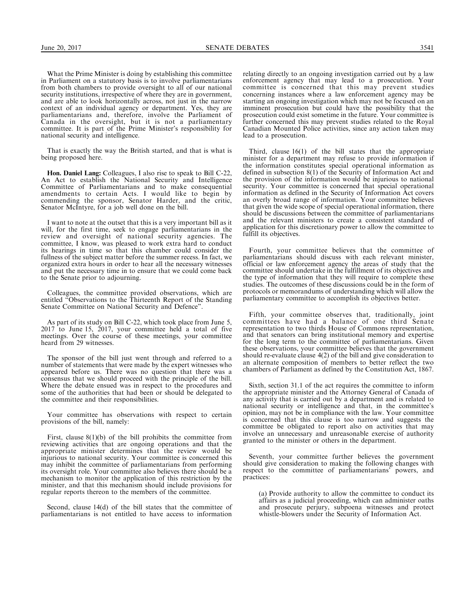What the Prime Minister is doing by establishing this committee in Parliament on a statutory basis is to involve parliamentarians from both chambers to provide oversight to all of our national security institutions, irrespective of where they are in government, and are able to look horizontally across, not just in the narrow context of an individual agency or department. Yes, they are parliamentarians and, therefore, involve the Parliament of Canada in the oversight, but it is not a parliamentary committee. It is part of the Prime Minister's responsibility for national security and intelligence.

That is exactly the way the British started, and that is what is being proposed here.

Hon. Daniel Lang: Colleagues, I also rise to speak to Bill C-22, An Act to establish the National Security and Intelligence Committee of Parliamentarians and to make consequential amendments to certain Acts. I would like to begin by commending the sponsor, Senator Harder, and the critic, Senator McIntyre, for a job well done on the bill.

I want to note at the outset that this is a very important bill as it will, for the first time, seek to engage parliamentarians in the review and oversight of national security agencies. The committee, I know, was pleased to work extra hard to conduct its hearings in time so that this chamber could consider the fullness of the subject matter before the summer recess. In fact, we organized extra hours in order to hear all the necessary witnesses and put the necessary time in to ensure that we could come back to the Senate prior to adjourning.

Colleagues, the committee provided observations, which are entitled "Observations to the Thirteenth Report of the Standing Senate Committee on National Security and Defence''.

As part of its study on Bill C-22, which took place from June 5, 2017 to June 15, 2017, your committee held a total of five meetings. Over the course of these meetings, your committee heard from 29 witnesses.

The sponsor of the bill just went through and referred to a number of statements that were made by the expert witnesses who appeared before us. There was no question that there was a consensus that we should proceed with the principle of the bill. Where the debate ensued was in respect to the procedures and some of the authorities that had been or should be delegated to the committee and their responsibilities.

Your committee has observations with respect to certain provisions of the bill, namely:

First, clause 8(1)(b) of the bill prohibits the committee from reviewing activities that are ongoing operations and that the appropriate minister determines that the review would be injurious to national security. Your committee is concerned this may inhibit the committee of parliamentarians from performing its oversight role. Your committee also believes there should be a mechanism to monitor the application of this restriction by the minister, and that this mechanism should include provisions for regular reports thereon to the members of the committee.

Second, clause 14(d) of the bill states that the committee of parliamentarians is not entitled to have access to information

relating directly to an ongoing investigation carried out by a law enforcement agency that may lead to a prosecution. Your committee is concerned that this may prevent studies concerning instances where a law enforcement agency may be starting an ongoing investigation which may not be focused on an imminent prosecution but could have the possibility that the prosecution could exist sometime in the future. Your committee is further concerned this may prevent studies related to the Royal Canadian Mounted Police activities, since any action taken may lead to a prosecution.

Third, clause 16(1) of the bill states that the appropriate minister for a department may refuse to provide information if the information constitutes special operational information as defined in subsection 8(1) of the Security of Information Act and the provision of the information would be injurious to national security. Your committee is concerned that special operational information as defined in the Security of Information Act covers an overly broad range of information. Your committee believes that given the wide scope of special operational information, there should be discussions between the committee of parliamentarians and the relevant ministers to create a consistent standard of application for this discretionary power to allow the committee to fulfill its objectives.

Fourth, your committee believes that the committee of parliamentarians should discuss with each relevant minister, official or law enforcement agency the areas of study that the committee should undertake in the fulfillment of its objectives and the type of information that they will require to complete these studies. The outcomes of these discussions could be in the form of protocols or memorandums of understanding which will allow the parliamentary committee to accomplish its objectives better.

Fifth, your committee observes that, traditionally, joint committees have had a balance of one third Senate representation to two thirds House of Commons representation, and that senators can bring institutional memory and expertise for the long term to the committee of parliamentarians. Given these observations, your committee believes that the government should re-evaluate clause 4(2) of the bill and give consideration to an alternate composition of members to better reflect the two chambers of Parliament as defined by the Constitution Act, 1867.

Sixth, section 31.1 of the act requires the committee to inform the appropriate minister and the Attorney General of Canada of any activity that is carried out by a department and is related to national security or intelligence and that, in the committee's opinion, may not be in compliance with the law. Your committee is concerned that this clause is too narrow and suggests the committee be obligated to report also on activities that may involve an unnecessary and unreasonable exercise of authority granted to the minister or others in the department.

Seventh, your committee further believes the government should give consideration to making the following changes with respect to the committee of parliamentarians' powers, and practices:

(a) Provide authority to allow the committee to conduct its affairs as a judicial proceeding, which can administer oaths and prosecute perjury, subpoena witnesses and protect whistle-blowers under the Security of Information Act.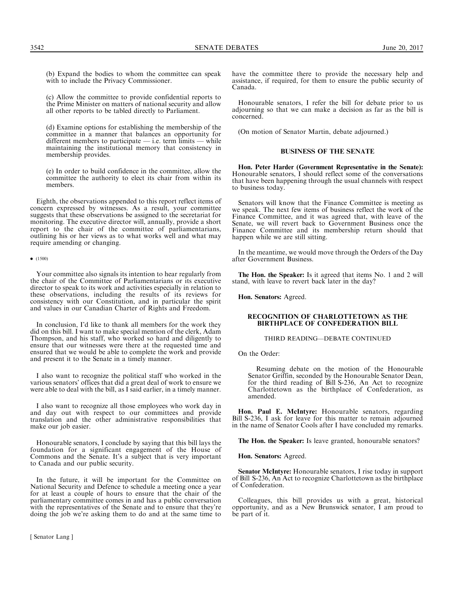(b) Expand the bodies to whom the committee can speak with to include the Privacy Commissioner.

(c) Allow the committee to provide confidential reports to the Prime Minister on matters of national security and allow all other reports to be tabled directly to Parliament.

(d) Examine options for establishing the membership of the committee in a manner that balances an opportunity for different members to participate — i.e. term limits — while maintaining the institutional memory that consistency in membership provides.

(e) In order to build confidence in the committee, allow the committee the authority to elect its chair from within its members.

Eighth, the observations appended to this report reflect items of concern expressed by witnesses. As a result, your committee suggests that these observations be assigned to the secretariat for monitoring. The executive director will, annually, provide a short report to the chair of the committee of parliamentarians, outlining his or her views as to what works well and what may require amending or changing.

#### $\bullet$  (1500)

Your committee also signals its intention to hear regularly from the chair of the Committee of Parliamentarians or its executive director to speak to its work and activities especially in relation to these observations, including the results of its reviews for consistency with our Constitution, and in particular the spirit and values in our Canadian Charter of Rights and Freedom.

In conclusion, I'd like to thank all members for the work they did on this bill. I want to make special mention of the clerk, Adam Thompson, and his staff, who worked so hard and diligently to ensure that our witnesses were there at the requested time and ensured that we would be able to complete the work and provide and present it to the Senate in a timely manner.

I also want to recognize the political staff who worked in the various senators' offices that did a great deal of work to ensure we were able to deal with the bill, as I said earlier, in a timely manner.

I also want to recognize all those employees who work day in and day out with respect to our committees and provide translation and the other administrative responsibilities that make our job easier.

Honourable senators, I conclude by saying that this bill lays the foundation for a significant engagement of the House of Commons and the Senate. It's a subject that is very important to Canada and our public security.

In the future, it will be important for the Committee on National Security and Defence to schedule a meeting once a year for at least a couple of hours to ensure that the chair of the parliamentary committee comes in and has a public conversation with the representatives of the Senate and to ensure that they're doing the job we're asking them to do and at the same time to

have the committee there to provide the necessary help and assistance, if required, for them to ensure the public security of Canada.

Honourable senators, I refer the bill for debate prior to us adjourning so that we can make a decision as far as the bill is concerned.

(On motion of Senator Martin, debate adjourned.)

## BUSINESS OF THE SENATE

Hon. Peter Harder (Government Representative in the Senate): Honourable senators, I should reflect some of the conversations that have been happening through the usual channels with respect to business today.

Senators will know that the Finance Committee is meeting as we speak. The next few items of business reflect the work of the Finance Committee, and it was agreed that, with leave of the Senate, we will revert back to Government Business once the Finance Committee and its membership return should that happen while we are still sitting.

In the meantime, we would move through the Orders of the Day after Government Business.

The Hon. the Speaker: Is it agreed that items No. 1 and 2 will stand, with leave to revert back later in the day?

Hon. Senators: Agreed.

## RECOGNITION OF CHARLOTTETOWN AS THE BIRTHPLACE OF CONFEDERATION BILL

THIRD READING—DEBATE CONTINUED

On the Order:

Resuming debate on the motion of the Honourable Senator Griffin, seconded by the Honourable Senator Dean, for the third reading of Bill S-236, An Act to recognize Charlottetown as the birthplace of Confederation, as amended.

Hon. Paul E. McIntyre: Honourable senators, regarding Bill S-236, I ask for leave for this matter to remain adjourned in the name of Senator Cools after I have concluded my remarks.

The Hon. the Speaker: Is leave granted, honourable senators?

Hon. Senators: Agreed.

Senator McIntyre: Honourable senators, I rise today in support of Bill S-236, An Act to recognize Charlottetown as the birthplace of Confederation.

Colleagues, this bill provides us with a great, historical opportunity, and as a New Brunswick senator, I am proud to be part of it.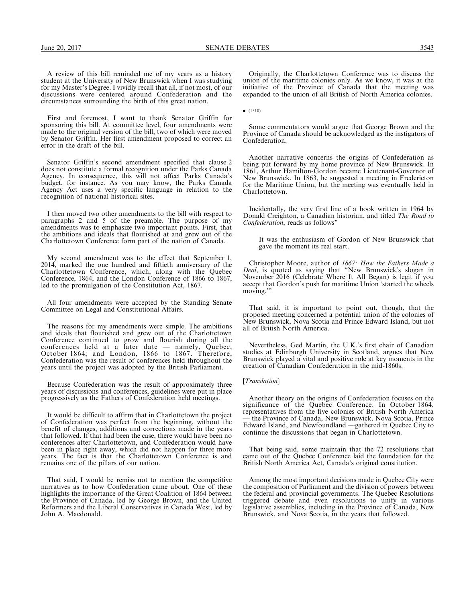A review of this bill reminded me of my years as a history student at the University of New Brunswick when I was studying for my Master's Degree. I vividly recall that all, if not most, of our discussions were centered around Confederation and the circumstances surrounding the birth of this great nation.

First and foremost, I want to thank Senator Griffin for sponsoring this bill. At committee level, four amendments were made to the original version of the bill, two of which were moved by Senator Griffin. Her first amendment proposed to correct an error in the draft of the bill.

Senator Griffin's second amendment specified that clause 2 does not constitute a formal recognition under the Parks Canada Agency. In consequence, this will not affect Parks Canada's budget, for instance. As you may know, the Parks Canada Agency Act uses a very specific language in relation to the recognition of national historical sites.

I then moved two other amendments to the bill with respect to paragraphs 2 and 5 of the preamble. The purpose of my amendments was to emphasize two important points. First, that the ambitions and ideals that flourished at and grew out of the Charlottetown Conference form part of the nation of Canada.

My second amendment was to the effect that September 1, 2014, marked the one hundred and fiftieth anniversary of the Charlottetown Conference, which, along with the Quebec Conference, 1864, and the London Conference of 1866 to 1867, led to the promulgation of the Constitution Act, 1867.

All four amendments were accepted by the Standing Senate Committee on Legal and Constitutional Affairs.

The reasons for my amendments were simple. The ambitions and ideals that flourished and grew out of the Charlottetown Conference continued to grow and flourish during all the conferences held at a later date — namely, Quebec, October 1864; and London, 1866 to 1867. Therefore, Confederation was the result of conferences held throughout the years until the project was adopted by the British Parliament.

Because Confederation was the result of approximately three years of discussions and conferences, guidelines were put in place progressively as the Fathers of Confederation held meetings.

It would be difficult to affirm that in Charlottetown the project of Confederation was perfect from the beginning, without the benefit of changes, additions and corrections made in the years that followed. If that had been the case, there would have been no conferences after Charlottetown, and Confederation would have been in place right away, which did not happen for three more years. The fact is that the Charlottetown Conference is and remains one of the pillars of our nation.

That said, I would be remiss not to mention the competitive narratives as to how Confederation came about. One of these highlights the importance of the Great Coalition of 1864 between the Province of Canada, led by George Brown, and the United Reformers and the Liberal Conservatives in Canada West, led by John A. Macdonald.

Originally, the Charlottetown Conference was to discuss the union of the maritime colonies only. As we know, it was at the initiative of the Province of Canada that the meeting was expanded to the union of all British of North America colonies.

 $\bullet$  (1510)

Some commentators would argue that George Brown and the Province of Canada should be acknowledged as the instigators of Confederation.

Another narrative concerns the origins of Confederation as being put forward by my home province of New Brunswick. In 1861, Arthur Hamilton-Gordon became Lieutenant-Governor of New Brunswick. In 1863, he suggested a meeting in Fredericton for the Maritime Union, but the meeting was eventually held in Charlottetown.

Incidentally, the very first line of a book written in 1964 by Donald Creighton, a Canadian historian, and titled The Road to Confederation, reads as follows''

It was the enthusiasm of Gordon of New Brunswick that gave the moment its real start.

Christopher Moore, author of 1867: How the Fathers Made a Deal, is quoted as saying that ''New Brunswick's slogan in November 2016 (Celebrate Where It All Began) is legit if you accept that Gordon's push for maritime Union 'started the wheels moving.'''

That said, it is important to point out, though, that the proposed meeting concerned a potential union of the colonies of New Brunswick, Nova Scotia and Prince Edward Island, but not all of British North America.

Nevertheless, Ged Martin, the U.K.'s first chair of Canadian studies at Edinburgh University in Scotland, argues that New Brunswick played a vital and positive role at key moments in the creation of Canadian Confederation in the mid-1860s.

## [Translation]

Another theory on the origins of Confederation focuses on the significance of the Quebec Conference. In October 1864, representatives from the five colonies of British North America the Province of Canada, New Brunswick, Nova Scotia, Prince Edward Island, and Newfoundland —gathered in Quebec City to continue the discussions that began in Charlottetown.

That being said, some maintain that the 72 resolutions that came out of the Quebec Conference laid the foundation for the British North America Act, Canada's original constitution.

Among the most important decisions made in Quebec City were the composition of Parliament and the division of powers between the federal and provincial governments. The Quebec Resolutions triggered debate and even resolutions to unify in various legislative assemblies, including in the Province of Canada, New Brunswick, and Nova Scotia, in the years that followed.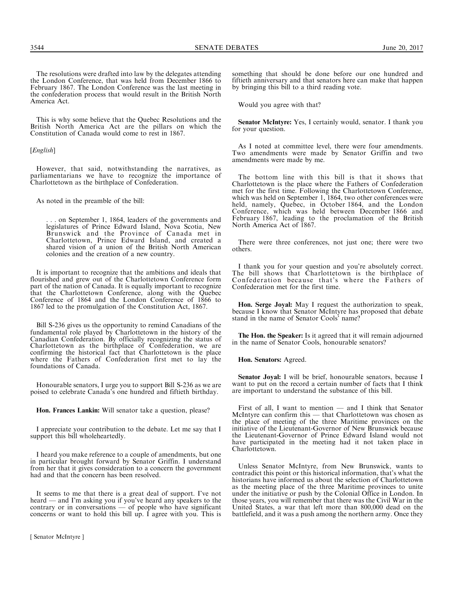The resolutions were drafted into law by the delegates attending the London Conference, that was held from December 1866 to February 1867. The London Conference was the last meeting in the confederation process that would result in the British North America Act.

This is why some believe that the Quebec Resolutions and the British North America Act are the pillars on which the Constitution of Canada would come to rest in 1867.

## [English]

However, that said, notwithstanding the narratives, as parliamentarians we have to recognize the importance of Charlottetown as the birthplace of Confederation.

As noted in the preamble of the bill:

.. on September 1, 1864, leaders of the governments and legislatures of Prince Edward Island, Nova Scotia, New Brunswick and the Province of Canada met in Charlottetown, Prince Edward Island, and created a shared vision of a union of the British North American colonies and the creation of a new country.

It is important to recognize that the ambitions and ideals that flourished and grew out of the Charlottetown Conference form part of the nation of Canada. It is equally important to recognize that the Charlottetown Conference, along with the Quebec Conference of 1864 and the London Conference of 1866 to 1867 led to the promulgation of the Constitution Act, 1867.

Bill S-236 gives us the opportunity to remind Canadians of the fundamental role played by Charlottetown in the history of the Canadian Confederation. By officially recognizing the status of Charlottetown as the birthplace of Confederation, we are confirming the historical fact that Charlottetown is the place where the Fathers of Confederation first met to lay the foundations of Canada.

Honourable senators, I urge you to support Bill S-236 as we are poised to celebrate Canada's one hundred and fiftieth birthday.

Hon. Frances Lankin: Will senator take a question, please?

I appreciate your contribution to the debate. Let me say that I support this bill wholeheartedly.

I heard you make reference to a couple of amendments, but one in particular brought forward by Senator Griffin. I understand from her that it gives consideration to a concern the government had and that the concern has been resolved.

It seems to me that there is a great deal of support. I've not heard — and I'm asking you if you've heard any speakers to the contrary or in conversations — of people who have significant concerns or want to hold this bill up. I agree with you. This is

something that should be done before our one hundred and fiftieth anniversary and that senators here can make that happen by bringing this bill to a third reading vote.

Would you agree with that?

Senator McIntyre: Yes, I certainly would, senator. I thank you for your question.

As I noted at committee level, there were four amendments. Two amendments were made by Senator Griffin and two amendments were made by me.

The bottom line with this bill is that it shows that Charlottetown is the place where the Fathers of Confederation met for the first time. Following the Charlottetown Conference, which was held on September 1, 1864, two other conferences were held, namely, Quebec, in October 1864, and the London Conference, which was held between December 1866 and February 1867, leading to the proclamation of the British North America Act of 1867.

There were three conferences, not just one; there were two others.

I thank you for your question and you're absolutely correct. The bill shows that Charlottetown is the birthplace of Confederation because that's where the Fathers of Confederation met for the first time.

Hon. Serge Joyal: May I request the authorization to speak, because I know that Senator McIntyre has proposed that debate stand in the name of Senator Cools' name?

The Hon. the Speaker: Is it agreed that it will remain adjourned in the name of Senator Cools, honourable senators?

Hon. Senators: Agreed.

Senator Joyal: I will be brief, honourable senators, because I want to put on the record a certain number of facts that I think are important to understand the substance of this bill.

First of all, I want to mention — and I think that Senator McIntyre can confirm this — that Charlottetown was chosen as the place of meeting of the three Maritime provinces on the initiative of the Lieutenant-Governor of New Brunswick because the Lieutenant-Governor of Prince Edward Island would not have participated in the meeting had it not taken place in Charlottetown.

Unless Senator McIntyre, from New Brunswick, wants to contradict this point or this historical information, that's what the historians have informed us about the selection of Charlottetown as the meeting place of the three Maritime provinces to unite under the initiative or push by the Colonial Office in London. In those years, you will remember that there was the Civil War in the United States, a war that left more than 800,000 dead on the battlefield, and it was a push among the northern army. Once they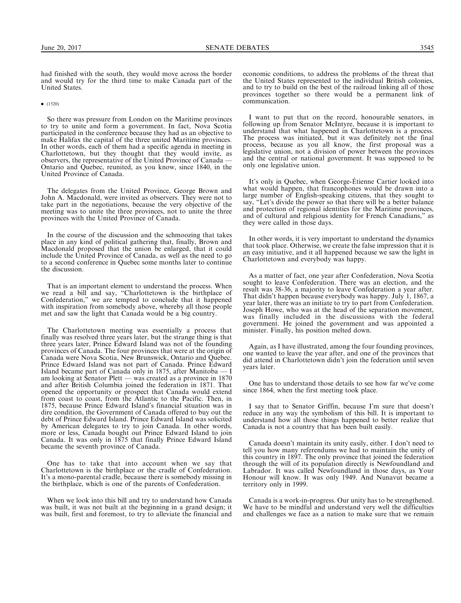had finished with the south, they would move across the border and would try for the third time to make Canada part of the United States.

#### $\bullet$  (1520)

So there was pressure from London on the Maritime provinces to try to unite and form a government. In fact, Nova Scotia participated in the conference because they had as an objective to make Halifax the capital of the three united Maritime provinces. In other words, each of them had a specific agenda in meeting in Charlottetown, but they thought that they would invite, as Ontario and Quebec, reunited, as you know, since 1840, in the United Province of Canada.

The delegates from the United Province, George Brown and John A. Macdonald, were invited as observers. They were not to take part in the negotiations, because the very objective of the meeting was to unite the three provinces, not to unite the three provinces with the United Province of Canada.

In the course of the discussion and the schmoozing that takes place in any kind of political gathering that, finally, Brown and Macdonald proposed that the union be enlarged, that it could include the United Province of Canada, as well as the need to go to a second conference in Quebec some months later to continue the discussion.

That is an important element to understand the process. When we read a bill and say, ''Charlottetown is the birthplace of Confederation,'' we are tempted to conclude that it happened with inspiration from somebody above, whereby all those people met and saw the light that Canada would be a big country.

The Charlottetown meeting was essentially a process that finally was resolved three years later, but the strange thing is that three years later, Prince Edward Island was not of the founding provinces of Canada. The four provinces that were at the origin of Canada were Nova Scotia, New Brunswick, Ontario and Quebec. Prince Edward Island was not part of Canada. Prince Edward Island became part of Canada only in 1875, after Manitoba — I am looking at Senator Plett — was created as a province in 1870 and after British Columbia joined the federation in 1871. That opened the opportunity or prospect that Canada would extend from coast to coast, from the Atlantic to the Pacific. Then, in 1875, because Prince Edward Island's financial situation was in dire condition, the Government of Canada offered to buy out the debt of Prince Edward Island. Prince Edward Island was solicited by American delegates to try to join Canada. In other words, more or less, Canada bought out Prince Edward Island to join Canada. It was only in 1875 that finally Prince Edward Island became the seventh province of Canada.

One has to take that into account when we say that Charlottetown is the birthplace or the cradle of Confederation. It's a mono-parental cradle, because there is somebody missing in the birthplace, which is one of the parents of Confederation.

When we look into this bill and try to understand how Canada was built, it was not built at the beginning in a grand design; it was built, first and foremost, to try to alleviate the financial and

economic conditions, to address the problems of the threat that the United States represented to the individual British colonies, and to try to build on the best of the railroad linking all of those provinces together so there would be a permanent link of communication.

I want to put that on the record, honourable senators, in following up from Senator McIntyre, because it is important to understand that what happened in Charlottetown is a process. The process was initiated, but it was definitely not the final process, because as you all know, the first proposal was a legislative union, not a division of power between the provinces and the central or national government. It was supposed to be only one legislative union.

It's only in Quebec, when George-Étienne Cartier looked into what would happen, that francophones would be drawn into a large number of English-speaking citizens, that they sought to say, ''Let's divide the power so that there will be a better balance and protection of regional identities for the Maritime provinces, and of cultural and religious identity for French Canadians,'' as they were called in those days.

In other words, it is very important to understand the dynamics that took place. Otherwise, we create the false impression that it is an easy initiative, and it all happened because we saw the light in Charlottetown and everybody was happy.

As a matter of fact, one year after Confederation, Nova Scotia sought to leave Confederation. There was an election, and the result was 38-36, a majority to leave Confederation a year after. That didn't happen because everybody was happy. July 1, 1867, a year later, there was an initiate to try to part from Confederation. Joseph Howe, who was at the head of the separation movement, was finally included in the discussions with the federal government. He joined the government and was appointed a minister. Finally, his position melted down.

Again, as I have illustrated, among the four founding provinces, one wanted to leave the year after, and one of the provinces that did attend in Charlottetown didn't join the federation until seven years later.

One has to understand those details to see how far we've come since 1864, when the first meeting took place.

I say that to Senator Griffin, because I'm sure that doesn't reduce in any way the symbolism of this bill. It is important to understand how all those things happened to better realize that Canada is not a country that has been built easily.

Canada doesn't maintain its unity easily, either. I don't need to tell you how many referendums we had to maintain the unity of this country in 1897. The only province that joined the federation through the will of its population directly is Newfoundland and Labrador. It was called Newfoundland in those days, as Your Honour will know. It was only 1949. And Nunavut became a territory only in 1999.

Canada is a work-in-progress. Our unity has to be strengthened. We have to be mindful and understand very well the difficulties and challenges we face as a nation to make sure that we remain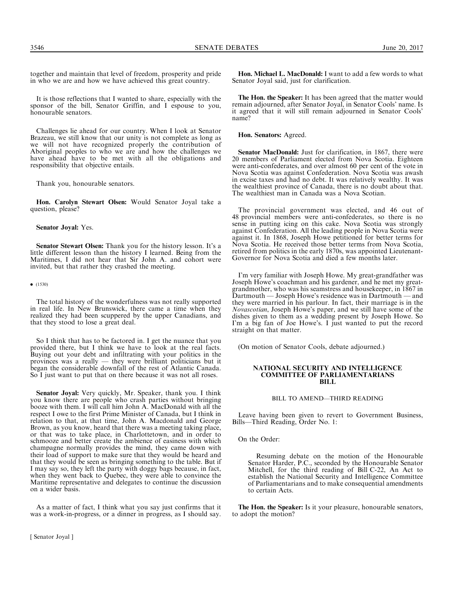together and maintain that level of freedom, prosperity and pride in who we are and how we have achieved this great country.

It is those reflections that I wanted to share, especially with the sponsor of the bill, Senator Griffin, and I espouse to you, honourable senators.

Challenges lie ahead for our country. When I look at Senator Brazeau, we still know that our unity is not complete as long as we will not have recognized properly the contribution of Aboriginal peoples to who we are and how the challenges we have ahead have to be met with all the obligations and responsibility that objective entails.

Thank you, honourable senators.

Hon. Carolyn Stewart Olsen: Would Senator Joyal take a question, please?

Senator Joyal: Yes.

Senator Stewart Olsen: Thank you for the history lesson. It's a little different lesson than the history I learned. Being from the Maritimes, I did not hear that Sir John A. and cohort were invited, but that rather they crashed the meeting.

 $\bullet$  (1530)

The total history of the wonderfulness was not really supported in real life. In New Brunswick, there came a time when they realized they had been scuppered by the upper Canadians, and that they stood to lose a great deal.

So I think that has to be factored in. I get the nuance that you provided there, but I think we have to look at the real facts. Buying out your debt and infiltrating with your politics in the provinces was a really — they were brilliant politicians but it began the considerable downfall of the rest of Atlantic Canada. So I just want to put that on there because it was not all roses.

Senator Joyal: Very quickly, Mr. Speaker, thank you. I think you know there are people who crash parties without bringing booze with them. I will call him John A. MacDonald with all the respect I owe to the first Prime Minister of Canada, but I think in relation to that, at that time, John A. Macdonald and George Brown, as you know, heard that there was a meeting taking place, or that was to take place, in Charlottetown, and in order to schmooze and better create the ambience of easiness with which champagne normally provides the mind, they came down with their load of support to make sure that they would be heard and that they would be seen as bringing something to the table. But if I may say so, they left the party with doggy bags because, in fact, when they went back to Quebec, they were able to convince the Maritime representative and delegates to continue the discussion on a wider basis.

As a matter of fact, I think what you say just confirms that it was a work-in-progress, or a dinner in progress, as I should say.

[ Senator Joyal ]

Hon. Michael L. MacDonald: I want to add a few words to what Senator Joyal said, just for clarification.

The Hon. the Speaker: It has been agreed that the matter would remain adjourned, after Senator Joyal, in Senator Cools' name. Is it agreed that it will still remain adjourned in Senator Cools' name?

Hon. Senators: Agreed.

Senator MacDonald: Just for clarification, in 1867, there were 20 members of Parliament elected from Nova Scotia. Eighteen were anti-confederates, and over almost 60 per cent of the vote in Nova Scotia was against Confederation. Nova Scotia was awash in excise taxes and had no debt. It was relatively wealthy. It was the wealthiest province of Canada, there is no doubt about that. The wealthiest man in Canada was a Nova Scotian.

The provincial government was elected, and 46 out of 48 provincial members were anti-confederates, so there is no sense in putting icing on this cake. Nova Scotia was strongly against Confederation. All the leading people in Nova Scotia were against it. In 1868, Joseph Howe petitioned for better terms for Nova Scotia. He received those better terms from Nova Scotia, retired from politics in the early 1870s, was appointed Lieutenant-Governor for Nova Scotia and died a few months later.

I'm very familiar with Joseph Howe. My great-grandfather was Joseph Howe's coachman and his gardener, and he met my greatgrandmother, who was his seamstress and housekeeper, in 1867 in Dartmouth — Joseph Howe's residence was in Dartmouth — and they were married in his parlour. In fact, their marriage is in the Novascotian, Joseph Howe's paper, and we still have some of the dishes given to them as a wedding present by Joseph Howe. So I'm a big fan of Joe Howe's. I just wanted to put the record straight on that matter.

(On motion of Senator Cools, debate adjourned.)

#### NATIONAL SECURITY AND INTELLIGENCE COMMITTEE OF PARLIAMENTARIANS BILL

## BILL TO AMEND—THIRD READING

Leave having been given to revert to Government Business, Bills—Third Reading, Order No. 1:

On the Order:

Resuming debate on the motion of the Honourable Senator Harder, P.C., seconded by the Honourable Senator Mitchell, for the third reading of Bill C-22, An Act to establish the National Security and Intelligence Committee of Parliamentarians and to make consequential amendments to certain Acts.

The Hon. the Speaker: Is it your pleasure, honourable senators, to adopt the motion?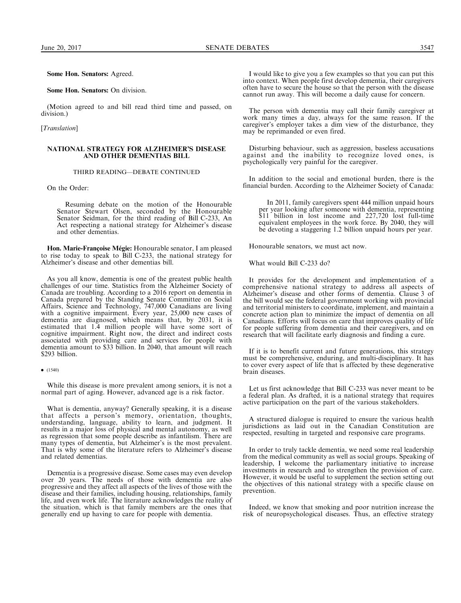Some Hon. Senators: Agreed.

Some Hon. Senators: On division.

(Motion agreed to and bill read third time and passed, on division.)

[Translation]

## NATIONAL STRATEGY FOR ALZHEIMER'S DISEASE AND OTHER DEMENTIAS BILL

## THIRD READING—DEBATE CONTINUED

On the Order:

Resuming debate on the motion of the Honourable Senator Stewart Olsen, seconded by the Honourable Senator Seidman, for the third reading of Bill C-233, An Act respecting a national strategy for Alzheimer's disease and other dementias.

Hon. Marie-Fran**ç**oise M**é**gie: Honourable senator, I am pleased to rise today to speak to Bill C-233, the national strategy for Alzheimer's disease and other dementias bill.

As you all know, dementia is one of the greatest public health challenges of our time. Statistics from the Alzheimer Society of Canada are troubling. According to a 2016 report on dementia in Canada prepared by the Standing Senate Committee on Social Affairs, Science and Technology, 747,000 Canadians are living with a cognitive impairment. Every year, 25,000 new cases of dementia are diagnosed, which means that, by 2031, it is estimated that 1.4 million people will have some sort of cognitive impairment. Right now, the direct and indirect costs associated with providing care and services for people with dementia amount to \$33 billion. In 2040, that amount will reach \$293 billion.

While this disease is more prevalent among seniors, it is not a normal part of aging. However, advanced age is a risk factor.

What is dementia, anyway? Generally speaking, it is a disease that affects a person's memory, orientation, thoughts, understanding, language, ability to learn, and judgment. It results in a major loss of physical and mental autonomy, as well as regression that some people describe as infantilism. There are many types of dementia, but Alzheimer's is the most prevalent. That is why some of the literature refers to Alzheimer's disease and related dementias.

Dementia is a progressive disease. Some cases may even develop over 20 years. The needs of those with dementia are also progressive and they affect all aspects of the lives of those with the disease and their families, including housing, relationships, family life, and even work life. The literature acknowledges the reality of the situation, which is that family members are the ones that generally end up having to care for people with dementia.

I would like to give you a few examples so that you can put this into context. When people first develop dementia, their caregivers often have to secure the house so that the person with the disease cannot run away. This will become a daily cause for concern.

The person with dementia may call their family caregiver at work many times a day, always for the same reason. If the caregiver's employer takes a dim view of the disturbance, they may be reprimanded or even fired.

Disturbing behaviour, such as aggression, baseless accusations against and the inability to recognize loved ones, is psychologically very painful for the caregiver.

In addition to the social and emotional burden, there is the financial burden. According to the Alzheimer Society of Canada:

In 2011, family caregivers spent 444 million unpaid hours per year looking after someone with dementia, representing \$11 billion in lost income and 227,720 lost full-time equivalent employees in the work force. By 2040, they will be devoting a staggering 1.2 billion unpaid hours per year.

Honourable senators, we must act now.

What would Bill C-233 do?

It provides for the development and implementation of a comprehensive national strategy to address all aspects of Alzheimer's disease and other forms of dementia. Clause 3 of the bill would see the federal government working with provincial and territorial ministers to coordinate, implement, and maintain a concrete action plan to minimize the impact of dementia on all Canadians. Efforts will focus on care that improves quality of life for people suffering from dementia and their caregivers, and on research that will facilitate early diagnosis and finding a cure.

If it is to benefit current and future generations, this strategy must be comprehensive, enduring, and multi-disciplinary. It has to cover every aspect of life that is affected by these degenerative brain diseases.

Let us first acknowledge that Bill C-233 was never meant to be a federal plan. As drafted, it is a national strategy that requires active participation on the part of the various stakeholders.

A structured dialogue is required to ensure the various health jurisdictions as laid out in the Canadian Constitution are respected, resulting in targeted and responsive care programs.

In order to truly tackle dementia, we need some real leadership from the medical community as well as social groups. Speaking of leadership, I welcome the parliamentary initiative to increase investments in research and to strengthen the provision of care. However, it would be useful to supplement the section setting out the objectives of this national strategy with a specific clause on prevention.

Indeed, we know that smoking and poor nutrition increase the risk of neuropsychological diseases. Thus, an effective strategy

 $\bullet$  (1540)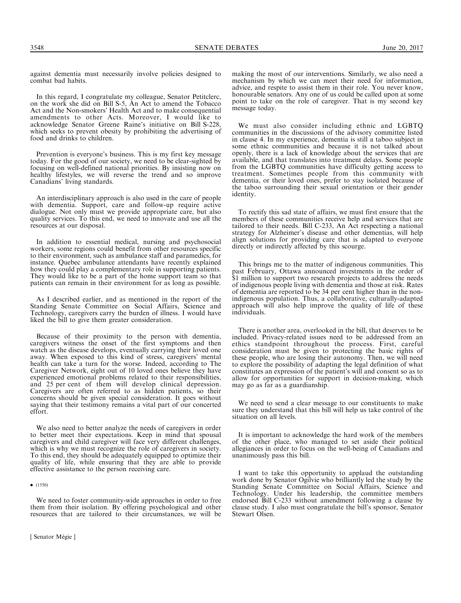3548 SENATE DEBATES June 20, 2017

In this regard, I congratulate my colleague, Senator Petitclerc, on the work she did on Bill S-5, An Act to amend the Tobacco Act and the Non-smokers' Health Act and to make consequential amendments to other Acts. Moreover, I would like to acknowledge Senator Greene Raine's initiative on Bill S-228, which seeks to prevent obesity by prohibiting the advertising of food and drinks to children.

Prevention is everyone's business. This is my first key message today. For the good of our society, we need to be clear-sighted by focusing on well-defined national priorities. By insisting now on healthy lifestyles, we will reverse the trend and so improve Canadians' living standards.

An interdisciplinary approach is also used in the care of people with dementia. Support, care and follow-up require active dialogue. Not only must we provide appropriate care, but also quality services. To this end, we need to innovate and use all the resources at our disposal.

In addition to essential medical, nursing and psychosocial workers, some regions could benefit from other resources specific to their environment, such as ambulance staff and paramedics, for instance. Quebec ambulance attendants have recently explained how they could play a complementary role in supporting patients. They would like to be a part of the home support team so that patients can remain in their environment for as long as possible.

As I described earlier, and as mentioned in the report of the Standing Senate Committee on Social Affairs, Science and Technology, caregivers carry the burden of illness. I would have liked the bill to give them greater consideration.

Because of their proximity to the person with dementia, caregivers witness the onset of the first symptoms and then watch as the disease develops, eventually carrying their loved one away. When exposed to this kind of stress, caregivers' mental health can take a turn for the worse. Indeed, according to The Caregiver Network, eight out of 10 loved ones believe they have experienced emotional problems related to their responsibilities, and 25 per cent of them will develop clinical depression. Caregivers are often referred to as hidden patients, so their concerns should be given special consideration. It goes without saying that their testimony remains a vital part of our concerted effort.

We also need to better analyze the needs of caregivers in order to better meet their expectations. Keep in mind that spousal caregivers and child caregiver will face very different challenges, which is why we must recognize the role of caregivers in society. To this end, they should be adequately equipped to optimize their quality of life, while ensuring that they are able to provide effective assistance to the person receiving care.

We need to foster community-wide approaches in order to free them from their isolation. By offering psychological and other resources that are tailored to their circumstances, we will be

making the most of our interventions. Similarly, we also need a mechanism by which we can meet their need for information, advice, and respite to assist them in their role. You never know, honourable senators. Any one of us could be called upon at some point to take on the role of caregiver. That is my second key message today.

We must also consider including ethnic and LGBTQ communities in the discussions of the advisory committee listed in clause 4. In my experience, dementia is still a taboo subject in some ethnic communities and because it is not talked about openly, there is a lack of knowledge about the services that are available, and that translates into treatment delays. Some people from the LGBTQ communities have difficulty getting access to treatment. Sometimes people from this community with dementia, or their loved ones, prefer to stay isolated because of the taboo surrounding their sexual orientation or their gender identity.

To rectify this sad state of affairs, we must first ensure that the members of these communities receive help and services that are tailored to their needs. Bill C-233, An Act respecting a national strategy for Alzheimer's disease and other dementias, will help align solutions for providing care that is adapted to everyone directly or indirectly affected by this scourge.

This brings me to the matter of indigenous communities. This past February, Ottawa announced investments in the order of \$1 million to support two research projects to address the needs of indigenous people living with dementia and those at risk. Rates of dementia are reported to be 34 per cent higher than in the nonindigenous population. Thus, a collaborative, culturally-adapted approach will also help improve the quality of life of these individuals.

There is another area, overlooked in the bill, that deserves to be included. Privacy-related issues need to be addressed from an ethics standpoint throughout the process. First, careful consideration must be given to protecting the basic rights of these people, who are losing their autonomy. Then, we will need to explore the possibility of adapting the legal definition of what constitutes an expression of the patient's will and consent so as to allow for opportunities for support in decision-making, which may go as far as a guardianship.

We need to send a clear message to our constituents to make sure they understand that this bill will help us take control of the situation on all levels.

It is important to acknowledge the hard work of the members of the other place, who managed to set aside their political allegiances in order to focus on the well-being of Canadians and unanimously pass this bill.

I want to take this opportunity to applaud the outstanding work done by Senator Ogilvie who brilliantly led the study by the Standing Senate Committee on Social Affairs, Science and Technology. Under his leadership, the committee members endorsed Bill C-233 without amendment following a clause by clause study. I also must congratulate the bill's sponsor, Senator Stewart Olsen.

 $\bullet$  (1550)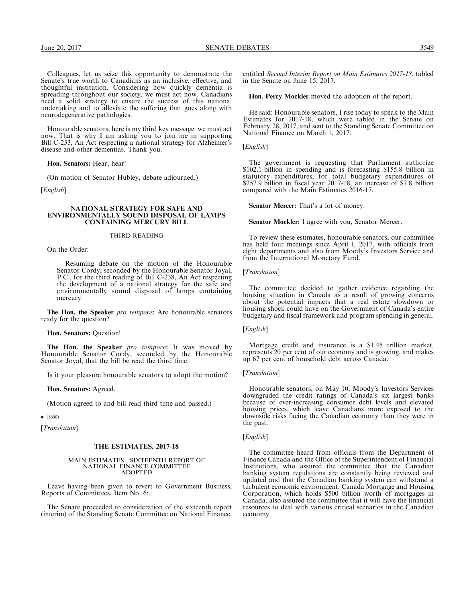Colleagues, let us seize this opportunity to demonstrate the Senate's true worth to Canadians as an inclusive, effective, and thoughtful institution. Considering how quickly dementia is spreading throughout our society, we must act now. Canadians need a solid strategy to ensure the success of this national undertaking and to alleviate the suffering that goes along with neurodegenerative pathologies.

Honourable senators, here is my third key message: we must act now. That is why I am asking you to join me in supporting Bill C-233, An Act respecting a national strategy for Alzheimer's disease and other dementias. Thank you.

Hon. Senators: Hear, hear!

(On motion of Senator Hubley, debate adjourned.)

[*English*]

#### NATIONAL STRATEGY FOR SAFE AND ENVIRONMENTALLY SOUND DISPOSAL OF LAMPS CONTAINING MERCURY BILL

#### THIRD READING

On the Order:

Resuming debate on the motion of the Honourable Senator Cordy, seconded by the Honourable Senator Joyal, P.C., for the third reading of Bill C-238, An Act respecting the development of a national strategy for the safe and environmentally sound disposal of lamps containing mercury.

The Hon. the Speaker pro tempore: Are honourable senators ready for the question?

#### Hon. Senators: Question!

The Hon. the Speaker pro tempore: It was moved by Honourable Senator Cordy, seconded by the Honourable Senator Joyal, that the bill be read the third time.

Is it your pleasure honourable senators to adopt the motion?

## Hon. Senators: Agreed.

(Motion agreed to and bill read third time and passed.)

 $\bullet$  (1600)

[*Translation*]

#### THE ESTIMATES, 2017-18

#### MAIN ESTIMATES—SIXTEENTH REPORT OF NATIONAL FINANCE COMMITTEE ADOPTED

Leave having been given to revert to Government Business, Reports of Committees, Item No. 6:

The Senate proceeded to consideration of the sixteenth report (interim) of the Standing Senate Committee on National Finance, entitled Second Interim Report on Main Estimates 2017-18, tabled in the Senate on June 15, 2017.

Hon. Percy Mockler moved the adoption of the report.

He said: Honourable senators, I rise today to speak to the Main Estimates for 2017-18, which were tabled in the Senate on February 28, 2017, and sent to the Standing Senate Committee on National Finance on March 1, 2017.

[English]

The government is requesting that Parliament authorize \$102.1 billion in spending and is forecasting \$155.8 billion in statutory expenditures, for total budgetary expenditures of \$257.9 billion in fiscal year 2017-18, an increase of \$7.8 billion compared with the Main Estimates 2016-17.

Senator Mercer: That's a lot of money.

Senator Mockler: I agree with you, Senator Mercer.

To review these estimates, honourable senators, our committee has held four meetings since April 1, 2017, with officials from eight departments and also from Moody's Investors Service and from the International Monetary Fund.

[*Translation*]

The committee decided to gather evidence regarding the housing situation in Canada as a result of growing concerns about the potential impacts that a real estate slowdown or housing shock could have on the Government of Canada's entire budgetary and fiscal framework and program spending in general.

## [English]

Mortgage credit and insurance is a \$1.45 trillion market, represents 20 per cent of our economy and is growing, and makes up 67 per cent of household debt across Canada.

#### [Translation]

Honourable senators, on May 10, Moody's Investors Services downgraded the credit ratings of Canada's six largest banks because of ever-increasing consumer debt levels and elevated housing prices, which leave Canadians more exposed to the downside risks facing the Canadian economy than they were in the past.

[*English*]

The committee heard from officials from the Department of Finance Canada and the Office of the Superintendent of Financial Institutions, who assured the committee that the Canadian banking system regulations are constantly being reviewed and updated and that the Canadian banking system can withstand a turbulent economic environment. Canada Mortgage and Housing Corporation, which holds \$500 billion worth of mortgages in Canada, also assured the committee that it will have the financial resources to deal with various critical scenarios in the Canadian economy.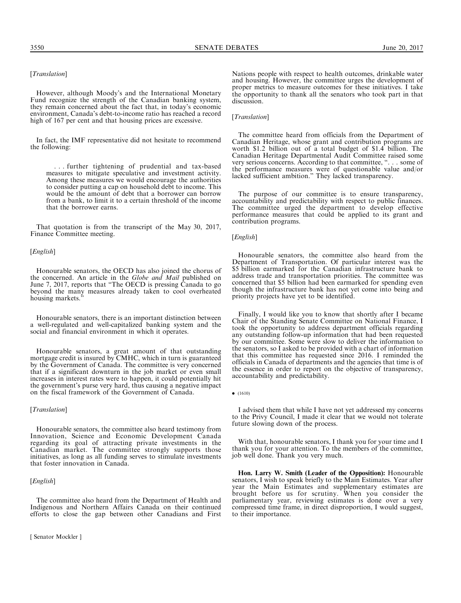## [Translation]

However, although Moody's and the International Monetary Fund recognize the strength of the Canadian banking system, they remain concerned about the fact that, in today's economic environment, Canada's debt-to-income ratio has reached a record high of 167 per cent and that housing prices are excessive.

In fact, the IMF representative did not hesitate to recommend the following:

. . . further tightening of prudential and tax-based measures to mitigate speculative and investment activity. Among these measures we would encourage the authorities to consider putting a cap on household debt to income. This would be the amount of debt that a borrower can borrow from a bank, to limit it to a certain threshold of the income that the borrower earns.

That quotation is from the transcript of the May 30, 2017, Finance Committee meeting.

#### [*English*]

Honourable senators, the OECD has also joined the chorus of the concerned. An article in the *Globe and Mail* published on June 7, 2017, reports that ''The OECD is pressing Canada to go beyond the many measures already taken to cool overheated housing markets.''

Honourable senators, there is an important distinction between a well-regulated and well-capitalized banking system and the social and financial environment in which it operates.

Honourable senators, a great amount of that outstanding mortgage credit is insured by CMHC, which in turn is guaranteed by the Government of Canada. The committee is very concerned that if a significant downturn in the job market or even small increases in interest rates were to happen, it could potentially hit the government's purse very hard, thus causing a negative impact on the fiscal framework of the Government of Canada.

#### [*Translation*]

Honourable senators, the committee also heard testimony from Innovation, Science and Economic Development Canada regarding its goal of attracting private investments in the Canadian market. The committee strongly supports those initiatives, as long as all funding serves to stimulate investments that foster innovation in Canada.

## [English]

The committee also heard from the Department of Health and Indigenous and Northern Affairs Canada on their continued efforts to close the gap between other Canadians and First

[ Senator Mockler ]

Nations people with respect to health outcomes, drinkable water and housing. However, the committee urges the development of proper metrics to measure outcomes for these initiatives. I take the opportunity to thank all the senators who took part in that discussion.

## [Translation]

The committee heard from officials from the Department of Canadian Heritage, whose grant and contribution programs are worth \$1.2 billion out of a total budget of \$1.4 billion. The Canadian Heritage Departmental Audit Committee raised some very serious concerns. According to that committee, ''. . . some of the performance measures were of questionable value and/or lacked sufficient ambition.'' They lacked transparency.

The purpose of our committee is to ensure transparency, accountability and predictability with respect to public finances. The committee urged the department to develop effective performance measures that could be applied to its grant and contribution programs.

## [*English*]

Honourable senators, the committee also heard from the Department of Transportation. Of particular interest was the \$5 billion earmarked for the Canadian infrastructure bank to address trade and transportation priorities. The committee was concerned that \$5 billion had been earmarked for spending even though the infrastructure bank has not yet come into being and priority projects have yet to be identified.

Finally, I would like you to know that shortly after I became Chair of the Standing Senate Committee on National Finance, I took the opportunity to address department officials regarding any outstanding follow-up information that had been requested by our committee. Some were slow to deliver the information to the senators, so I asked to be provided with a chart of information that this committee has requested since 2016. I reminded the officials in Canada of departments and the agencies that time is of the essence in order to report on the objective of transparency, accountability and predictability.

I advised them that while I have not yet addressed my concerns to the Privy Council, I made it clear that we would not tolerate future slowing down of the process.

With that, honourable senators, I thank you for your time and I thank you for your attention. To the members of the committee, job well done. Thank you very much.

Hon. Larry W. Smith (Leader of the Opposition): Honourable senators, I wish to speak briefly to the Main Estimates. Year after year the Main Estimates and supplementary estimates are brought before us for scrutiny. When you consider the parliamentary year, reviewing estimates is done over a very compressed time frame, in direct disproportion, I would suggest, to their importance.

 $\bullet$  (1610)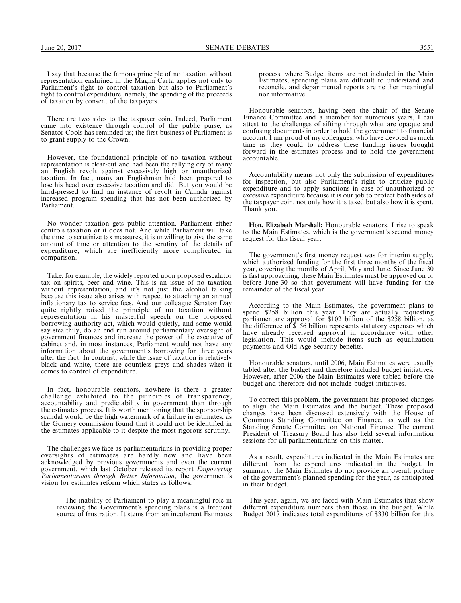I say that because the famous principle of no taxation without representation enshrined in the Magna Carta applies not only to Parliament's fight to control taxation but also to Parliament's fight to control expenditure, namely, the spending of the proceeds of taxation by consent of the taxpayers.

There are two sides to the taxpayer coin. Indeed, Parliament came into existence through control of the public purse, as Senator Cools has reminded us; the first business of Parliament is to grant supply to the Crown.

However, the foundational principle of no taxation without representation is clear-cut and had been the rallying cry of many an English revolt against excessively high or unauthorized taxation. In fact, many an Englishman had been prepared to lose his head over excessive taxation and did. But you would be hard-pressed to find an instance of revolt in Canada against increased program spending that has not been authorized by Parliament.

No wonder taxation gets public attention. Parliament either controls taxation or it does not. And while Parliament will take the time to scrutinize tax measures, it is unwilling to give the same amount of time or attention to the scrutiny of the details of expenditure, which are inefficiently more complicated in comparison.

Take, for example, the widely reported upon proposed escalator tax on spirits, beer and wine. This is an issue of no taxation without representation, and it's not just the alcohol talking because this issue also arises with respect to attaching an annual inflationary tax to service fees. And our colleague Senator Day quite rightly raised the principle of no taxation without representation in his masterful speech on the proposed borrowing authority act, which would quietly, and some would say stealthily, do an end run around parliamentary oversight of government finances and increase the power of the executive of cabinet and, in most instances, Parliament would not have any information about the government's borrowing for three years after the fact. In contrast, while the issue of taxation is relatively black and white, there are countless greys and shades when it comes to control of expenditure.

In fact, honourable senators, nowhere is there a greater challenge exhibited to the principles of transparency, accountability and predictability in government than through the estimates process. It is worth mentioning that the sponsorship scandal would be the high watermark of a failure in estimates, as the Gomery commission found that it could not be identified in the estimates applicable to it despite the most rigorous scrutiny.

The challenges we face as parliamentarians in providing proper oversights of estimates are hardly new and have been acknowledged by previous governments and even the current government, which last October released its report Empowering Parliamentarians through Better Information, the government's vision for estimates reform which states as follows:

The inability of Parliament to play a meaningful role in reviewing the Government's spending plans is a frequent source of frustration. It stems from an incoherent Estimates

process, where Budget items are not included in the Main Estimates, spending plans are difficult to understand and reconcile, and departmental reports are neither meaningful nor informative.

Honourable senators, having been the chair of the Senate Finance Committee and a member for numerous years, I can attest to the challenges of sifting through what are opaque and confusing documents in order to hold the government to financial account. I am proud of my colleagues, who have devoted as much time as they could to address these funding issues brought forward in the estimates process and to hold the government accountable.

Accountability means not only the submission of expenditures for inspection, but also Parliament's right to criticize public expenditure and to apply sanctions in case of unauthorized or excessive expenditure because it is our job to protect both sides of the taxpayer coin, not only how it is taxed but also how it is spent. Thank you.

Hon. Elizabeth Marshall: Honourable senators, I rise to speak to the Main Estimates, which is the government's second money request for this fiscal year.

The government's first money request was for interim supply, which authorized funding for the first three months of the fiscal year, covering the months of April, May and June. Since June 30 is fast approaching, these Main Estimates must be approved on or before June 30 so that government will have funding for the remainder of the fiscal year.

According to the Main Estimates, the government plans to spend \$258 billion this year. They are actually requesting parliamentary approval for \$102 billion of the \$258 billion, as the difference of \$156 billion represents statutory expenses which have already received approval in accordance with other legislation. This would include items such as equalization payments and Old Age Security benefits.

Honourable senators, until 2006, Main Estimates were usually tabled after the budget and therefore included budget initiatives. However, after 2006 the Main Estimates were tabled before the budget and therefore did not include budget initiatives.

To correct this problem, the government has proposed changes to align the Main Estimates and the budget. These proposed changes have been discussed extensively with the House of Commons Standing Committee on Finance, as well as the Standing Senate Committee on National Finance. The current President of Treasury Board has also held several information sessions for all parliamentarians on this matter.

As a result, expenditures indicated in the Main Estimates are different from the expenditures indicated in the budget. In summary, the Main Estimates do not provide an overall picture of the government's planned spending for the year, as anticipated in their budget.

This year, again, we are faced with Main Estimates that show different expenditure numbers than those in the budget. While Budget 2017 indicates total expenditures of \$330 billion for this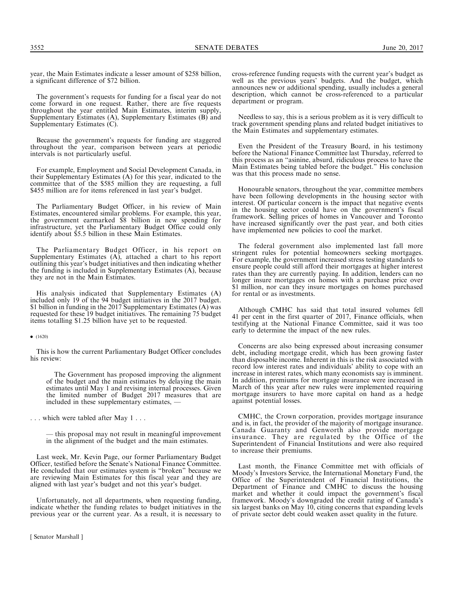The government's requests for funding for a fiscal year do not come forward in one request. Rather, there are five requests throughout the year entitled Main Estimates, interim supply, Supplementary Estimates (A), Supplementary Estimates (B) and Supplementary Estimates  $(C)$ .

Because the government's requests for funding are staggered throughout the year, comparison between years at periodic intervals is not particularly useful.

For example, Employment and Social Development Canada, in their Supplementary Estimates (A) for this year, indicated to the committee that of the \$585 million they are requesting, a full \$455 million are for items referenced in last year's budget.

The Parliamentary Budget Officer, in his review of Main Estimates, encountered similar problems. For example, this year, the government earmarked \$8 billion in new spending for infrastructure, yet the Parliamentary Budget Office could only identify about \$5.5 billion in these Main Estimates.

The Parliamentary Budget Officer, in his report on Supplementary Estimates (A), attached a chart to his report outlining this year's budget initiatives and then indicating whether the funding is included in Supplementary Estimates (A), because they are not in the Main Estimates.

His analysis indicated that Supplementary Estimates (A) included only 19 of the 94 budget initiatives in the 2017 budget. \$1 billion in funding in the 2017 Supplementary Estimates (A) was requested for these 19 budget initiatives. The remaining 75 budget items totalling \$1.25 billion have yet to be requested.

#### $\bullet$  (1620)

This is how the current Parliamentary Budget Officer concludes his review:

The Government has proposed improving the alignment of the budget and the main estimates by delaying the main estimates until May 1 and revising internal processes. Given the limited number of Budget 2017 measures that are included in these supplementary estimates, -

. . . which were tabled after May 1 . . .

— this proposal may not result in meaningful improvement in the alignment of the budget and the main estimates.

Last week, Mr. Kevin Page, our former Parliamentary Budget Officer, testified before the Senate's National Finance Committee. He concluded that our estimates system is ''broken'' because we are reviewing Main Estimates for this fiscal year and they are aligned with last year's budget and not this year's budget.

Unfortunately, not all departments, when requesting funding, indicate whether the funding relates to budget initiatives in the previous year or the current year. As a result, it is necessary to cross-reference funding requests with the current year's budget as well as the previous years' budgets. And the budget, which announces new or additional spending, usually includes a general description, which cannot be cross-referenced to a particular department or program.

Needless to say, this is a serious problem as it is very difficult to track government spending plans and related budget initiatives to the Main Estimates and supplementary estimates.

Even the President of the Treasury Board, in his testimony before the National Finance Committee last Thursday, referred to this process as an ''asinine, absurd, ridiculous process to have the Main Estimates being tabled before the budget.'' His conclusion was that this process made no sense.

Honourable senators, throughout the year, committee members have been following developments in the housing sector with interest. Of particular concern is the impact that negative events in the housing sector could have on the government's fiscal framework. Selling prices of homes in Vancouver and Toronto have increased significantly over the past year, and both cities have implemented new policies to cool the market.

The federal government also implemented last fall more stringent rules for potential homeowners seeking mortgages. For example, the government increased stress testing standards to ensure people could still afford their mortgages at higher interest rates than they are currently paying. In addition, lenders can no longer insure mortgages on homes with a purchase price over \$1 million, nor can they insure mortgages on homes purchased for rental or as investments.

Although CMHC has said that total insured volumes fell 41 per cent in the first quarter of 2017, Finance officials, when testifying at the National Finance Committee, said it was too early to determine the impact of the new rules.

Concerns are also being expressed about increasing consumer debt, including mortgage credit, which has been growing faster than disposable income. Inherent in this is the risk associated with record low interest rates and individuals' ability to cope with an increase in interest rates, which many economists say is imminent. In addition, premiums for mortgage insurance were increased in March of this year after new rules were implemented requiring mortgage insurers to have more capital on hand as a hedge against potential losses.

CMHC, the Crown corporation, provides mortgage insurance and is, in fact, the provider of the majority of mortgage insurance. Canada Guaranty and Genworth also provide mortgage insurance. They are regulated by the Office of the Superintendent of Financial Institutions and were also required to increase their premiums.

Last month, the Finance Committee met with officials of Moody's Investors Service, the International Monetary Fund, the Office of the Superintendent of Financial Institutions, the Department of Finance and CMHC to discuss the housing market and whether it could impact the government's fiscal framework. Moody's downgraded the credit rating of Canada's six largest banks on May 10, citing concerns that expanding levels of private sector debt could weaken asset quality in the future.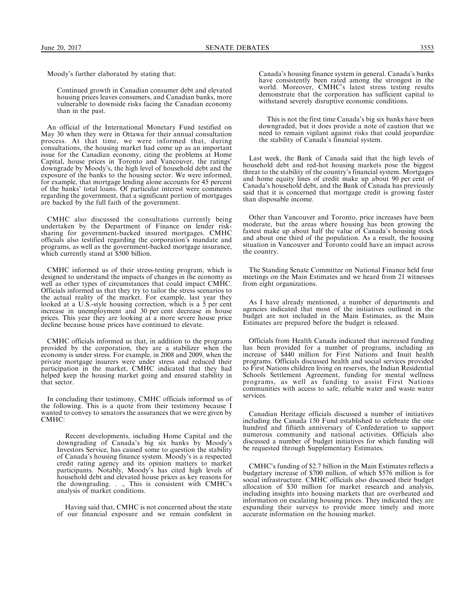Moody's further elaborated by stating that:

Continued growth in Canadian consumer debt and elevated housing prices leaves consumers, and Canadian banks, more vulnerable to downside risks facing the Canadian economy than in the past.

An official of the International Monetary Fund testified on May 30 when they were in Ottawa for their annual consultation process. At that time, we were informed that, during consultations, the housing market had come up as an important issue for the Canadian economy, citing the problems at Home Capital, house prices in Toronto and Vancouver, the ratings' downgrade by Moody's, the high level of household debt and the exposure of the banks to the housing sector. We were informed, for example, that mortgage lending alone accounts for 45 percent of the banks' total loans. Of particular interest were comments regarding the government, that a significant portion of mortgages are backed by the full faith of the government.

CMHC also discussed the consultations currently being undertaken by the Department of Finance on lender risksharing for government-backed insured mortgages. CMHC officials also testified regarding the corporation's mandate and programs, as well as the government-backed mortgage insurance, which currently stand at \$500 billion.

CMHC informed us of their stress-testing program, which is designed to understand the impacts of changes in the economy as well as other types of circumstances that could impact CMHC. Officials informed us that they try to tailor the stress scenarios to the actual reality of the market. For example, last year they looked at a U.S.-style housing correction, which is a 5 per cent increase in unemployment and 30 per cent decrease in house prices. This year they are looking at a more severe house price decline because house prices have continued to elevate.

CMHC officials informed us that, in addition to the programs provided by the corporation, they are a stabilizer when the economy is under stress. For example, in 2008 and 2009, when the private mortgage insurers were under stress and reduced their participation in the market, CMHC indicated that they had helped keep the housing market going and ensured stability in that sector.

In concluding their testimony, CMHC officials informed us of the following. This is a quote from their testimony because I wanted to convey to senators the assurances that we were given by CMHC:

Recent developments, including Home Capital and the downgrading of Canada's big six banks by Moody's Investors Service, has caused some to question the stability of Canada's housing finance system. Moody's is a respected credit rating agency and its opinion matters to market participants. Notably, Moody's has cited high levels of household debt and elevated house prices as key reasons for the downgrading. . ., This is consistent with CMHC's analysis of market conditions.

Having said that, CMHC is not concerned about the state of our financial exposure and we remain confident in Canada's housing finance system in general. Canada's banks have consistently been rated among the strongest in the world. Moreover, CMHC's latest stress testing results demonstrate that the corporation has sufficient capital to withstand severely disruptive economic conditions.

This is not the first time Canada's big six banks have been downgraded, but it does provide a note of caution that we need to remain vigilant against risks that could jeopardize the stability of Canada's financial system.

Last week, the Bank of Canada said that the high levels of household debt and red-hot housing markets pose the biggest threat to the stability of the country's financial system. Mortgages and home equity lines of credit make up about 90 per cent of Canada's household debt, and the Bank of Canada has previously said that it is concerned that mortgage credit is growing faster than disposable income.

Other than Vancouver and Toronto, price increases have been moderate, but the areas where housing has been growing the fastest make up about half the value of Canada's housing stock and about one third of the population. As a result, the housing situation in Vancouver and Toronto could have an impact across the country.

The Standing Senate Committee on National Finance held four meetings on the Main Estimates and we heard from 21 witnesses from eight organizations.

As I have already mentioned, a number of departments and agencies indicated that most of the initiatives outlined in the budget are not included in the Main Estimates, as the Main Estimates are prepared before the budget is released.

Officials from Health Canada indicated that increased funding has been provided for a number of programs, including an increase of \$440 million for First Nations and Inuit health programs. Officials discussed health and social services provided to First Nations children living on reserves, the Indian Residential Schools Settlement Agreement, funding for mental wellness programs, as well as funding to assist First Nations communities with access to safe, reliable water and waste water services.

Canadian Heritage officials discussed a number of initiatives including the Canada 150 Fund established to celebrate the one hundred and fiftieth anniversary of Confederation to support numerous community and national activities. Officials also discussed a number of budget initiatives for which funding will be requested through Supplementary Estimates.

CMHC's funding of \$2.7 billion in the Main Estimates reflects a budgetary increase of \$700 million, of which \$576 million is for social infrastructure. CMHC officials also discussed their budget allocation of \$30 million for market research and analysis, including insights into housing markets that are overheated and information on escalating housing prices. They indicated they are expanding their surveys to provide more timely and more accurate information on the housing market.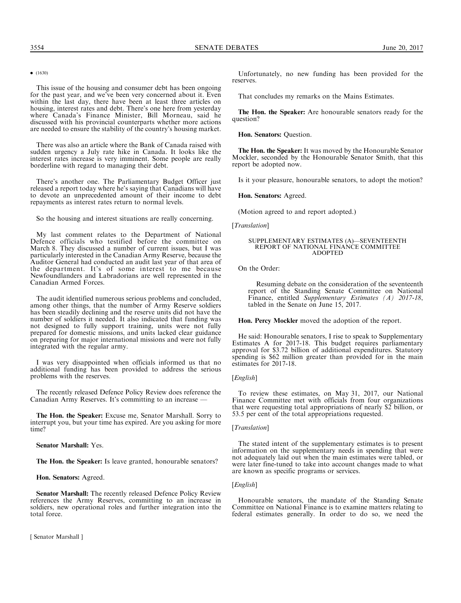This issue of the housing and consumer debt has been ongoing for the past year, and we've been very concerned about it. Even within the last day, there have been at least three articles on housing, interest rates and debt. There's one here from yesterday where Canada's Finance Minister, Bill Morneau, said he discussed with his provincial counterparts whether more actions are needed to ensure the stability of the country's housing market.

There was also an article where the Bank of Canada raised with sudden urgency a July rate hike in Canada. It looks like the interest rates increase is very imminent. Some people are really borderline with regard to managing their debt.

There's another one. The Parliamentary Budget Officer just released a report today where he's saying that Canadians will have to devote an unprecedented amount of their income to debt repayments as interest rates return to normal levels.

So the housing and interest situations are really concerning.

My last comment relates to the Department of National Defence officials who testified before the committee on March 8. They discussed a number of current issues, but I was particularly interested in the Canadian Army Reserve, because the Auditor General had conducted an audit last year of that area of the department. It's of some interest to me because Newfoundlanders and Labradorians are well represented in the Canadian Armed Forces.

The audit identified numerous serious problems and concluded, among other things, that the number of Army Reserve soldiers has been steadily declining and the reserve units did not have the number of soldiers it needed. It also indicated that funding was not designed to fully support training, units were not fully prepared for domestic missions, and units lacked clear guidance on preparing for major international missions and were not fully integrated with the regular army.

I was very disappointed when officials informed us that no additional funding has been provided to address the serious problems with the reserves.

The recently released Defence Policy Review does reference the Canadian Army Reserves. It's committing to an increase

The Hon. the Speaker: Excuse me, Senator Marshall. Sorry to interrupt you, but your time has expired. Are you asking for more time?

Senator Marshall: Yes.

The Hon. the Speaker: Is leave granted, honourable senators?

Hon. Senators: Agreed.

Senator Marshall: The recently released Defence Policy Review references the Army Reserves, committing to an increase in soldiers, new operational roles and further integration into the total force.

[ Senator Marshall ]

Unfortunately, no new funding has been provided for the reserves.

That concludes my remarks on the Mains Estimates.

The Hon. the Speaker: Are honourable senators ready for the question?

Hon. Senators: Question.

The Hon. the Speaker: It was moved by the Honourable Senator Mockler, seconded by the Honourable Senator Smith, that this report be adopted now.

Is it your pleasure, honourable senators, to adopt the motion?

Hon. Senators: Agreed.

(Motion agreed to and report adopted.)

[*Translation*]

#### SUPPLEMENTARY ESTIMATES (A)—SEVENTEENTH REPORT OF NATIONAL FINANCE COMMITTEE ADOPTED

On the Order:

Resuming debate on the consideration of the seventeenth report of the Standing Senate Committee on National Finance, entitled *Supplementary Estimates (A) 2017-18*, tabled in the Senate on June 15, 2017.

Hon. Percy Mockler moved the adoption of the report.

He said: Honourable senators, I rise to speak to Supplementary Estimates A for 2017-18. This budget requires parliamentary approval for \$3.72 billion of additional expenditures. Statutory spending is \$62 million greater than provided for in the main estimates for 2017-18.

#### [*English*]

To review these estimates, on May 31, 2017, our National Finance Committee met with officials from four organizations that were requesting total appropriations of nearly \$2 billion, or 53.5 per cent of the total appropriations requested.

## [Translation]

The stated intent of the supplementary estimates is to present information on the supplementary needs in spending that were not adequately laid out when the main estimates were tabled, or were later fine-tuned to take into account changes made to what are known as specific programs or services.

#### [*English*]

Honourable senators, the mandate of the Standing Senate Committee on National Finance is to examine matters relating to federal estimates generally. In order to do so, we need the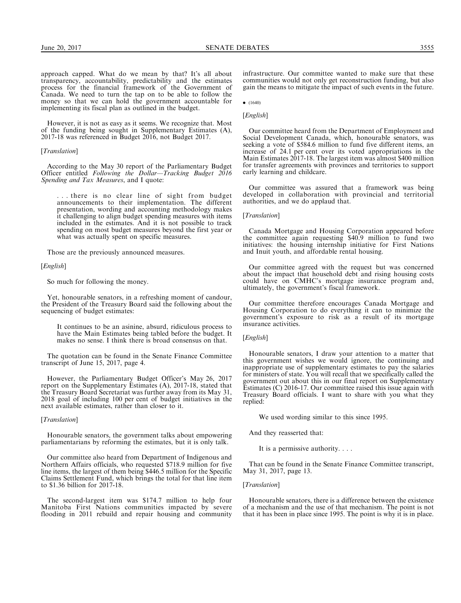approach capped. What do we mean by that? It's all about transparency, accountability, predictability and the estimates process for the financial framework of the Government of Canada. We need to turn the tap on to be able to follow the money so that we can hold the government accountable for implementing its fiscal plan as outlined in the budget.

However, it is not as easy as it seems. We recognize that. Most of the funding being sought in Supplementary Estimates (A), 2017-18 was referenced in Budget 2016, not Budget 2017.

## [*Translation*]

According to the May 30 report of the Parliamentary Budget Officer entitled Following the Dollar*—*Tracking Budget 2016 Spending and Tax Measures, and I quote:

. . . there is no clear line of sight from budget announcements to their implementation. The different presentation, wording and accounting methodology makes it challenging to align budget spending measures with items included in the estimates. And it is not possible to track spending on most budget measures beyond the first year or what was actually spent on specific measures.

Those are the previously announced measures.

#### [English]

So much for following the money.

Yet, honourable senators, in a refreshing moment of candour, the President of the Treasury Board said the following about the sequencing of budget estimates:

It continues to be an asinine, absurd, ridiculous process to have the Main Estimates being tabled before the budget. It makes no sense. I think there is broad consensus on that.

The quotation can be found in the Senate Finance Committee transcript of June 15, 2017, page 4.

However, the Parliamentary Budget Officer's May 26, 2017 report on the Supplementary Estimates (A), 2017-18, stated that the Treasury Board Secretariat was further away from its May 31, 2018 goal of including 100 per cent of budget initiatives in the next available estimates, rather than closer to it.

### [Translation]

Honourable senators, the government talks about empowering parliamentarians by reforming the estimates, but it is only talk.

Our committee also heard from Department of Indigenous and Northern Affairs officials, who requested \$718.9 million for five line items, the largest of them being \$446.5 million for the Specific Claims Settlement Fund, which brings the total for that line item to \$1.36 billion for 2017-18.

The second-largest item was \$174.7 million to help four Manitoba First Nations communities impacted by severe flooding in 2011 rebuild and repair housing and community

infrastructure. Our committee wanted to make sure that these communities would not only get reconstruction funding, but also gain the means to mitigate the impact of such events in the future.

 $\bullet$  (1640)

## [*English*]

Our committee heard from the Department of Employment and Social Development Canada, which, honourable senators, was seeking a vote of \$584.6 million to fund five different items, an increase of 24.1 per cent over its voted appropriations in the Main Estimates 2017-18. The largest item was almost \$400 million for transfer agreements with provinces and territories to support early learning and childcare.

Our committee was assured that a framework was being developed in collaboration with provincial and territorial authorities, and we do applaud that.

## [*Translation*]

Canada Mortgage and Housing Corporation appeared before the committee again requesting \$40.9 million to fund two initiatives: the housing internship initiative for First Nations and Inuit youth, and affordable rental housing.

Our committee agreed with the request but was concerned about the impact that household debt and rising housing costs could have on CMHC's mortgage insurance program and, ultimately, the government's fiscal framework.

Our committee therefore encourages Canada Mortgage and Housing Corporation to do everything it can to minimize the government's exposure to risk as a result of its mortgage insurance activities.

## [*English*]

Honourable senators, I draw your attention to a matter that this government wishes we would ignore, the continuing and inappropriate use of supplementary estimates to pay the salaries for ministers of state. You will recall that we specifically called the government out about this in our final report on Supplementary Estimates (C) 2016-17. Our committee raised this issue again with Treasury Board officials. I want to share with you what they replied:

We used wording similar to this since 1995.

And they reasserted that:

It is a permissive authority. . . .

That can be found in the Senate Finance Committee transcript, May 31, 2017, page 13.

#### [Translation]

Honourable senators, there is a difference between the existence of a mechanism and the use of that mechanism. The point is not that it has been in place since 1995. The point is why it is in place.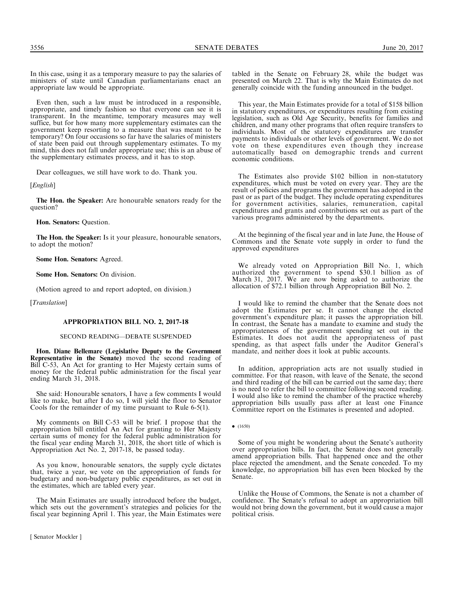In this case, using it as a temporary measure to pay the salaries of ministers of state until Canadian parliamentarians enact an appropriate law would be appropriate.

Even then, such a law must be introduced in a responsible, appropriate, and timely fashion so that everyone can see it is transparent. In the meantime, temporary measures may well suffice, but for how many more supplementary estimates can the government keep resorting to a measure that was meant to be temporary? On four occasions so far have the salaries of ministers of state been paid out through supplementary estimates. To my mind, this does not fall under appropriate use; this is an abuse of the supplementary estimates process, and it has to stop.

Dear colleagues, we still have work to do. Thank you.

[*English*]

The Hon. the Speaker: Are honourable senators ready for the question?

Hon. Senators: Question.

The Hon. the Speaker: Is it your pleasure, honourable senators, to adopt the motion?

Some Hon. Senators: Agreed.

Some Hon. Senators: On division.

(Motion agreed to and report adopted, on division.)

[Translation]

#### APPROPRIATION BILL NO. 2, 2017-18

SECOND READING—DEBATE SUSPENDED

Hon. Diane Bellemare (Legislative Deputy to the Government Representative in the Senate) moved the second reading of Bill C-53, An Act for granting to Her Majesty certain sums of money for the federal public administration for the fiscal year ending March 31, 2018.

She said: Honourable senators, I have a few comments I would like to make, but after I do so, I will yield the floor to Senator Cools for the remainder of my time pursuant to Rule 6-5(1).

My comments on Bill C-53 will be brief. I propose that the appropriation bill entitled An Act for granting to Her Majesty certain sums of money for the federal public administration for the fiscal year ending March 31, 2018, the short title of which is Appropriation Act No. 2, 2017-18, be passed today.

As you know, honourable senators, the supply cycle dictates that, twice a year, we vote on the appropriation of funds for budgetary and non-budgetary public expenditures, as set out in the estimates, which are tabled every year.

The Main Estimates are usually introduced before the budget, which sets out the government's strategies and policies for the fiscal year beginning April 1. This year, the Main Estimates were

[ Senator Mockler ]

tabled in the Senate on February 28, while the budget was presented on March 22. That is why the Main Estimates do not generally coincide with the funding announced in the budget.

This year, the Main Estimates provide for a total of \$158 billion in statutory expenditures, or expenditures resulting from existing legislation, such as Old Age Security, benefits for families and children, and many other programs that often require transfers to individuals. Most of the statutory expenditures are transfer payments to individuals or other levels of government. We do not vote on these expenditures even though they increase automatically based on demographic trends and current economic conditions.

The Estimates also provide \$102 billion in non-statutory expenditures, which must be voted on every year. They are the result of policies and programs the government has adopted in the past or as part of the budget. They include operating expenditures for government activities, salaries, remuneration, capital expenditures and grants and contributions set out as part of the various programs administered by the departments.

At the beginning of the fiscal year and in late June, the House of Commons and the Senate vote supply in order to fund the approved expenditures

We already voted on Appropriation Bill No. 1, which authorized the government to spend \$30.1 billion as of March 31, 2017. We are now being asked to authorize the allocation of \$72.1 billion through Appropriation Bill No. 2.

I would like to remind the chamber that the Senate does not adopt the Estimates per se. It cannot change the elected government's expenditure plan; it passes the appropriation bill. In contrast, the Senate has a mandate to examine and study the appropriateness of the government spending set out in the Estimates. It does not audit the appropriateness of past spending, as that aspect falls under the Auditor General's mandate, and neither does it look at public accounts.

In addition, appropriation acts are not usually studied in committee. For that reason, with leave of the Senate, the second and third reading of the bill can be carried out the same day; there is no need to refer the bill to committee following second reading. I would also like to remind the chamber of the practice whereby appropriation bills usually pass after at least one Finance Committee report on the Estimates is presented and adopted.

 $\bullet$  (1650)

Some of you might be wondering about the Senate's authority over appropriation bills. In fact, the Senate does not generally amend appropriation bills. That happened once and the other place rejected the amendment, and the Senate conceded. To my knowledge, no appropriation bill has even been blocked by the Senate.

Unlike the House of Commons, the Senate is not a chamber of confidence. The Senate's refusal to adopt an appropriation bill would not bring down the government, but it would cause a major political crisis.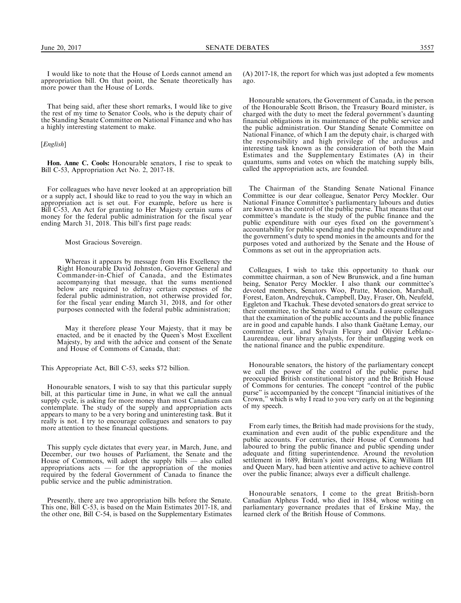I would like to note that the House of Lords cannot amend an appropriation bill. On that point, the Senate theoretically has more power than the House of Lords.

That being said, after these short remarks, I would like to give the rest of my time to Senator Cools, who is the deputy chair of the Standing Senate Committee on National Finance and who has a highly interesting statement to make.

[*English*]

Hon. Anne C. Cools: Honourable senators, I rise to speak to Bill C-53, Appropriation Act No. 2, 2017-18.

For colleagues who have never looked at an appropriation bill or a supply act, I should like to read to you the way in which an appropriation act is set out. For example, before us here is Bill C-53, An Act for granting to Her Majesty certain sums of money for the federal public administration for the fiscal year ending March 31, 2018. This bill's first page reads:

Most Gracious Sovereign.

Whereas it appears by message from His Excellency the Right Honourable David Johnston, Governor General and Commander-in-Chief of Canada, and the Estimates accompanying that message, that the sums mentioned below are required to defray certain expenses of the federal public administration, not otherwise provided for, for the fiscal year ending March 31, 2018, and for other purposes connected with the federal public administration;

May it therefore please Your Majesty, that it may be enacted, and be it enacted by the Queen's Most Excellent Majesty, by and with the advice and consent of the Senate and House of Commons of Canada, that:

This Appropriate Act, Bill C-53, seeks \$72 billion.

Honourable senators, I wish to say that this particular supply bill, at this particular time in June, in what we call the annual supply cycle, is asking for more money than most Canadians can contemplate. The study of the supply and appropriation acts appears to many to be a very boring and uninteresting task. But it really is not. I try to encourage colleagues and senators to pay more attention to these financial questions.

This supply cycle dictates that every year, in March, June, and December, our two houses of Parliament, the Senate and the House of Commons, will adopt the supply bills — also called appropriations acts — for the appropriation of the monies required by the federal Government of Canada to finance the public service and the public administration.

Presently, there are two appropriation bills before the Senate. This one, Bill C-53, is based on the Main Estimates 2017-18, and the other one, Bill C-54, is based on the Supplementary Estimates (A) 2017-18, the report for which was just adopted a few moments ago.

Honourable senators, the Government of Canada, in the person of the Honourable Scott Brison, the Treasury Board minister, is charged with the duty to meet the federal government's daunting financial obligations in its maintenance of the public service and the public administration. Our Standing Senate Committee on National Finance, of which I am the deputy chair, is charged with the responsibility and high privilege of the arduous and interesting task known as the consideration of both the Main Estimates and the Supplementary Estimates (A) in their quantums, sums and votes on which the matching supply bills, called the appropriation acts, are founded.

The Chairman of the Standing Senate National Finance Committee is our dear colleague, Senator Percy Mockler. Our National Finance Committee's parliamentary labours and duties are known as the control of the public purse. That means that our committee's mandate is the study of the public finance and the public expenditure with our eyes fixed on the government's accountability for public spending and the public expenditure and the government's duty to spend monies in the amounts and for the purposes voted and authorized by the Senate and the House of Commons as set out in the appropriation acts.

Colleagues, I wish to take this opportunity to thank our committee chairman, a son of New Brunswick, and a fine human being, Senator Percy Mockler. I also thank our committee's devoted members, Senators Woo, Pratte, Moncion, Marshall, Forest, Eaton, Andreychuk, Campbell, Day, Fraser, Oh, Neufeld, Eggleton and Tkachuk. These devoted senators do great service to their committee, to the Senate and to Canada. I assure colleagues that the examination of the public accounts and the public finance are in good and capable hands. I also thank Gaëtane Lemay, our committee clerk, and Sylvain Fleury and Olivier Leblanc-Laurendeau, our library analysts, for their unflagging work on the national finance and the public expenditure.

Honourable senators, the history of the parliamentary concept we call the power of the control of the public purse had preoccupied British constitutional history and the British House of Commons for centuries. The concept ''control of the public purse'' is accompanied by the concept ''financial initiatives of the Crown,'' which is why I read to you very early on at the beginning of my speech.

From early times, the British had made provisions for the study, examination and even audit of the public expenditure and the public accounts. For centuries, their House of Commons had laboured to bring the public finance and public spending under adequate and fitting superintendence. Around the revolution settlement in 1689, Britain's joint sovereigns, King William III and Queen Mary, had been attentive and active to achieve control over the public finance; always ever a difficult challenge.

Honourable senators, I come to the great British-born Canadian Alpheus Todd, who died in 1884, whose writing on parliamentary governance predates that of Erskine May, the learned clerk of the British House of Commons.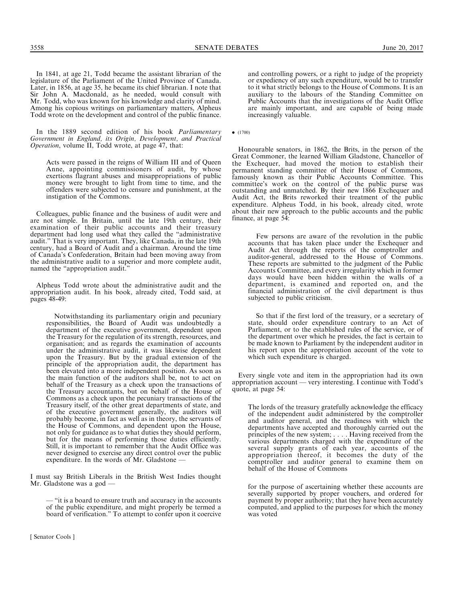In 1841, at age 21, Todd became the assistant librarian of the legislature of the Parliament of the United Province of Canada. Later, in 1856, at age 35, he became its chief librarian. I note that Sir John A. Macdonald, as he needed, would consult with Mr. Todd, who was known for his knowledge and clarity of mind. Among his copious writings on parliamentary matters, Alpheus Todd wrote on the development and control of the public finance.

In the 1889 second edition of his book Parliamentary Government in England, its Origin, Development, and Practical Operation, volume II, Todd wrote, at page 47, that:

Acts were passed in the reigns of William III and of Queen Anne, appointing commissioners of audit, by whose exertions flagrant abuses and misappropriations of public money were brought to light from time to time, and the offenders were subjected to censure and punishment, at the instigation of the Commons.

Colleagues, public finance and the business of audit were and are not simple. In Britain, until the late 19th century, their examination of their public accounts and their treasury department had long used what they called the ''administrative audit.'' That is very important. They, like Canada, in the late 19th century, had a Board of Audit and a chairman. Around the time of Canada's Confederation, Britain had been moving away from the administrative audit to a superior and more complete audit, named the ''appropriation audit.''

Alpheus Todd wrote about the administrative audit and the appropriation audit. In his book, already cited, Todd said, at pages 48-49:

Notwithstanding its parliamentary origin and pecuniary responsibilities, the Board of Audit was undoubtedly a department of the executive government, dependent upon the Treasury for the regulation of its strength, resources, and organisation; and as regards the examination of accounts under the administrative audit, it was likewise dependent upon the Treasury. But by the gradual extension of the principle of the appropriation audit, the department has been elevated into a more independent position. As soon as the main function of the auditors shall be, not to act on behalf of the Treasury as a check upon the transactions of the Treasury accountants, but on behalf of the House of Commons as a check upon the pecuniary transactions of the Treasury itself, of the other great departments of state, and of the executive government generally, the auditors will probably become, in fact as well as in theory, the servants of the House of Commons, and dependent upon the House, not only for guidance as to what duties they should perform, but for the means of performing those duties efficiently. Still, it is important to remember that the Audit Office was never designed to exercise any direct control over the public expenditure. In the words of Mr. Gladstone —

I must say British Liberals in the British West Indies thought Mr. Gladstone was a god —

— ''it is a board to ensure truth and accuracy in the accounts of the public expenditure, and might properly be termed a board of verification.'' To attempt to confer upon it coercive

and controlling powers, or a right to judge of the propriety or expediency of any such expenditure, would be to transfer to it what strictly belongs to the House of Commons. It is an auxiliary to the labours of the Standing Committee on Public Accounts that the investigations of the Audit Office are mainly important, and are capable of being made increasingly valuable.

 $\bullet$  (1700)

Honourable senators, in 1862, the Brits, in the person of the Great Commoner, the learned William Gladstone, Chancellor of the Exchequer, had moved the motion to establish their permanent standing committee of their House of Commons, famously known as their Public Accounts Committee. This committee's work on the control of the public purse was outstanding and unmatched. By their new 1866 Exchequer and Audit Act, the Brits reworked their treatment of the public expenditure. Alpheus Todd, in his book, already cited, wrote about their new approach to the public accounts and the public finance, at page 54:

Few persons are aware of the revolution in the public accounts that has taken place under the Exchequer and Audit Act through the reports of the comptroller and auditor-general, addressed to the House of Commons. These reports are submitted to the judgment of the Public Accounts Committee, and every irregularity which in former days would have been hidden within the walls of a department, is examined and reported on, and the financial administration of the civil department is thus subjected to public criticism.

So that if the first lord of the treasury, or a secretary of state, should order expenditure contrary to an Act of Parliament, or to the established rules of the service, or of the department over which he presides, the fact is certain to be made known to Parliament by the independent auditor in his report upon the appropriation account of the vote to which such expenditure is charged.

Every single vote and item in the appropriation had its own appropriation account — very interesting. I continue with Todd's quote, at page 54:

The lords of the treasury gratefully acknowledge the efficacy of the independent audit administered by the comptroller and auditor general, and the readiness with which the departments have accepted and thoroughly carried out the principles of the new system; . . . . Having received from the various departments charged with the expenditure of the several supply grants of each year, accounts of the appropriation thereof, it becomes the duty of the comptroller and auditor general to examine them on behalf of the House of Commons

for the purpose of ascertaining whether these accounts are severally supported by proper vouchers, and ordered for payment by proper authority; that they have been accurately computed, and applied to the purposes for which the money was voted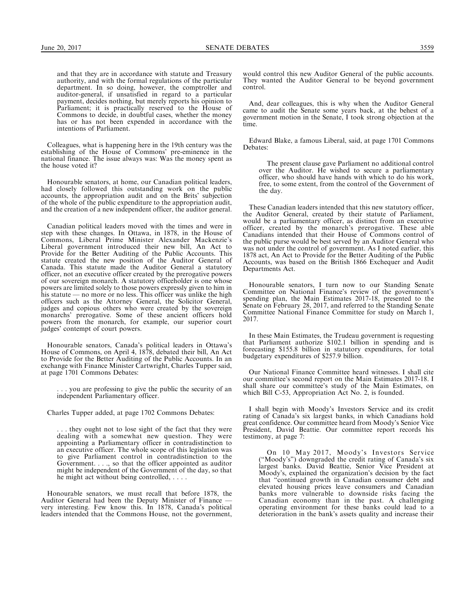and that they are in accordance with statute and Treasury authority, and with the formal regulations of the particular department. In so doing, however, the comptroller and auditor-general, if unsatisfied in regard to a particular payment, decides nothing, but merely reports his opinion to Parliament; it is practically reserved to the House of Commons to decide, in doubtful cases, whether the money has or has not been expended in accordance with the intentions of Parliament.

Colleagues, what is happening here in the 19th century was the establishing of the House of Commons' pre-eminence in the national finance. The issue always was: Was the money spent as the house voted it?

Honourable senators, at home, our Canadian political leaders, had closely followed this outstanding work on the public accounts, the appropriation audit and on the Brits' subjection of the whole of the public expenditure to the appropriation audit, and the creation of a new independent officer, the auditor general.

Canadian political leaders moved with the times and were in step with these changes. In Ottawa, in 1878, in the House of Commons, Liberal Prime Minister Alexander Mackenzie's Liberal government introduced their new bill, An Act to Provide for the Better Auditing of the Public Accounts. This statute created the new position of the Auditor General of Canada. This statute made the Auditor General a statutory officer, not an executive officer created by the prerogative powers of our sovereign monarch. A statutory officeholder is one whose powers are limited solely to those powers expressly given to him in his statute — no more or no less. This officer was unlike the high officers such as the Attorney General, the Solicitor General, judges and copious others who were created by the sovereign monarchs' prerogative. Some of these ancient officers hold powers from the monarch, for example, our superior court judges' contempt of court powers.

Honourable senators, Canada's political leaders in Ottawa's House of Commons, on April 4, 1878, debated their bill, An Act to Provide for the Better Auditing of the Public Accounts. In an exchange with Finance Minister Cartwright, Charles Tupper said, at page 1701 Commons Debates:

. you are professing to give the public the security of an independent Parliamentary officer.

Charles Tupper added, at page 1702 Commons Debates:

. they ought not to lose sight of the fact that they were dealing with a somewhat new question. They were appointing a Parliamentary officer in contradistinction to an executive officer. The whole scope of this legislation was to give Parliament control in contradistinction to the Government. . . ., so that the officer appointed as auditor might be independent of the Government of the day, so that he might act without being controlled, . . . .

Honourable senators, we must recall that before 1878, the Auditor General had been the Deputy Minister of Finance very interesting. Few know this. In 1878, Canada's political leaders intended that the Commons House, not the government,

would control this new Auditor General of the public accounts. They wanted the Auditor General to be beyond government control.

And, dear colleagues, this is why when the Auditor General came to audit the Senate some years back, at the behest of a government motion in the Senate, I took strong objection at the time.

Edward Blake, a famous Liberal, said, at page 1701 Commons Debates:

The present clause gave Parliament no additional control over the Auditor. He wished to secure a parliamentary officer, who should have hands with which to do his work, free, to some extent, from the control of the Government of the day.

These Canadian leaders intended that this new statutory officer, the Auditor General, created by their statute of Parliament, would be a parliamentary officer, as distinct from an executive officer, created by the monarch's prerogative. These able Canadians intended that their House of Commons control of the public purse would be best served by an Auditor General who was not under the control of government. As I noted earlier, this 1878 act, An Act to Provide for the Better Auditing of the Public Accounts, was based on the British 1866 Exchequer and Audit Departments Act.

Honourable senators, I turn now to our Standing Senate Committee on National Finance's review of the government's spending plan, the Main Estimates 2017-18, presented to the Senate on February 28, 2017, and referred to the Standing Senate Committee National Finance Committee for study on March 1, 2017.

In these Main Estimates, the Trudeau government is requesting that Parliament authorize \$102.1 billion in spending and is forecasting \$155.8 billion in statutory expenditures, for total budgetary expenditures of \$257.9 billion.

Our National Finance Committee heard witnesses. I shall cite our committee's second report on the Main Estimates 2017-18. I shall share our committee's study of the Main Estimates, on which Bill C-53, Appropriation Act No. 2, is founded.

I shall begin with Moody's Investors Service and its credit rating of Canada's six largest banks, in which Canadians hold great confidence. Our committee heard from Moody's Senior Vice President, David Beattie. Our committee report records his testimony, at page 7:

On 10 May 2017, Moody's Investors Service (''Moody's'') downgraded the credit rating of Canada's six largest banks. David Beattie, Senior Vice President at Moody's, explained the organization's decision by the fact that ''continued growth in Canadian consumer debt and elevated housing prices leave consumers and Canadian banks more vulnerable to downside risks facing the Canadian economy than in the past. A challenging operating environment for these banks could lead to a deterioration in the bank's assets quality and increase their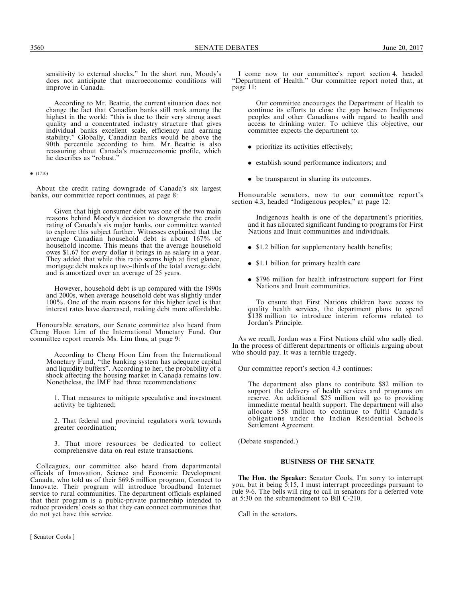sensitivity to external shocks.'' In the short run, Moody's does not anticipate that macroeconomic conditions will improve in Canada.

According to Mr. Beattie, the current situation does not change the fact that Canadian banks still rank among the highest in the world: ''this is due to their very strong asset quality and a concentrated industry structure that gives individual banks excellent scale, efficiency and earning stability.'' Globally, Canadian banks would be above the 90th percentile according to him. Mr. Beattie is also reassuring about Canada's macroeconomic profile, which he describes as ''robust.''

 $\bullet$  (1710)

About the credit rating downgrade of Canada's six largest banks, our committee report continues, at page 8:

Given that high consumer debt was one of the two main reasons behind Moody's decision to downgrade the credit rating of Canada's six major banks, our committee wanted to explore this subject further. Witnesses explained that the average Canadian household debt is about 167% of household income. This means that the average household owes \$1.67 for every dollar it brings in as salary in a year. They added that while this ratio seems high at first glance, mortgage debt makes up two-thirds of the total average debt and is amortized over an average of 25 years.

However, household debt is up compared with the 1990s and 2000s, when average household debt was slightly under 100%. One of the main reasons for this higher level is that interest rates have decreased, making debt more affordable.

Honourable senators, our Senate committee also heard from Cheng Hoon Lim of the International Monetary Fund. Our committee report records Ms. Lim thus, at page 9:

According to Cheng Hoon Lim from the International Monetary Fund, ''the banking system has adequate capital and liquidity buffers''. According to her, the probability of a shock affecting the housing market in Canada remains low. Nonetheless, the IMF had three recommendations:

1. That measures to mitigate speculative and investment activity be tightened;

2. That federal and provincial regulators work towards greater coordination;

3. That more resources be dedicated to collect comprehensive data on real estate transactions.

Colleagues, our committee also heard from departmental officials of Innovation, Science and Economic Development Canada, who told us of their \$69.6 million program, Connect to Innovate. Their program will introduce broadband Internet service to rural communities. The department officials explained that their program is a public-private partnership intended to reduce providers' costs so that they can connect communities that do not yet have this service.

I come now to our committee's report section 4, headed ''Department of Health.'' Our committee report noted that, at page 11:

Our committee encourages the Department of Health to continue its efforts to close the gap between Indigenous peoples and other Canadians with regard to health and access to drinking water. To achieve this objective, our committee expects the department to:

- . prioritize its activities effectively;
- . establish sound performance indicators; and
- be transparent in sharing its outcomes.

Honourable senators, now to our committee report's section 4.3, headed "Indigenous peoples," at page 12:

Indigenous health is one of the department's priorities, and it has allocated significant funding to programs for First Nations and Inuit communities and individuals.

- \$1.2 billion for supplementary health benefits;
- \$1.1 billion for primary health care
- . \$796 million for health infrastructure support for First Nations and Inuit communities.

To ensure that First Nations children have access to quality health services, the department plans to spend \$138 million to introduce interim reforms related to Jordan's Principle.

As we recall, Jordan was a First Nations child who sadly died. In the process of different departments or officials arguing about who should pay. It was a terrible tragedy.

Our committee report's section 4.3 continues:

The department also plans to contribute \$82 million to support the delivery of health services and programs on reserve. An additional \$25 million will go to providing immediate mental health support. The department will also allocate \$58 million to continue to fulfil Canada's obligations under the Indian Residential Schools Settlement Agreement.

(Debate suspended.)

## BUSINESS OF THE SENATE

The Hon. the Speaker: Senator Cools, I'm sorry to interrupt you, but it being 5:15, I must interrupt proceedings pursuant to rule 9-6. The bells will ring to call in senators for a deferred vote at 5:30 on the subamendment to Bill C-210.

Call in the senators.

[ Senator Cools ]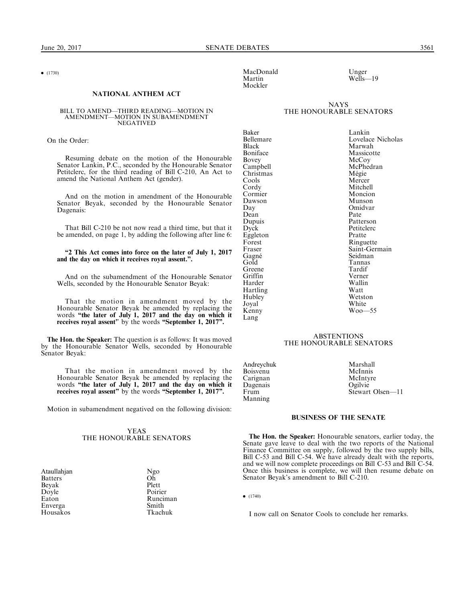$\bullet$  (1730)

#### NATIONAL ANTHEM ACT

#### BILL TO AMEND—THIRD READING—MOTION IN AMENDMENT—MOTION IN SUBAMENDMENT **NEGATIVED**

On the Order:

Resuming debate on the motion of the Honourable Senator Lankin, P.C., seconded by the Honourable Senator Petitclerc, for the third reading of Bill C-210, An Act to amend the National Anthem Act (gender).

And on the motion in amendment of the Honourable Senator Beyak, seconded by the Honourable Senator Dagenais:

That Bill C-210 be not now read a third time, but that it be amended, on page 1, by adding the following after line 6:

#### ''2 This Act comes into force on the later of July 1, 2017 and the day on which it receives royal assent.''.

And on the subamendment of the Honourable Senator Wells, seconded by the Honourable Senator Beyak:

That the motion in amendment moved by the Honourable Senator Beyak be amended by replacing the words "the later of July 1, 2017 and the day on which it receives royal assent" by the words "September 1, 2017".

The Hon. the Speaker: The question is as follows: It was moved by the Honourable Senator Wells, seconded by Honourable Senator Beyak:

That the motion in amendment moved by the Honourable Senator Beyak be amended by replacing the words "the later of July 1, 2017 and the day on which it receives royal assent" by the words "September 1, 2017".

Motion in subamendment negatived on the following division:

## YEAS THE HONOURABLE SENATORS

Ataullahjan Ngo<br>Batters Oh Batters Oh<br>Bevak Plett Beyak Plett<br>Dovle Poirier Doyle<br>Eaton Enverga Smith Housakos

Runciman<br>Smith

MacDonald Unger<br>
Martin Wells—<br>
Wells— Mockler

 $WeIls-19$ 

## **NAYS** THE HONOURABLE SENATORS

Baker Lankin<br>Bellemare Lovelac Black Marwah<br>Boniface Massicot Boniface Massicotte<br>Bovey McCoy Bovey McCoy Christmas<br>Cools Cools Mercer<br>Cordy Mitchel Cormier Moncion<br>Dawson Munson Dawson<br>Day Dean<br>Dupuis Dupuis Patterson<br>Dyck Petitclerc Eggleton Forest Ringuette<br>Fraser Saint-Gerr Gagné<br>Gold Greene Tardif<br>Griffin Verner Griffin Verner Harder Walli:<br>Hartling Watt Hartling Watt Hubley<br>Joyal Kenny Lang

# Bellemare Lovelace Nicholas<br>Black Marwah McPhedran<br>Mégie Mitchell<br>Moncion Omidvar<br>Pate Petitclerc<br>Pratte Saint-Germain<br>Seidman Tannas<br>Tardif White  $W_{00}$  55

## **ABSTENTIONS** THE HONOURABLE SENATORS

Andreychuk Marshall<br>Boisvenu McInnis Boisvenu McInnis<br>Carignan McIntyre Carignan McInty<br>
Dagenais Cogilvie Dagenais<br>Frum Manning

Stewart Olsen-11

#### BUSINESS OF THE SENATE

The Hon. the Speaker: Honourable senators, earlier today, the Senate gave leave to deal with the two reports of the National Finance Committee on supply, followed by the two supply bills, Bill C-53 and Bill C-54. We have already dealt with the reports, and we will now complete proceedings on Bill C-53 and Bill C-54. Once this business is complete, we will then resume debate on Senator Beyak's amendment to Bill C-210.

 $\bullet$  (1740)

I now call on Senator Cools to conclude her remarks.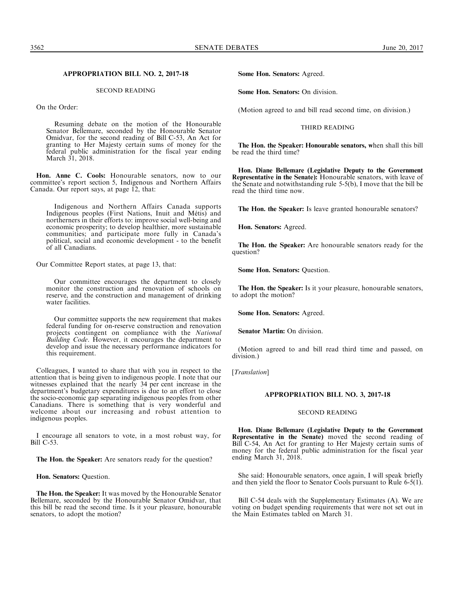## APPROPRIATION BILL NO. 2, 2017-18

## SECOND READING

On the Order:

Resuming debate on the motion of the Honourable Senator Bellemare, seconded by the Honourable Senator Omidvar, for the second reading of Bill C-53, An Act for granting to Her Majesty certain sums of money for the federal public administration for the fiscal year ending March 31, 2018.

Hon. Anne C. Cools: Honourable senators, now to our committee's report section 5, Indigenous and Northern Affairs Canada. Our report says, at page 12, that:

Indigenous and Northern Affairs Canada supports Indigenous peoples (First Nations, Inuit and Métis) and northerners in their efforts to: improve social well-being and economic prosperity; to develop healthier, more sustainable communities; and participate more fully in Canada's political, social and economic development - to the benefit of all Canadians.

Our Committee Report states, at page 13, that:

Our committee encourages the department to closely monitor the construction and renovation of schools on reserve, and the construction and management of drinking water facilities.

Our committee supports the new requirement that makes federal funding for on-reserve construction and renovation projects contingent on compliance with the National Building Code. However, it encourages the department to develop and issue the necessary performance indicators for this requirement.

Colleagues, I wanted to share that with you in respect to the attention that is being given to indigenous people. I note that our witnesses explained that the nearly 34 per cent increase in the department's budgetary expenditures is due to an effort to close the socio-economic gap separating indigenous peoples from other Canadians. There is something that is very wonderful and welcome about our increasing and robust attention to indigenous peoples.

I encourage all senators to vote, in a most robust way, for Bill C-53.

The Hon. the Speaker: Are senators ready for the question?

Hon. Senators: Question.

The Hon. the Speaker: It was moved by the Honourable Senator Bellemare, seconded by the Honourable Senator Omidvar, that this bill be read the second time. Is it your pleasure, honourable senators, to adopt the motion?

Some Hon. Senators: Agreed.

Some Hon. Senators: On division.

(Motion agreed to and bill read second time, on division.)

#### THIRD READING

The Hon. the Speaker: Honourable senators, when shall this bill be read the third time?

Hon. Diane Bellemare (Legislative Deputy to the Government Representative in the Senate): Honourable senators, with leave of the Senate and notwithstanding rule 5-5(b), I move that the bill be read the third time now.

The Hon. the Speaker: Is leave granted honourable senators?

Hon. Senators: Agreed.

The Hon. the Speaker: Are honourable senators ready for the question?

Some Hon. Senators: Question.

The Hon. the Speaker: Is it your pleasure, honourable senators, to adopt the motion?

Some Hon. Senators: Agreed.

Senator Martin: On division.

(Motion agreed to and bill read third time and passed, on division.)

[Translation]

## APPROPRIATION BILL NO. 3, 2017-18

#### SECOND READING

Hon. Diane Bellemare (Legislative Deputy to the Government Representative in the Senate) moved the second reading of Bill C-54, An Act for granting to Her Majesty certain sums of money for the federal public administration for the fiscal year ending March 31, 2018.

She said: Honourable senators, once again, I will speak briefly and then yield the floor to Senator Cools pursuant to Rule 6-5(1).

Bill C-54 deals with the Supplementary Estimates (A). We are voting on budget spending requirements that were not set out in the Main Estimates tabled on March 31.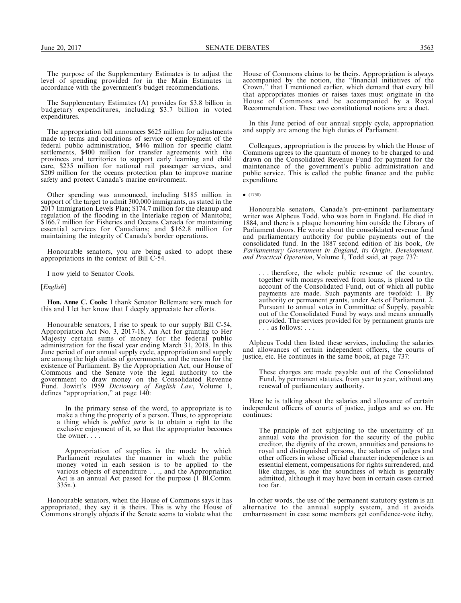The purpose of the Supplementary Estimates is to adjust the level of spending provided for in the Main Estimates in accordance with the government's budget recommendations.

The Supplementary Estimates (A) provides for \$3.8 billion in budgetary expenditures, including \$3.7 billion in voted expenditures.

The appropriation bill announces \$625 million for adjustments made to terms and conditions of service or employment of the federal public administration, \$446 million for specific claim settlements, \$400 million for transfer agreements with the provinces and territories to support early learning and child care, \$235 million for national rail passenger services, and \$209 million for the oceans protection plan to improve marine safety and protect Canada's marine environment.

Other spending was announced, including \$185 million in support of the target to admit 300,000 immigrants, as stated in the 2017 Immigration Levels Plan; \$174.7 million for the cleanup and regulation of the flooding in the Interlake region of Manitoba; \$166.7 million for Fisheries and Oceans Canada for maintaining essential services for Canadians; and \$162.8 million for maintaining the integrity of Canada's border operations.

Honourable senators, you are being asked to adopt these appropriations in the context of Bill C-54.

I now yield to Senator Cools.

[*English*]

Hon. Anne C. Cools: I thank Senator Bellemare very much for this and I let her know that I deeply appreciate her efforts.

Honourable senators, I rise to speak to our supply Bill C-54, Appropriation Act No. 3, 2017-18, An Act for granting to Her Majesty certain sums of money for the federal public administration for the fiscal year ending March 31, 2018. In this June period of our annual supply cycle, appropriation and supply are among the high duties of governments, and the reason for the existence of Parliament. By the Appropriation Act, our House of Commons and the Senate vote the legal authority to the government to draw money on the Consolidated Revenue Fund. Jowitt's 1959 Dictionary of English Law, Volume 1, defines ''appropriation,'' at page 140:

In the primary sense of the word, to appropriate is to make a thing the property of a person. Thus, to appropriate a thing which is publici juris is to obtain a right to the exclusive enjoyment of it, so that the appropriator becomes the owner. . . .

Appropriation of supplies is the mode by which Parliament regulates the manner in which the public money voted in each session is to be applied to the various objects of expenditure . . ., and the Appropriation Act is an annual Act passed for the purpose (1 Bl.Comm. 335n.).

Honourable senators, when the House of Commons says it has appropriated, they say it is theirs. This is why the House of Commons strongly objects if the Senate seems to violate what the

House of Commons claims to be theirs. Appropriation is always accompanied by the notion, the ''financial initiatives of the Crown,'' that I mentioned earlier, which demand that every bill that appropriates monies or raises taxes must originate in the House of Commons and be accompanied by a Royal Recommendation. These two constitutional notions are a duet.

In this June period of our annual supply cycle, appropriation and supply are among the high duties of Parliament.

Colleagues, appropriation is the process by which the House of Commons agrees to the quantum of money to be charged to and drawn on the Consolidated Revenue Fund for payment for the maintenance of the government's public administration and public service. This is called the public finance and the public expenditure.

 $\bullet$  (1750)

Honourable senators, Canada's pre-eminent parliamentary writer was Alpheus Todd, who was born in England. He died in 1884, and there is a plaque honouring him outside the Library of Parliament doors. He wrote about the consolidated revenue fund and parliamentary authority for public payments out of the consolidated fund. In the 1887 second edition of his book, On Parliamentary Government in England, its Origin, Development, and Practical Operation, Volume I, Todd said, at page  $737$ :

. . . therefore, the whole public revenue of the country, together with moneys received from loans, is placed to the account of the Consolidated Fund, out of which all public payments are made. Such payments are twofold: 1. By authority or permanent grants, under Acts of Parliament. 2. Pursuant to annual votes in Committee of Supply, payable out of the Consolidated Fund by ways and means annually provided. The services provided for by permanent grants are . . . as follows: . . .

Alpheus Todd then listed these services, including the salaries and allowances of certain independent officers, the courts of justice, etc. He continues in the same book, at page 737:

These charges are made payable out of the Consolidated Fund, by permanent statutes, from year to year, without any renewal of parliamentary authority.

Here he is talking about the salaries and allowance of certain independent officers of courts of justice, judges and so on. He continues:

The principle of not subjecting to the uncertainty of an annual vote the provision for the security of the public creditor, the dignity of the crown, annuities and pensions to royal and distinguished persons, the salaries of judges and other officers in whose official character independence is an essential element, compensations for rights surrendered, and like charges, is one the soundness of which is generally admitted, although it may have been in certain cases carried too far.

In other words, the use of the permanent statutory system is an alternative to the annual supply system, and it avoids embarrassment in case some members get confidence-vote itchy,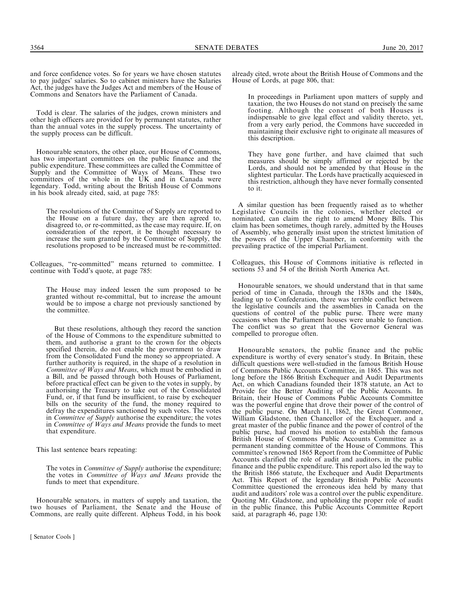Todd is clear. The salaries of the judges, crown ministers and other high officers are provided for by permanent statutes, rather than the annual votes in the supply process. The uncertainty of the supply process can be difficult.

Honourable senators, the other place, our House of Commons, has two important committees on the public finance and the public expenditure. These committees are called the Committee of Supply and the Committee of Ways of Means. These two committees of the whole in the UK and in Canada were legendary. Todd, writing about the British House of Commons in his book already cited, said, at page 785:

The resolutions of the Committee of Supply are reported to the House on a future day, they are then agreed to, disagreed to, or re-committed, as the case may require. If, on consideration of the report, it be thought necessary to increase the sum granted by the Committee of Supply, the resolutions proposed to be increased must be re-committed.

Colleagues, ''re-committed'' means returned to committee. I continue with Todd's quote, at page 785:

The House may indeed lessen the sum proposed to be granted without re-committal, but to increase the amount would be to impose a charge not previously sanctioned by the committee.

But these resolutions, although they record the sanction of the House of Commons to the expenditure submitted to them, and authorise a grant to the crown for the objects specified therein, do not enable the government to draw from the Consolidated Fund the money so appropriated. A further authority is required, in the shape of a resolution in Committee of Ways and Means, which must be embodied in a Bill, and be passed through both Houses of Parliament, before practical effect can be given to the votes in supply, by authorising the Treasury to take out of the Consolidated Fund, or, if that fund be insufficient, to raise by exchequer bills on the security of the fund, the money required to defray the expenditures sanctioned by such votes. The votes in *Committee of Supply* authorise the expenditure; the votes in Committee of Ways and Means provide the funds to meet that expenditure.

This last sentence bears repeating:

The votes in *Committee of Supply* authorise the expenditure; the votes in *Committee of Ways and Means* provide the funds to meet that expenditure.

Honourable senators, in matters of supply and taxation, the two houses of Parliament, the Senate and the House of Commons, are really quite different. Alpheus Todd, in his book

[ Senator Cools ]

already cited, wrote about the British House of Commons and the House of Lords, at page 806, that:

In proceedings in Parliament upon matters of supply and taxation, the two Houses do not stand on precisely the same footing. Although the consent of both Houses is indispensable to give legal effect and validity thereto, yet, from a very early period, the Commons have succeeded in maintaining their exclusive right to originate all measures of this description.

They have gone further, and have claimed that such measures should be simply affirmed or rejected by the Lords, and should not be amended by that House in the slightest particular. The Lords have practically acquiesced in this restriction, although they have never formally consented to it.

A similar question has been frequently raised as to whether Legislative Councils in the colonies, whether elected or nominated, can claim the right to amend Money Bills. This claim has been sometimes, though rarely, admitted by the Houses of Assembly, who generally insist upon the strictest limitation of the powers of the Upper Chamber, in conformity with the prevailing practice of the imperial Parliament.

Colleagues, this House of Commons initiative is reflected in sections 53 and 54 of the British North America Act.

Honourable senators, we should understand that in that same period of time in Canada, through the 1830s and the 1840s, leading up to Confederation, there was terrible conflict between the legislative councils and the assemblies in Canada on the questions of control of the public purse. There were many occasions when the Parliament houses were unable to function. The conflict was so great that the Governor General was compelled to prorogue often.

Honourable senators, the public finance and the public expenditure is worthy of every senator's study. In Britain, these difficult questions were well-studied in the famous British House of Commons Public Accounts Committee, in 1865. This was not long before the 1866 British Exchequer and Audit Departments Act, on which Canadians founded their 1878 statute, an Act to Provide for the Better Auditing of the Public Accounts. In Britain, their House of Commons Public Accounts Committee was the powerful engine that drove their power of the control of the public purse. On March 11, 1862, the Great Commoner, William Gladstone, then Chancellor of the Exchequer, and a great master of the public finance and the power of control of the public purse, had moved his motion to establish the famous British House of Commons Public Accounts Committee as a permanent standing committee of the House of Commons. This committee's renowned 1865 Report from the Committee of Public Accounts clarified the role of audit and auditors, in the public finance and the public expenditure. This report also led the way to the British 1866 statute, the Exchequer and Audit Departments Act. This Report of the legendary British Public Accounts Committee questioned the erroneous idea held by many that audit and auditors' role was a control over the public expenditure. Quoting Mr. Gladstone, and upholding the proper role of audit in the public finance, this Public Accounts Committee Report said, at paragraph 46, page 130: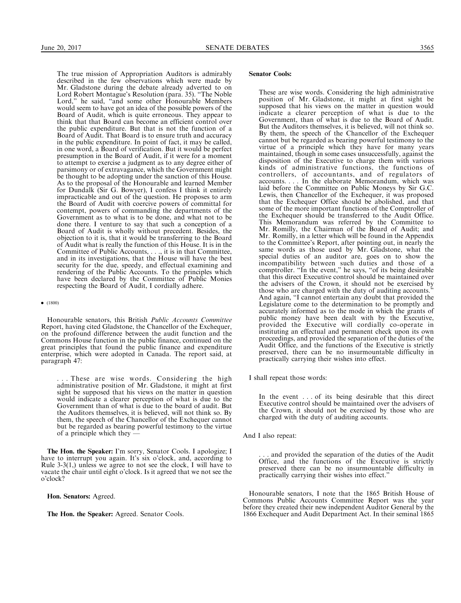The true mission of Appropriation Auditors is admirably described in the few observations which were made by Mr. Gladstone during the debate already adverted to on Lord Robert Montague's Resolution (para. 35). ''The Noble Lord," he said, "and some other Honourable Members would seem to have got an idea of the possible powers of the Board of Audit, which is quite erroneous. They appear to think that that Board can become an efficient control over the public expenditure. But that is not the function of a Board of Audit. That Board is to ensure truth and accuracy in the public expenditure. In point of fact, it may be called, in one word, a Board of verification. But it would be perfect presumption in the Board of Audit, if it were for a moment to attempt to exercise a judgment as to any degree either of parsimony or of extravagance, which the Government might be thought to be adopting under the sanction of this House. As to the proposal of the Honourable and learned Member for Dundalk (Sir G. Bowyer), I confess I think it entirely impracticable and out of the question. He proposes to arm the Board of Audit with coercive powers of committal for contempt, powers of commanding the departments of the Government as to what is to be done, and what not to be done there. I venture to say that such a conception of a Board of Audit is wholly without precedent. Besides, the objection to it is, that it would be transferring to the Board of Audit what is really the function of this House. It is in the Committee of Public Accounts, . . ., it is in that Committee, and in its investigations, that the House will have the best security for the due, speedy, and effectual examining and rendering of the Public Accounts. To the principles which have been declared by the Committee of Public Monies respecting the Board of Audit, I cordially adhere.

#### $\bullet$  (1800)

Honourable senators, this British Public Accounts Committee Report, having cited Gladstone, the Chancellor of the Exchequer, on the profound difference between the audit function and the Commons House function in the public finance, continued on the great principles that found the public finance and expenditure enterprise, which were adopted in Canada. The report said, at paragraph 47:

. . . These are wise words. Considering the high administrative position of Mr. Gladstone, it might at first sight be supposed that his views on the matter in question would indicate a clearer perception of what is due to the Government than of what is due to the board of audit. But the Auditors themselves, it is believed, will not think so. By them, the speech of the Chancellor of the Exchequer cannot but be regarded as bearing powerful testimony to the virtue of a principle which they —

The Hon. the Speaker: I'm sorry, Senator Cools. I apologize; I have to interrupt you again. It's six o'clock, and, according to Rule 3-3(1,) unless we agree to not see the clock, I will have to vacate the chair until eight o'clock. Is it agreed that we not see the o'clock?

Hon. Senators: Agreed.

The Hon. the Speaker: Agreed. Senator Cools.

## Senator Cools:

These are wise words. Considering the high administrative position of Mr. Gladstone, it might at first sight be supposed that his views on the matter in question would indicate a clearer perception of what is due to the Government, than of what is due to the Board of Audit. But the Auditors themselves, it is believed, will not think so. By them, the speech of the Chancellor of the Exchequer cannot but be regarded as bearing powerful testimony to the virtue of a principle which they have for many years maintained, though in some cases unsuccessfully, against the disposition of the Executive to charge them with various kinds of administrative functions, the functions of controllers, of accountants, and of regulators of accounts. . . . In the elaborate Memorandum, which was laid before the Committee on Public Moneys by Sir G.C. Lewis, then Chancellor of the Exchequer, it was proposed that the Exchequer Office should be abolished, and that some of the more important functions of the Comptroller of the Exchequer should be transferred to the Audit Office. This Memorandum was referred by the Committee to Mr. Romilly, the Chairman of the Board of Audit; and Mr. Romilly, in a letter which will be found in the Appendix to the Committee's Report, after pointing out, in nearly the same words as those used by Mr. Gladstone, what the special duties of an auditor are, goes on to show the incompatibility between such duties and those of a comptroller. ''In the event,'' he says, ''of its being desirable that this direct Executive control should be maintained over the advisers of the Crown, it should not be exercised by those who are charged with the duty of auditing accounts.'' And again, ''I cannot entertain any doubt that provided the Legislature come to the determination to be promptly and accurately informed as to the mode in which the grants of public money have been dealt with by the Executive, provided the Executive will cordially co-operate in instituting an effectual and permanent check upon its own proceedings, and provided the separation of the duties of the Audit Office, and the functions of the Executive is strictly preserved, there can be no insurmountable difficulty in practically carrying their wishes into effect.

I shall repeat those words:

In the event . . . of its being desirable that this direct Executive control should be maintained over the advisers of the Crown, it should not be exercised by those who are charged with the duty of auditing accounts.

And I also repeat:

. and provided the separation of the duties of the Audit Office, and the functions of the Executive is strictly preserved there can be no insurmountable difficulty in practically carrying their wishes into effect.''

Honourable senators, I note that the 1865 British House of Commons Public Accounts Committee Report was the year before they created their new independent Auditor General by the 1866 Exchequer and Audit Department Act. In their seminal 1865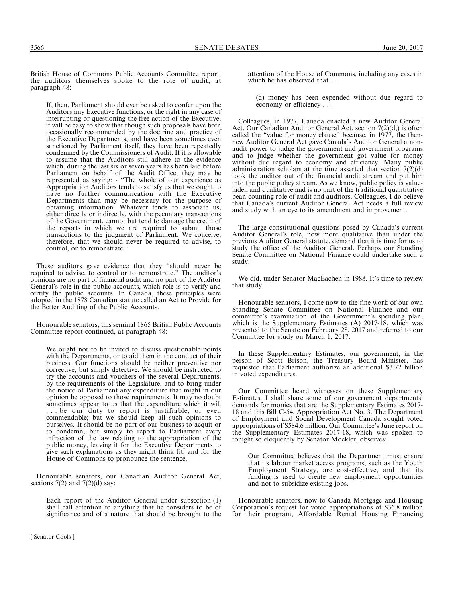British House of Commons Public Accounts Committee report, the auditors themselves spoke to the role of audit, at paragraph 48:

If, then, Parliament should ever be asked to confer upon the Auditors any Executive functions, or the right in any case of interrupting or questioning the free action of the Executive, it will be easy to show that though such proposals have been occasionally recommended by the doctrine and practice of the Executive Departments, and have been sometimes even sanctioned by Parliament itself, they have been repeatedly condemned by the Commissioners of Audit. If it is allowable to assume that the Auditors still adhere to the evidence which, during the last six or seven years has been laid before Parliament on behalf of the Audit Office, they may be represented as saying: - ''The whole of our experience as Appropriation Auditors tends to satisfy us that we ought to have no further communication with the Executive Departments than may be necessary for the purpose of obtaining information. Whatever tends to associate us, either directly or indirectly, with the pecuniary transactions of the Government, cannot but tend to damage the credit of the reports in which we are required to submit those transactions to the judgment of Parliament. We conceive, therefore, that we should never be required to advise, to control, or to remonstrate.''

These auditors gave evidence that they ''should never be required to advise, to control or to remonstrate.'' The auditor's opinions are no part of financial audit and no part of the Auditor General's role in the public accounts, which role is to verify and certify the public accounts. In Canada, these principles were adopted in the 1878 Canadian statute called an Act to Provide for the Better Auditing of the Public Accounts.

Honourable senators, this seminal 1865 British Public Accounts Committee report continued, at paragraph 48:

We ought not to be invited to discuss questionable points with the Departments, or to aid them in the conduct of their business. Our functions should be neither preventive nor corrective, but simply detective. We should be instructed to try the accounts and vouchers of the several Departments, by the requirements of the Legislature, and to bring under the notice of Parliament any expenditure that might in our opinion be opposed to those requirements. It may no doubt sometimes appear to us that the expenditure which it will . . . be our duty to report is justifiable, or even commendable; but we should keep all such opinions to ourselves. It should be no part of our business to acquit or to condemn, but simply to report to Parliament every infraction of the law relating to the appropriation of the public money, leaving it for the Executive Departments to give such explanations as they might think fit, and for the House of Commons to pronounce the sentence.

Honourable senators, our Canadian Auditor General Act, sections  $7(2)$  and  $7(2)(d)$  say:

Each report of the Auditor General under subsection (1) shall call attention to anything that he considers to be of significance and of a nature that should be brought to the

attention of the House of Commons, including any cases in which he has observed that . . .

(d) money has been expended without due regard to economy or efficiency . . .

Colleagues, in 1977, Canada enacted a new Auditor General Act. Our Canadian Auditor General Act, section 7(2)(d,) is often called the ''value for money clause'' because, in 1977, the thennew Auditor General Act gave Canada's Auditor General a nonaudit power to judge the government and government programs and to judge whether the government got value for money without due regard to economy and efficiency. Many public administration scholars at the time asserted that section  $\bar{7}(2)(d)$ took the auditor out of the financial audit stream and put him into the public policy stream. As we know, public policy is valueladen and qualitative and is no part of the traditional quantitative bean-counting role of audit and auditors. Colleagues, I do believe that Canada's current Auditor General Act needs a full review and study with an eye to its amendment and improvement.

The large constitutional questions posed by Canada's current Auditor General's role, now more qualitative than under the previous Auditor General statute, demand that it is time for us to study the office of the Auditor General. Perhaps our Standing Senate Committee on National Finance could undertake such a study.

We did, under Senator MacEachen in 1988. It's time to review that study.

Honourable senators, I come now to the fine work of our own Standing Senate Committee on National Finance and our committee's examination of the Government's spending plan, which is the Supplementary Estimates (A) 2017-18, which was presented to the Senate on February 28, 2017 and referred to our Committee for study on March 1, 2017.

In these Supplementary Estimates, our government, in the person of Scott Brison, the Treasury Board Minister, has requested that Parliament authorize an additional \$3.72 billion in voted expenditures.

Our Committee heard witnesses on these Supplementary Estimates. I shall share some of our government departments' demands for monies that are the Supplementary Estimates 2017- 18 and this Bill C-54, Appropriation Act No. 3. The Department of Employment and Social Development Canada sought voted appropriations of \$584.6 million. Our Committee's June report on the Supplementary Estimates 2017-18, which was spoken to tonight so eloquently by Senator Mockler, observes:

Our Committee believes that the Department must ensure that its labour market access programs, such as the Youth Employment Strategy, are cost-effective, and that its funding is used to create new employment opportunities and not to subsidize existing jobs.

Honourable senators, now to Canada Mortgage and Housing Corporation's request for voted appropriations of \$36.8 million for their program, Affordable Rental Housing Financing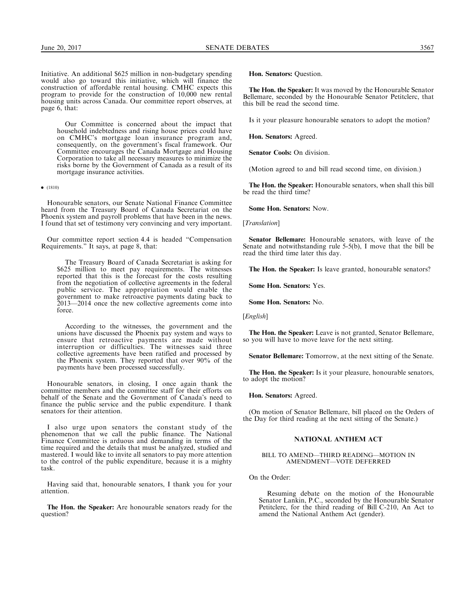Initiative. An additional \$625 million in non-budgetary spending would also go toward this initiative, which will finance the construction of affordable rental housing. CMHC expects this program to provide for the construction of 10,000 new rental housing units across Canada. Our committee report observes, at page 6, that:

Our Committee is concerned about the impact that household indebtedness and rising house prices could have on CMHC's mortgage loan insurance program and, consequently, on the government's fiscal framework. Our Committee encourages the Canada Mortgage and Housing Corporation to take all necessary measures to minimize the risks borne by the Government of Canada as a result of its mortgage insurance activities.

 $\bullet$  (1810)

Honourable senators, our Senate National Finance Committee heard from the Treasury Board of Canada Secretariat on the Phoenix system and payroll problems that have been in the news. I found that set of testimony very convincing and very important.

Our committee report section 4.4 is headed ''Compensation Requirements.'' It says, at page 8, that:

The Treasury Board of Canada Secretariat is asking for \$625 million to meet pay requirements. The witnesses reported that this is the forecast for the costs resulting from the negotiation of collective agreements in the federal public service. The appropriation would enable the government to make retroactive payments dating back to 2013—2014 once the new collective agreements come into force.

According to the witnesses, the government and the unions have discussed the Phoenix pay system and ways to ensure that retroactive payments are made without interruption or difficulties. The witnesses said three collective agreements have been ratified and processed by the Phoenix system. They reported that over 90% of the payments have been processed successfully.

Honourable senators, in closing, I once again thank the committee members and the committee staff for their efforts on behalf of the Senate and the Government of Canada's need to finance the public service and the public expenditure. I thank senators for their attention.

I also urge upon senators the constant study of the phenomenon that we call the public finance. The National Finance Committee is arduous and demanding in terms of the time required and the details that must be analyzed, studied and mastered. I would like to invite all senators to pay more attention to the control of the public expenditure, because it is a mighty task.

Having said that, honourable senators, I thank you for your attention.

The Hon. the Speaker: Are honourable senators ready for the question?

Hon. Senators: Question.

The Hon. the Speaker: It was moved by the Honourable Senator Bellemare, seconded by the Honourable Senator Petitclerc, that this bill be read the second time.

Is it your pleasure honourable senators to adopt the motion?

Hon. Senators: Agreed.

Senator Cools: On division.

(Motion agreed to and bill read second time, on division.)

The Hon. the Speaker: Honourable senators, when shall this bill be read the third time?

Some Hon. Senators: Now.

[Translation]

Senator Bellemare: Honourable senators, with leave of the Senate and notwithstanding rule 5-5(b), I move that the bill be read the third time later this day.

The Hon. the Speaker: Is leave granted, honourable senators?

Some Hon. Senators: Yes.

Some Hon. Senators: No.

[English]

The Hon. the Speaker: Leave is not granted, Senator Bellemare, so you will have to move leave for the next sitting.

Senator Bellemare: Tomorrow, at the next sitting of the Senate.

The Hon. the Speaker: Is it your pleasure, honourable senators, to adopt the motion?

Hon. Senators: Agreed.

(On motion of Senator Bellemare, bill placed on the Orders of the Day for third reading at the next sitting of the Senate.)

## NATIONAL ANTHEM ACT

BILL TO AMEND—THIRD READING—MOTION IN AMENDMENT—VOTE DEFERRED

On the Order:

Resuming debate on the motion of the Honourable Senator Lankin, P.C., seconded by the Honourable Senator Petitclerc, for the third reading of Bill C-210, An Act to amend the National Anthem Act (gender).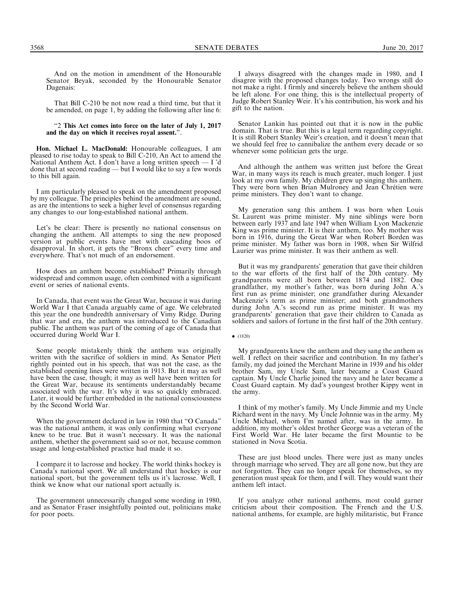And on the motion in amendment of the Honourable Senator Beyak, seconded by the Honourable Senator Dagenais:

That Bill C-210 be not now read a third time, but that it be amended, on page 1, by adding the following after line 6:

## ''2 This Act comes into force on the later of July 1, 2017 and the day on which it receives royal assent.''.

Hon. Michael L. MacDonald: Honourable colleagues, I am pleased to rise today to speak to Bill C-210, An Act to amend the National Anthem Act. I don't have a long written speech — I 'd done that at second reading — but I would like to say a few words to this bill again.

I am particularly pleased to speak on the amendment proposed by my colleague. The principles behind the amendment are sound, as are the intentions to seek a higher level of consensus regarding any changes to our long-established national anthem.

Let's be clear: There is presently no national consensus on changing the anthem. All attempts to sing the new proposed version at public events have met with cascading boos of disapproval. In short, it gets the ''Bronx cheer'' every time and everywhere. That's not much of an endorsement.

How does an anthem become established? Primarily through widespread and common usage, often combined with a significant event or series of national events.

In Canada, that event was the Great War, because it was during World War I that Canada arguably came of age. We celebrated this year the one hundredth anniversary of Vimy Ridge. During that war and era, the anthem was introduced to the Canadian public. The anthem was part of the coming of age of Canada that occurred during World War I.

Some people mistakenly think the anthem was originally written with the sacrifice of soldiers in mind. As Senator Plett rightly pointed out in his speech, that was not the case, as the established opening lines were written in 1913. But it may as well have been the case, though; it may as well have been written for the Great War, because its sentiments understandably became associated with the war. It's why it was so quickly embraced. Later, it would be further embedded in the national consciousness by the Second World War.

When the government declared in law in 1980 that ''O Canada'' was the national anthem, it was only confirming what everyone knew to be true. But it wasn't necessary. It was the national anthem, whether the government said so or not, because common usage and long-established practice had made it so.

I compare it to lacrosse and hockey. The world thinks hockey is Canada's national sport. We all understand that hockey is our national sport, but the government tells us it's lacrosse. Well, I think we know what our national sport actually is.

The government unnecessarily changed some wording in 1980, and as Senator Fraser insightfully pointed out, politicians make for poor poets.

I always disagreed with the changes made in 1980, and I disagree with the proposed changes today. Two wrongs still do not make a right. I firmly and sincerely believe the anthem should be left alone. For one thing, this is the intellectual property of Judge Robert Stanley Weir. It's his contribution, his work and his gift to the nation.

Senator Lankin has pointed out that it is now in the public domain. That is true. But this is a legal term regarding copyright. It is still Robert Stanley Weir's creation, and it doesn't mean that we should feel free to cannibalize the anthem every decade or so whenever some politician gets the urge.

And although the anthem was written just before the Great War, in many ways its reach is much greater, much longer. I just look at my own family. My children grew up singing this anthem. They were born when Brian Mulroney and Jean Chrétien were prime ministers. They don't want to change.

My generation sang this anthem. I was born when Louis St. Laurent was prime minister. My nine siblings were born between early 1937 and late 1947 when William Lyon Mackenzie King was prime minister. It is their anthem, too. My mother was born in 1916, during the Great War when Robert Borden was prime minister. My father was born in 1908, when Sir Wilfrid Laurier was prime minister. It was their anthem as well.

But it was my grandparents' generation that gave their children to the war efforts of the first half of the 20th century. My grandparents were all born between 1874 and 1882. One grandfather, my mother's father, was born during John A.'s first run as prime minister; one grandfather during Alexander Mackenzie's term as prime minister; and both grandmothers during John A.'s second run as prime minister. It was my grandparents' generation that gave their children to Canada as soldiers and sailors of fortune in the first half of the 20th century.

 $\bullet$  (1820)

My grandparents knew the anthem and they sang the anthem as well. I reflect on their sacrifice and contribution. In my father's family, my dad joined the Merchant Marine in 1939 and his older brother Sam, my Uncle Sam, later became a Coast Guard captain. My Uncle Charlie joined the navy and he later became a Coast Guard captain. My dad's youngest brother Kippy went in the army.

I think of my mother's family. My Uncle Jimmie and my Uncle Richard went in the navy. My Uncle Johnnie was in the army. My Uncle Michael, whom I'm named after, was in the army. In addition, my mother's oldest brother George was a veteran of the First World War. He later became the first Mountie to be stationed in Nova Scotia.

These are just blood uncles. There were just as many uncles through marriage who served. They are all gone now, but they are not forgotten. They can no longer speak for themselves, so my generation must speak for them, and I will. They would want their anthem left intact.

If you analyze other national anthems, most could garner criticism about their composition. The French and the U.S. national anthems, for example, are highly militaristic, but France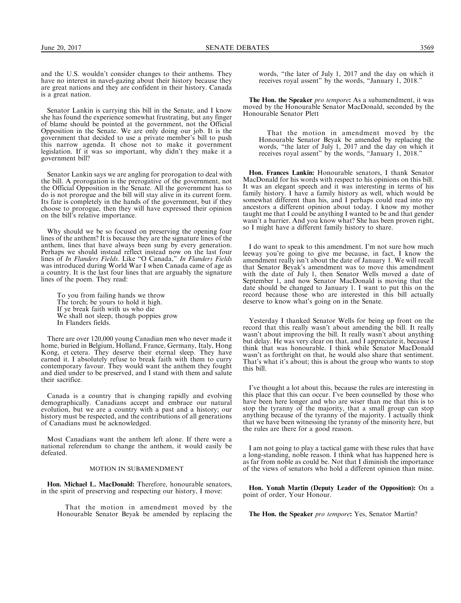and the U.S. wouldn't consider changes to their anthems. They have no interest in navel-gazing about their history because they are great nations and they are confident in their history. Canada is a great nation.

Senator Lankin is carrying this bill in the Senate, and I know she has found the experience somewhat frustrating, but any finger of blame should be pointed at the government, not the Official Opposition in the Senate. We are only doing our job. It is the government that decided to use a private member's bill to push this narrow agenda. It chose not to make it government legislation. If it was so important, why didn't they make it a government bill?

Senator Lankin says we are angling for prorogation to deal with the bill. A prorogation is the prerogative of the government, not the Official Opposition in the Senate. All the government has to do is not prorogue and the bill will stay alive in its current form. Its fate is completely in the hands of the government, but if they choose to prorogue, then they will have expressed their opinion on the bill's relative importance.

Why should we be so focused on preserving the opening four lines of the anthem? It is because they are the signature lines of the anthem, lines that have always been sung by every generation. Perhaps we should instead reflect instead now on the last four lines of In Flanders Fields. Like "O Canada," In Flanders Fields was introduced during World War I when Canada came of age as a country. It is the last four lines that are arguably the signature lines of the poem. They read:

To you from failing hands we throw The torch; be yours to hold it high. If ye break faith with us who die We shall not sleep, though poppies grow In Flanders fields.

There are over 120,000 young Canadian men who never made it home, buried in Belgium, Holland, France, Germany, Italy, Hong Kong, et cetera. They deserve their eternal sleep. They have earned it. I absolutely refuse to break faith with them to curry contemporary favour. They would want the anthem they fought and died under to be preserved, and I stand with them and salute their sacrifice.

Canada is a country that is changing rapidly and evolving demographically. Canadians accept and embrace our natural evolution, but we are a country with a past and a history; our history must be respected, and the contributions of all generations of Canadians must be acknowledged.

Most Canadians want the anthem left alone. If there were a national referendum to change the anthem, it would easily be defeated.

## MOTION IN SUBAMENDMENT

Hon. Michael L. MacDonald: Therefore, honourable senators, in the spirit of preserving and respecting our history, I move:

That the motion in amendment moved by the Honourable Senator Beyak be amended by replacing the words, "the later of July 1, 2017 and the day on which it receives royal assent'' by the words, ''January 1, 2018.''

The Hon. the Speaker pro tempore: As a subamendment, it was moved by the Honourable Senator MacDonald, seconded by the Honourable Senator Plett

That the motion in amendment moved by the Honourable Senator Beyak be amended by replacing the words, "the later of July 1, 2017 and the day on which it receives royal assent'' by the words, ''January 1, 2018.''

Hon. Frances Lankin: Honourable senators, I thank Senator MacDonald for his words with respect to his opinions on this bill. It was an elegant speech and it was interesting in terms of his family history. I have a family history as well, which would be somewhat different than his, and I perhaps could read into my ancestors a different opinion about today. I know my mother taught me that I could be anything I wanted to be and that gender wasn't a barrier. And you know what? She has been proven right, so I might have a different family history to share.

I do want to speak to this amendment. I'm not sure how much leeway you're going to give me because, in fact, I know the amendment really isn't about the date of January 1. We will recall that Senator Beyak's amendment was to move this amendment with the date of July 1, then Senator Wells moved a date of September 1, and now Senator MacDonald is moving that the date should be changed to January 1. I want to put this on the record because those who are interested in this bill actually deserve to know what's going on in the Senate.

Yesterday I thanked Senator Wells for being up front on the record that this really wasn't about amending the bill. It really wasn't about improving the bill. It really wasn't about anything but delay. He was very clear on that, and I appreciate it, because I think that was honourable. I think while Senator MacDonald wasn't as forthright on that, he would also share that sentiment. That's what it's about; this is about the group who wants to stop this bill.

I've thought a lot about this, because the rules are interesting in this place that this can occur. I've been counselled by those who have been here longer and who are wiser than me that this is to stop the tyranny of the majority, that a small group can stop anything because of the tyranny of the majority. I actually think that we have been witnessing the tyranny of the minority here, but the rules are there for a good reason.

I am not going to play a tactical game with these rules that have a long-standing, noble reason. I think what has happened here is as far from noble as could be. Not that I diminish the importance of the views of senators who hold a different opinion than mine.

Hon. Yonah Martin (Deputy Leader of the Opposition): On a point of order, Your Honour.

The Hon. the Speaker pro tempore: Yes, Senator Martin?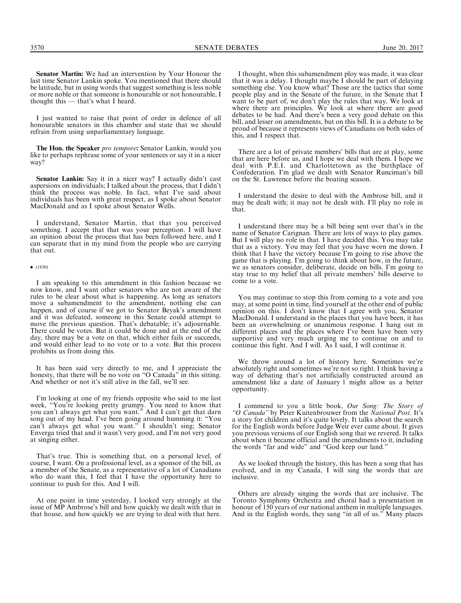I just wanted to raise that point of order in defence of all honourable senators in this chamber and state that we should refrain from using unparliamentary language.

The Hon. the Speaker pro tempore: Senator Lankin, would you like to perhaps rephrase some of your sentences or say it in a nicer way?

Senator Lankin: Say it in a nicer way? I actually didn't cast aspersions on individuals; I talked about the process, that I didn't think the process was noble. In fact, what I've said about individuals has been with great respect, as I spoke about Senator MacDonald and as I spoke about Senator Wells.

I understand, Senator Martin, that that you perceived something. I accept that that was your perception. I will have an opinion about the process that has been followed here, and I can separate that in my mind from the people who are carrying that out.

#### $\bullet$  (1830)

I am speaking to this amendment in this fashion because we now know, and I want other senators who are not aware of the rules to be clear about what is happening. As long as senators move a subamendment to the amendment, nothing else can happen, and of course if we got to Senator Beyak's amendment and it was defeated, someone in this Senate could attempt to move the previous question. That's debatable; it's adjournable. There could be votes. But it could be done and at the end of the day, there may be a vote on that, which either fails or succeeds, and would either lead to no vote or to a vote. But this process prohibits us from doing this.

It has been said very directly to me, and I appreciate the honesty, that there will be no vote on ''O Canada'' in this sitting. And whether or not it's still alive in the fall, we'll see.

I'm looking at one of my friends opposite who said to me last week, ''You're looking pretty grumpy. You need to know that you can't always get what you want.'' And I can't get that darn song out of my head. I've been going around humming it: ''You can't always get what you want.'' I shouldn't sing; Senator Enverga tried that and it wasn't very good, and I'm not very good at singing either.

That's true. This is something that, on a personal level, of course, I want. On a professional level, as a sponsor of the bill, as a member of the Senate, as a representative of a lot of Canadians who do want this, I feel that I have the opportunity here to continue to push for this. And I will.

At one point in time yesterday, I looked very strongly at the issue of MP Ambrose's bill and how quickly we dealt with that in that house, and how quickly we are trying to deal with that here.

I thought, when this subamendment ploy was made, it was clear that it was a delay. I thought maybe I should be part of delaying something else. You know what? Those are the tactics that some people play and in the Senate of the future, in the Senate that I want to be part of, we don't play the rules that way. We look at where there are principles. We look at where there are good debates to be had. And there's been a very good debate on this bill, and lesser on amendments, but on this bill. It is a debate to be proud of because it represents views of Canadians on both sides of this, and I respect that.

There are a lot of private members' bills that are at play, some that are here before us, and I hope we deal with them. I hope we deal with P.E.I. and Charlottetown as the birthplace of Confederation. I'm glad we dealt with Senator Runciman's bill on the St. Lawrence before the boating season.

I understand the desire to deal with the Ambrose bill, and it may be dealt with; it may not be dealt with. I'll play no role in that.

I understand there may be a bill being sent over that's in the name of Senator Carignan. There are lots of ways to play games. But I will play no role in that. I have decided this. You may take that as a victory. You may feel that you have worn me down. I think that I have the victory because I'm going to rise above the game that is playing. I'm going to think about how, in the future, we as senators consider, deliberate, decide on bills. I'm going to stay true to my belief that all private members' bills deserve to come to a vote.

You may continue to stop this from coming to a vote and you may, at some point in time, find yourself at the other end of public opinion on this. I don't know that I agree with you, Senator MacDonald. I understand in the places that you have been, it has been an overwhelming or unanimous response. I hang out in different places and the places where I've been have been very supportive and very much urging me to continue on and to continue this fight. And I will. As I said, I will continue it.

We throw around a lot of history here. Sometimes we're absolutely right and sometimes we're not so right. I think having a way of debating that's not artificially constructed around an amendment like a date of January 1 might allow us a better opportunity.

I commend to you a little book, Our Song: The Story of "O Canada" by Peter Kuitenbrouwer from the National Post. It's a story for children and it's quite lovely. It talks about the search for the English words before Judge Weir ever came about. It gives you previous versions of our English song that we revered. It talks about when it became official and the amendments to it, including the words "far and wide" and "God keep our land."

As we looked through the history, this has been a song that has evolved, and in my Canada, I will sing the words that are inclusive.

Others are already singing the words that are inclusive. The Toronto Symphony Orchestra and choral had a presentation in honour of 150 years of our national anthem in multiple languages. And in the English words, they sang ''in all of us.'' Many places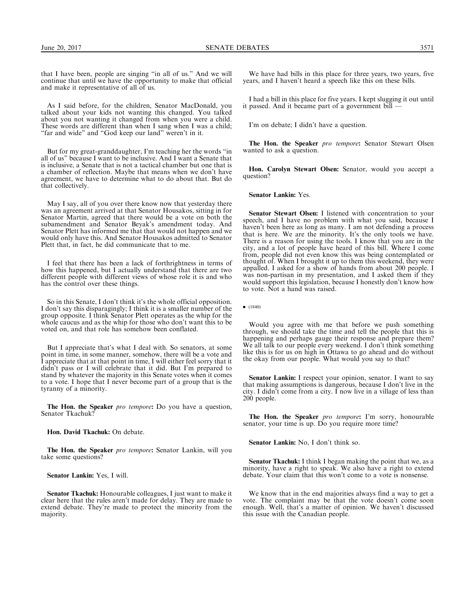that I have been, people are singing ''in all of us.'' And we will continue that until we have the opportunity to make that official and make it representative of all of us.

As I said before, for the children, Senator MacDonald, you talked about your kids not wanting this changed. You talked about you not wanting it changed from when you were a child. These words are different than when I sang when I was a child; "far and wide" and "God keep our land" weren't in it.

But for my great-granddaughter, I'm teaching her the words ''in all of us'' because I want to be inclusive. And I want a Senate that is inclusive, a Senate that is not a tactical chamber but one that is a chamber of reflection. Maybe that means when we don't have agreement, we have to determine what to do about that. But do that collectively.

May I say, all of you over there know now that yesterday there was an agreement arrived at that Senator Housakos, sitting in for Senator Martin, agreed that there would be a vote on both the subamendment and Senator Beyak's amendment today. And Senator Plett has informed me that that would not happen and we would only have this. And Senator Housakos admitted to Senator Plett that, in fact, he did communicate that to me.

I feel that there has been a lack of forthrightness in terms of how this happened, but I actually understand that there are two different people with different views of whose role it is and who has the control over these things.

So in this Senate, I don't think it's the whole official opposition. I don't say this disparagingly; I think it is a smaller number of the group opposite. I think Senator Plett operates as the whip for the whole caucus and as the whip for those who don't want this to be voted on, and that role has somehow been conflated.

But I appreciate that's what I deal with. So senators, at some point in time, in some manner, somehow, there will be a vote and I appreciate that at that point in time, I will either feel sorry that it didn't pass or I will celebrate that it did. But I'm prepared to stand by whatever the majority in this Senate votes when it comes to a vote. I hope that I never become part of a group that is the tyranny of a minority.

The Hon. the Speaker pro tempore: Do you have a question, Senator Tkachuk?

Hon. David Tkachuk: On debate.

The Hon. the Speaker pro tempore: Senator Lankin, will you take some questions?

Senator Lankin: Yes, I will.

Senator Tkachuk: Honourable colleagues, I just want to make it clear here that the rules aren't made for delay. They are made to extend debate. They're made to protect the minority from the majority.

We have had bills in this place for three years, two years, five years, and I haven't heard a speech like this on these bills.

I had a bill in this place for five years. I kept slugging it out until it passed. And it became part of a government bill —

I'm on debate; I didn't have a question.

The Hon. the Speaker pro tempore: Senator Stewart Olsen wanted to ask a question.

Hon. Carolyn Stewart Olsen: Senator, would you accept a question?

Senator Lankin: Yes.

Senator Stewart Olsen: I listened with concentration to your speech, and I have no problem with what you said, because I haven't been here as long as many. I am not defending a process that is here. We are the minority. It's the only tools we have. There is a reason for using the tools. I know that you are in the city, and a lot of people have heard of this bill. Where I come from, people did not even know this was being contemplated or thought of. When I brought it up to them this weekend, they were appalled. I asked for a show of hands from about 200 people. I was non-partisan in my presentation, and I asked them if they would support this legislation, because I honestly don't know how to vote. Not a hand was raised.

 $\bullet$  (1840)

Would you agree with me that before we push something through, we should take the time and tell the people that this is happening and perhaps gauge their response and prepare them? We all talk to our people every weekend. I don't think something like this is for us on high in Ottawa to go ahead and do without the okay from our people. What would you say to that?

Senator Lankin: I respect your opinion, senator. I want to say that making assumptions is dangerous, because I don't live in the city. I didn't come from a city. I now live in a village of less than 200 people.

**The Hon. the Speaker** pro tempore: I'm sorry, honourable senator, your time is up. Do you require more time?

Senator Lankin: No, I don't think so.

Senator Tkachuk: I think I began making the point that we, as a minority, have a right to speak. We also have a right to extend debate. Your claim that this won't come to a vote is nonsense.

We know that in the end majorities always find a way to get a vote. The complaint may be that the vote doesn't come soon enough. Well, that's a matter of opinion. We haven't discussed this issue with the Canadian people.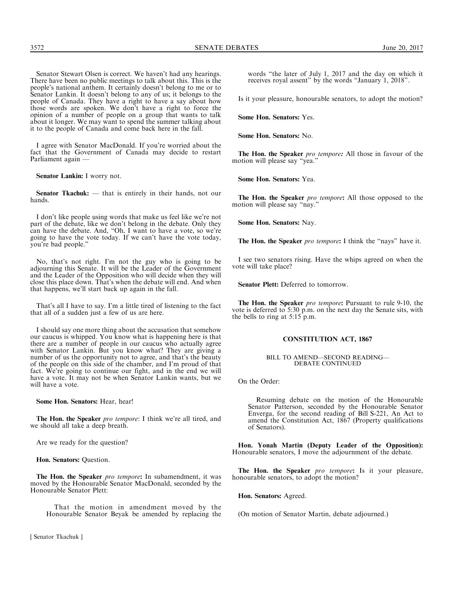Senator Stewart Olsen is correct. We haven't had any hearings. There have been no public meetings to talk about this. This is the people's national anthem. It certainly doesn't belong to me or to Senator Lankin. It doesn't belong to any of us; it belongs to the people of Canada. They have a right to have a say about how those words are spoken. We don't have a right to force the opinion of a number of people on a group that wants to talk about it longer. We may want to spend the summer talking about it to the people of Canada and come back here in the fall.

I agree with Senator MacDonald. If you're worried about the fact that the Government of Canada may decide to restart Parliament again —

Senator Lankin: I worry not.

Senator Tkachuk: — that is entirely in their hands, not our hands.

I don't like people using words that make us feel like we're not part of the debate, like we don't belong in the debate. Only they can have the debate. And, ''Oh, I want to have a vote, so we're going to have the vote today. If we can't have the vote today, you're bad people.''

No, that's not right. I'm not the guy who is going to be adjourning this Senate. It will be the Leader of the Government and the Leader of the Opposition who will decide when they will close this place down. That's when the debate will end. And when that happens, we'll start back up again in the fall.

That's all I have to say. I'm a little tired of listening to the fact that all of a sudden just a few of us are here.

I should say one more thing about the accusation that somehow our caucus is whipped. You know what is happening here is that there are a number of people in our caucus who actually agree with Senator Lankin. But you know what? They are giving a number of us the opportunity not to agree, and that's the beauty of the people on this side of the chamber, and I'm proud of that fact. We're going to continue our fight, and in the end we will have a vote. It may not be when Senator Lankin wants, but we will have a vote.

Some Hon. Senators: Hear, hear!

The Hon. the Speaker pro tempore: I think we're all tired, and we should all take a deep breath.

Are we ready for the question?

Hon. Senators: Question.

The Hon. the Speaker pro tempore: In subamendment, it was moved by the Honourable Senator MacDonald, seconded by the Honourable Senator Plett:

That the motion in amendment moved by the Honourable Senator Beyak be amended by replacing the

[ Senator Tkachuk ]

words ''the later of July 1, 2017 and the day on which it receives royal assent'' by the words ''January 1, 2018''.

Is it your pleasure, honourable senators, to adopt the motion?

Some Hon. Senators: Yes.

Some Hon. Senators: No.

The Hon. the Speaker pro tempore: All those in favour of the motion will please say "yea.'

Some Hon. Senators: Yea.

The Hon. the Speaker pro tempore: All those opposed to the motion will please say "nay."

Some Hon. Senators: Nay.

The Hon. the Speaker pro tempore: I think the "nays" have it.

I see two senators rising. Have the whips agreed on when the vote will take place?

Senator Plett: Deferred to tomorrow.

The Hon. the Speaker pro tempore: Pursuant to rule 9-10, the vote is deferred to 5:30 p.m. on the next day the Senate sits, with the bells to ring at 5:15 p.m.

## CONSTITUTION ACT, 1867

### BILL TO AMEND—SECOND READING— DEBATE CONTINUED

On the Order:

Resuming debate on the motion of the Honourable Senator Patterson, seconded by the Honourable Senator Enverga, for the second reading of Bill S-221, An Act to amend the Constitution Act, 1867 (Property qualifications of Senators).

Hon. Yonah Martin (Deputy Leader of the Opposition): Honourable senators, I move the adjournment of the debate.

The Hon. the Speaker pro tempore: Is it your pleasure, honourable senators, to adopt the motion?

Hon. Senators: Agreed.

(On motion of Senator Martin, debate adjourned.)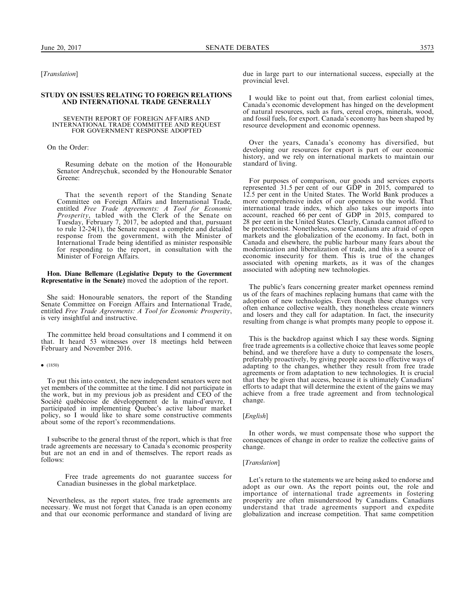[Translation]

## STUDY ON ISSUES RELATING TO FOREIGN RELATIONS AND INTERNATIONAL TRADE GENERALLY

#### SEVENTH REPORT OF FOREIGN AFFAIRS AND INTERNATIONAL TRADE COMMITTEE AND REQUEST FOR GOVERNMENT RESPONSE ADOPTED

On the Order:

Resuming debate on the motion of the Honourable Senator Andreychuk, seconded by the Honourable Senator Greene:

That the seventh report of the Standing Senate Committee on Foreign Affairs and International Trade, entitled Free Trade Agreements: A Tool for Economic Prosperity, tabled with the Clerk of the Senate on Tuesday, February 7, 2017, be adopted and that, pursuant to rule 12-24(1), the Senate request a complete and detailed response from the government, with the Minister of International Trade being identified as minister responsible for responding to the report, in consultation with the Minister of Foreign Affairs.

Hon. Diane Bellemare (Legislative Deputy to the Government Representative in the Senate) moved the adoption of the report.

She said: Honourable senators, the report of the Standing Senate Committee on Foreign Affairs and International Trade, entitled Free Trade Agreements: A Tool for Economic Prosperity, is very insightful and instructive.

The committee held broad consultations and I commend it on that. It heard 53 witnesses over 18 meetings held between February and November 2016.

### $\bullet$  (1850)

To put this into context, the new independent senators were not yet members of the committee at the time. I did not participate in the work, but in my previous job as president and CEO of the Société québécoise de développement de la main-d'œuvre, I participated in implementing Quebec's active labour market policy, so I would like to share some constructive comments about some of the report's recommendations.

I subscribe to the general thrust of the report, which is that free trade agreements are necessary to Canada's economic prosperity but are not an end in and of themselves. The report reads as follows:

Free trade agreements do not guarantee success for Canadian businesses in the global marketplace.

Nevertheless, as the report states, free trade agreements are necessary. We must not forget that Canada is an open economy and that our economic performance and standard of living are

due in large part to our international success, especially at the provincial level.

I would like to point out that, from earliest colonial times, Canada's economic development has hinged on the development of natural resources, such as furs, cereal crops, minerals, wood, and fossil fuels, for export. Canada's economy has been shaped by resource development and economic openness.

Over the years, Canada's economy has diversified, but developing our resources for export is part of our economic history, and we rely on international markets to maintain our standard of living.

For purposes of comparison, our goods and services exports represented 31.5 per cent of our GDP in 2015, compared to 12.5 per cent in the United States. The World Bank produces a more comprehensive index of our openness to the world. That international trade index, which also takes our imports into account, reached 66 per cent of GDP in 2015, compared to 28 per cent in the United States. Clearly, Canada cannot afford to be protectionist. Nonetheless, some Canadians are afraid of open markets and the globalization of the economy. In fact, both in Canada and elsewhere, the public harbour many fears about the modernization and liberalization of trade, and this is a source of economic insecurity for them. This is true of the changes associated with opening markets, as it was of the changes associated with adopting new technologies.

The public's fears concerning greater market openness remind us of the fears of machines replacing humans that came with the adoption of new technologies. Even though these changes very often enhance collective wealth, they nonetheless create winners and losers and they call for adaptation. In fact, the insecurity resulting from change is what prompts many people to oppose it.

This is the backdrop against which I say these words. Signing free trade agreements is a collective choice that leaves some people behind, and we therefore have a duty to compensate the losers, preferably proactively, by giving people access to effective ways of adapting to the changes, whether they result from free trade agreements or from adaptation to new technologies. It is crucial that they be given that access, because it is ultimately Canadians' efforts to adapt that will determine the extent of the gains we may achieve from a free trade agreement and from technological change.

## [English]

In other words, we must compensate those who support the consequences of change in order to realize the collective gains of change.

### [Translation]

Let's return to the statements we are being asked to endorse and adopt as our own. As the report points out, the role and importance of international trade agreements in fostering prosperity are often misunderstood by Canadians. Canadians understand that trade agreements support and expedite globalization and increase competition. That same competition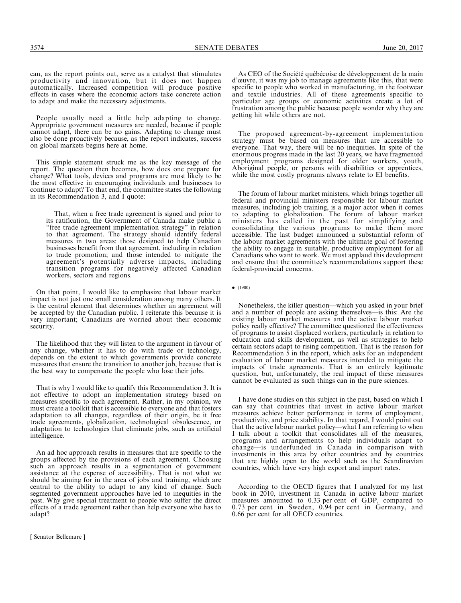can, as the report points out, serve as a catalyst that stimulates productivity and innovation, but it does not happen automatically. Increased competition will produce positive effects in cases where the economic actors take concrete action to adapt and make the necessary adjustments.

People usually need a little help adapting to change. Appropriate government measures are needed, because if people cannot adapt, there can be no gains. Adapting to change must also be done proactively because, as the report indicates, success on global markets begins here at home.

This simple statement struck me as the key message of the report. The question then becomes, how does one prepare for change? What tools, devices and programs are most likely to be the most effective in encouraging individuals and businesses to continue to adapt? To that end, the committee states the following in its Recommendation 3, and I quote:

That, when a free trade agreement is signed and prior to its ratification, the Government of Canada make public a ''free trade agreement implementation strategy'' in relation to that agreement. The strategy should identify federal measures in two areas: those designed to help Canadian businesses benefit from that agreement, including in relation to trade promotion; and those intended to mitigate the agreement's potentially adverse impacts, including transition programs for negatively affected Canadian workers, sectors and regions.

On that point, I would like to emphasize that labour market impact is not just one small consideration among many others. It is the central element that determines whether an agreement will be accepted by the Canadian public. I reiterate this because it is very important; Canadians are worried about their economic security.

The likelihood that they will listen to the argument in favour of any change, whether it has to do with trade or technology, depends on the extent to which governments provide concrete measures that ensure the transition to another job, because that is the best way to compensate the people who lose their jobs.

That is why I would like to qualify this Recommendation 3. It is not effective to adopt an implementation strategy based on measures specific to each agreement. Rather, in my opinion, we must create a toolkit that is accessible to everyone and that fosters adaptation to all changes, regardless of their origin, be it free trade agreements, globalization, technological obsolescence, or adaptation to technologies that eliminate jobs, such as artificial intelligence.

An ad hoc approach results in measures that are specific to the groups affected by the provisions of each agreement. Choosing such an approach results in a segmentation of government assistance at the expense of accessibility. That is not what we should be aiming for in the area of jobs and training, which are central to the ability to adapt to any kind of change. Such segmented government approaches have led to inequities in the past. Why give special treatment to people who suffer the direct effects of a trade agreement rather than help everyone who has to adapt?

[ Senator Bellemare ]

As CEO of the Société québécoise de développement de la main d'œuvre, it was my job to manage agreements like this, that were specific to people who worked in manufacturing, in the footwear and textile industries. All of these agreements specific to particular age groups or economic activities create a lot of frustration among the public because people wonder why they are getting hit while others are not.

The proposed agreement-by-agreement implementation strategy must be based on measures that are accessible to everyone. That way, there will be no inequities. In spite of the enormous progress made in the last 20 years, we have fragmented employment programs designed for older workers, youth, Aboriginal people, or persons with disabilities or apprentices, while the most costly programs always relate to EI benefits.

The forum of labour market ministers, which brings together all federal and provincial ministers responsible for labour market measures, including job training, is a major actor when it comes to adapting to globalization. The forum of labour market ministers has called in the past for simplifying and consolidating the various programs to make them more accessible. The last budget announced a substantial reform of the labour market agreements with the ultimate goal of fostering the ability to engage in suitable, productive employment for all Canadians who want to work. We must applaud this development and ensure that the committee's recommendations support these federal-provincial concerns.

 $\bullet$  (1900)

Nonetheless, the killer question—which you asked in your brief and a number of people are asking themselves—is this: Are the existing labour market measures and the active labour market policy really effective? The committee questioned the effectiveness of programs to assist displaced workers, particularly in relation to education and skills development, as well as strategies to help certain sectors adapt to rising competition. That is the reason for Recommendation 5 in the report, which asks for an independent evaluation of labour market measures intended to mitigate the impacts of trade agreements. That is an entirely legitimate question, but, unfortunately, the real impact of these measures cannot be evaluated as such things can in the pure sciences.

I have done studies on this subject in the past, based on which I can say that countries that invest in active labour market measures achieve better performance in terms of employment, productivity, and price stability. In that regard, I would point out that the active labour market policy—what I am referring to when I talk about a toolkit that consolidates all of the measures, programs and arrangements to help individuals adapt to change—is underfunded in Canada in comparison with investments in this area by other countries and by countries that are highly open to the world such as the Scandinavian countries, which have very high export and import rates.

According to the OECD figures that I analyzed for my last book in 2010, investment in Canada in active labour market measures amounted to 0.33 per cent of GDP, compared to 0.73 per cent in Sweden, 0.94 per cent in Germany, and 0.66 per cent for all OECD countries.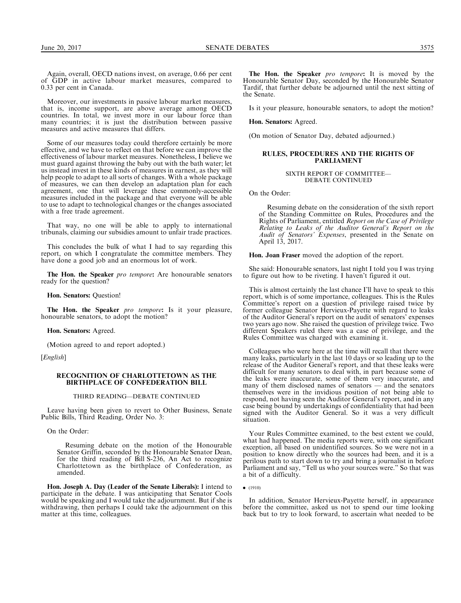Again, overall, OECD nations invest, on average, 0.66 per cent of GDP in active labour market measures, compared to 0.33 per cent in Canada.

Moreover, our investments in passive labour market measures, that is, income support, are above average among OECD countries. In total, we invest more in our labour force than many countries; it is just the distribution between passive measures and active measures that differs.

Some of our measures today could therefore certainly be more effective, and we have to reflect on that before we can improve the effectiveness of labour market measures. Nonetheless, I believe we must guard against throwing the baby out with the bath water; let us instead invest in these kinds of measures in earnest, as they will help people to adapt to all sorts of changes. With a whole package of measures, we can then develop an adaptation plan for each agreement, one that will leverage these commonly-accessible measures included in the package and that everyone will be able to use to adapt to technological changes or the changes associated with a free trade agreement.

That way, no one will be able to apply to international tribunals, claiming our subsidies amount to unfair trade practices.

This concludes the bulk of what I had to say regarding this report, on which I congratulate the committee members. They have done a good job and an enormous lot of work.

The Hon. the Speaker pro tempore: Are honourable senators ready for the question?

Hon. Senators: Question!

The Hon. the Speaker pro tempore: Is it your pleasure, honourable senators, to adopt the motion?

Hon. Senators: Agreed.

(Motion agreed to and report adopted.)

[English]

#### RECOGNITION OF CHARLOTTETOWN AS THE BIRTHPLACE OF CONFEDERATION BILL

### THIRD READING—DEBATE CONTINUED

Leave having been given to revert to Other Business, Senate Public Bills, Third Reading, Order No. 3:

On the Order:

Resuming debate on the motion of the Honourable Senator Griffin, seconded by the Honourable Senator Dean, for the third reading of Bill S-236, An Act to recognize Charlottetown as the birthplace of Confederation, as amended.

Hon. Joseph A. Day (Leader of the Senate Liberals): I intend to participate in the debate. I was anticipating that Senator Cools would be speaking and I would take the adjournment. But if she is withdrawing, then perhaps I could take the adjournment on this matter at this time, colleagues.

The Hon. the Speaker pro tempore: It is moved by the Honourable Senator Day, seconded by the Honourable Senator Tardif, that further debate be adjourned until the next sitting of the Senate.

Is it your pleasure, honourable senators, to adopt the motion?

#### Hon. Senators: Agreed.

(On motion of Senator Day, debated adjourned.)

## RULES, PROCEDURES AND THE RIGHTS OF PARLIAMENT

SIXTH REPORT OF COMMITTEE— DEBATE CONTINUED

On the Order:

Resuming debate on the consideration of the sixth report of the Standing Committee on Rules, Procedures and the Rights of Parliament, entitled Report on the Case of Privilege Relating to Leaks of the Auditor General's Report on the Audit of Senators' Expenses, presented in the Senate on April 13, 2017.

Hon. Joan Fraser moved the adoption of the report.

She said: Honourable senators, last night I told you I was trying to figure out how to be riveting. I haven't figured it out.

This is almost certainly the last chance I'll have to speak to this report, which is of some importance, colleagues. This is the Rules Committee's report on a question of privilege raised twice by former colleague Senator Hervieux-Payette with regard to leaks of the Auditor General's report on the audit of senators' expenses two years ago now. She raised the question of privilege twice. Two different Speakers ruled there was a case of privilege, and the Rules Committee was charged with examining it.

Colleagues who were here at the time will recall that there were many leaks, particularly in the last 10 days or so leading up to the release of the Auditor General's report, and that these leaks were difficult for many senators to deal with, in part because some of the leaks were inaccurate, some of them very inaccurate, and many of them disclosed names of senators — and the senators themselves were in the invidious position of not being able to respond, not having seen the Auditor General's report, and in any case being bound by undertakings of confidentiality that had been signed with the Auditor General. So it was a very difficult situation.

Your Rules Committee examined, to the best extent we could, what had happened. The media reports were, with one significant exception, all based on unidentified sources. So we were not in a position to know directly who the sources had been, and it is a perilous path to start down to try and bring a journalist in before Parliament and say, ''Tell us who your sources were.'' So that was a bit of a difficulty.

In addition, Senator Hervieux-Payette herself, in appearance before the committee, asked us not to spend our time looking back but to try to look forward, to ascertain what needed to be

 $\bullet$  (1910)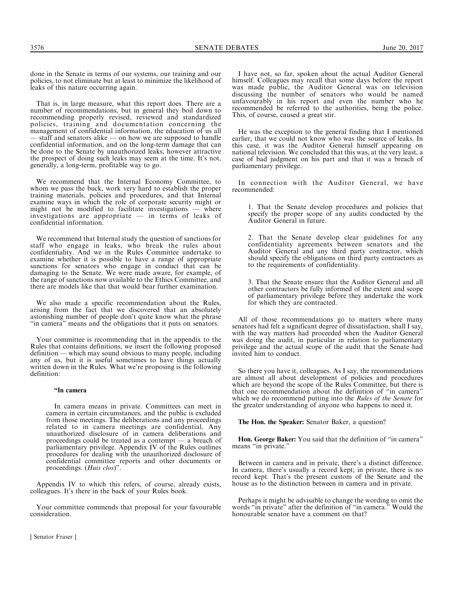done in the Senate in terms of our systems, our training and our policies, to not eliminate but at least to minimize the likelihood of leaks of this nature occurring again.

That is, in large measure, what this report does. There are a number of recommendations, but in general they boil down to recommending properly revised, reviewed and standardized policies, training and documentation concerning the management of confidential information, the education of us all - staff and senators alike — on how we are supposed to handle confidential information, and on the long-term damage that can be done to the Senate by unauthorized leaks, however attractive the prospect of doing such leaks may seem at the time. It's not, generally, a long-term, profitable way to go.

We recommend that the Internal Economy Committee, to whom we pass the buck, work very hard to establish the proper training materials, policies and procedures, and that Internal examine ways in which the role of corporate security might or might not be modified to facilitate investigations — where might not be modified to facilitate investigations investigations are appropriate — in terms of leaks of confidential information.

We recommend that Internal study the question of sanctions for staff who engage in leaks, who break the rules about confidentiality. And we in the Rules Committee undertake to examine whether it is possible to have a range of appropriate sanctions for senators who engage in conduct that can be damaging to the Senate. We were made aware, for example, of the range of sanctions now available to the Ethics Committee, and there are models like that that would bear further examination.

We also made a specific recommendation about the Rules, arising from the fact that we discovered that an absolutely astonishing number of people don't quite know what the phrase "in camera" means and the obligations that it puts on senators.

Your committee is recommending that in the appendix to the Rules that contains definitions, we insert the following proposed definition — which may sound obvious to many people, including any of us, but it is useful sometimes to have things actually written down in the Rules. What we're proposing is the following definition:

## ''In camera

In camera means in private. Committees can meet in camera in certain circumstances, and the public is excluded from those meetings. The deliberations and any proceedings related to in camera meetings are confidential. Any unauthorized disclosure of in camera deliberations and proceedings could be treated as a contempt — a breach of parliamentary privilege. Appendix IV of the Rules outlines procedures for dealing with the unauthorized disclosure of confidential committee reports and other documents or proceedings. (*Huis clos*)".

Appendix IV to which this refers, of course, already exists, colleagues. It's there in the back of your Rules book.

Your committee commends that proposal for your favourable consideration.

[ Senator Fraser ]

I have not, so far, spoken about the actual Auditor General himself. Colleagues may recall that some days before the report was made public, the Auditor General was on television discussing the number of senators who would be named unfavourably in his report and even the number who he recommended be referred to the authorities, being the police. This, of course, caused a great stir.

He was the exception to the general finding that I mentioned earlier, that we could not know who was the source of leaks. In this case, it was the Auditor General himself appearing on national television. We concluded that this was, at the very least, a case of bad judgment on his part and that it was a breach of parliamentary privilege.

In connection with the Auditor General, we have recommended:

1. That the Senate develop procedures and policies that specify the proper scope of any audits conducted by the Auditor General in future.

2. That the Senate develop clear guidelines for any confidentiality agreements between senators and the Auditor General and any third party contractor, which should specify the obligations on third party contractors as to the requirements of confidentiality.

3. That the Senate ensure that the Auditor General and all other contractors be fully informed of the extent and scope of parliamentary privilege before they undertake the work for which they are contracted.

All of those recommendations go to matters where many senators had felt a significant degree of dissatisfaction, shall I say, with the way matters had proceeded when the Auditor General was doing the audit, in particular in relation to parliamentary privilege and the actual scope of the audit that the Senate had invited him to conduct.

So there you have it, colleagues. As I say, the recommendations are almost all about development of policies and procedures which are beyond the scope of the Rules Committee, but there is that one recommendation about the definition of ''in camera'' which we do recommend putting into the Rules of the Senate for the greater understanding of anyone who happens to need it.

The Hon. the Speaker: Senator Baker, a question?

Hon. George Baker: You said that the definition of "in camera" means "in private."

Between in camera and in private, there's a distinct difference. In camera, there's usually a record kept; in private, there is no record kept. That's the present custom of the Senate and the house as to the distinction between in camera and in private.

Perhaps it might be advisable to change the wording to omit the words ''in private'' after the definition of ''in camera.'' Would the honourable senator have a comment on that?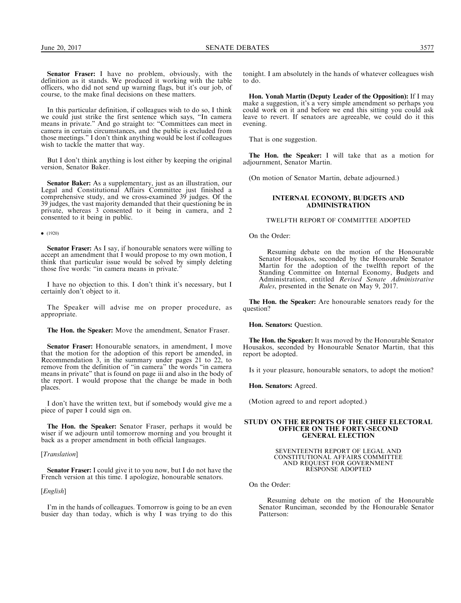Senator Fraser: I have no problem, obviously, with the definition as it stands. We produced it working with the table officers, who did not send up warning flags, but it's our job, of course, to the make final decisions on these matters.

In this particular definition, if colleagues wish to do so, I think we could just strike the first sentence which says, ''In camera means in private.'' And go straight to: ''Committees can meet in camera in certain circumstances, and the public is excluded from those meetings.'' I don't think anything would be lost if colleagues wish to tackle the matter that way.

But I don't think anything is lost either by keeping the original version, Senator Baker.

Senator Baker: As a supplementary, just as an illustration, our Legal and Constitutional Affairs Committee just finished a comprehensive study, and we cross-examined 39 judges. Of the 39 judges, the vast majority demanded that their questioning be in private, whereas 3 consented to it being in camera, and 2 consented to it being in public.

#### $\bullet$  (1920)

Senator Fraser: As I say, if honourable senators were willing to accept an amendment that I would propose to my own motion, I think that particular issue would be solved by simply deleting those five words: "in camera means in private.

I have no objection to this. I don't think it's necessary, but I certainly don't object to it.

The Speaker will advise me on proper procedure, as appropriate.

The Hon. the Speaker: Move the amendment, Senator Fraser.

Senator Fraser: Honourable senators, in amendment, I move that the motion for the adoption of this report be amended, in Recommendation 3, in the summary under pages 21 to 22, to remove from the definition of ''in camera'' the words ''in camera means in private'' that is found on page iii and also in the body of the report. I would propose that the change be made in both places.

I don't have the written text, but if somebody would give me a piece of paper I could sign on.

The Hon. the Speaker: Senator Fraser, perhaps it would be wiser if we adjourn until tomorrow morning and you brought it back as a proper amendment in both official languages.

## [*Translation*]

Senator Fraser: I could give it to you now, but I do not have the French version at this time. I apologize, honourable senators.

## [English]

I'm in the hands of colleagues. Tomorrow is going to be an even busier day than today, which is why I was trying to do this tonight. I am absolutely in the hands of whatever colleagues wish to do.

Hon. Yonah Martin (Deputy Leader of the Opposition): If I may make a suggestion, it's a very simple amendment so perhaps you could work on it and before we end this sitting you could ask leave to revert. If senators are agreeable, we could do it this evening.

That is one suggestion.

The Hon. the Speaker: I will take that as a motion for adjournment, Senator Martin.

(On motion of Senator Martin, debate adjourned.)

### INTERNAL ECONOMY, BUDGETS AND ADMINISTRATION

### TWELFTH REPORT OF COMMITTEE ADOPTED

On the Order:

Resuming debate on the motion of the Honourable Senator Housakos, seconded by the Honourable Senator Martin for the adoption of the twelfth report of the Standing Committee on Internal Economy, Budgets and Administration, entitled Revised Senate Administrative Rules, presented in the Senate on May 9, 2017.

The Hon. the Speaker: Are honourable senators ready for the question?

Hon. Senators: Question.

The Hon. the Speaker: It was moved by the Honourable Senator Housakos, seconded by Honourable Senator Martin, that this report be adopted.

Is it your pleasure, honourable senators, to adopt the motion?

Hon. Senators: Agreed.

(Motion agreed to and report adopted.)

#### STUDY ON THE REPORTS OF THE CHIEF ELECTORAL OFFICER ON THE FORTY-SECOND GENERAL ELECTION

SEVENTEENTH REPORT OF LEGAL AND CONSTITUTIONAL AFFAIRS COMMITTEE AND REQUEST FOR GOVERNMENT RESPONSE ADOPTED

On the Order:

Resuming debate on the motion of the Honourable Senator Runciman, seconded by the Honourable Senator Patterson: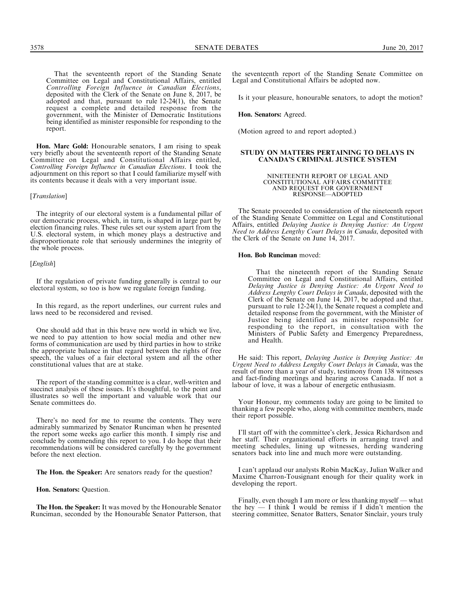That the seventeenth report of the Standing Senate Committee on Legal and Constitutional Affairs, entitled Controlling Foreign Influence in Canadian Elections, deposited with the Clerk of the Senate on June 8, 2017, be adopted and that, pursuant to rule 12-24(1), the Senate request a complete and detailed response from the government, with the Minister of Democratic Institutions being identified as minister responsible for responding to the report.

Hon. Marc Gold: Honourable senators, I am rising to speak very briefly about the seventeenth report of the Standing Senate Committee on Legal and Constitutional Affairs entitled, Controlling Foreign Influence in Canadian Elections. I took the adjournment on this report so that I could familiarize myself with its contents because it deals with a very important issue.

#### [Translation]

The integrity of our electoral system is a fundamental pillar of our democratic process, which, in turn, is shaped in large part by election financing rules. These rules set our system apart from the U.S. electoral system, in which money plays a destructive and disproportionate role that seriously undermines the integrity of the whole process.

## [*English*]

If the regulation of private funding generally is central to our electoral system, so too is how we regulate foreign funding.

In this regard, as the report underlines, our current rules and laws need to be reconsidered and revised.

One should add that in this brave new world in which we live, we need to pay attention to how social media and other new forms of communication are used by third parties in how to strike the appropriate balance in that regard between the rights of free speech, the values of a fair electoral system and all the other constitutional values that are at stake.

The report of the standing committee is a clear, well-written and succinct analysis of these issues. It's thoughtful, to the point and illustrates so well the important and valuable work that our Senate committees do.

There's no need for me to resume the contents. They were admirably summarized by Senator Runciman when he presented the report some weeks ago earlier this month. I simply rise and conclude by commending this report to you. I do hope that their recommendations will be considered carefully by the government before the next election.

The Hon. the Speaker: Are senators ready for the question?

Hon. Senators: Question.

The Hon. the Speaker: It was moved by the Honourable Senator Runciman, seconded by the Honourable Senator Patterson, that the seventeenth report of the Standing Senate Committee on Legal and Constitutional Affairs be adopted now.

Is it your pleasure, honourable senators, to adopt the motion?

Hon. Senators: Agreed.

(Motion agreed to and report adopted.)

## STUDY ON MATTERS PERTAINING TO DELAYS IN CANADA'S CRIMINAL JUSTICE SYSTEM

#### NINETEENTH REPORT OF LEGAL AND CONSTITUTIONAL AFFAIRS COMMITTEE AND REQUEST FOR GOVERNMENT RESPONSE—ADOPTED

The Senate proceeded to consideration of the nineteenth report of the Standing Senate Committee on Legal and Constitutional Affairs, entitled Delaying Justice is Denying Justice: An Urgent Need to Address Lengthy Court Delays in Canada, deposited with the Clerk of the Senate on June 14, 2017.

#### Hon. Bob Runciman moved:

That the nineteenth report of the Standing Senate Committee on Legal and Constitutional Affairs, entitled Delaying Justice is Denying Justice: An Urgent Need to Address Lengthy Court Delays in Canada, deposited with the Clerk of the Senate on June 14, 2017, be adopted and that, pursuant to rule 12-24(1), the Senate request a complete and detailed response from the government, with the Minister of Justice being identified as minister responsible for responding to the report, in consultation with the Ministers of Public Safety and Emergency Preparedness, and Health.

He said: This report, Delaying Justice is Denying Justice: An Urgent Need to Address Lengthy Court Delays in Canada, was the result of more than a year of study, testimony from 138 witnesses and fact-finding meetings and hearing across Canada. If not a labour of love, it was a labour of energetic enthusiasm.

Your Honour, my comments today are going to be limited to thanking a few people who, along with committee members, made their report possible.

I'll start off with the committee's clerk, Jessica Richardson and her staff. Their organizational efforts in arranging travel and meeting schedules, lining up witnesses, herding wandering senators back into line and much more were outstanding.

I can't applaud our analysts Robin MacKay, Julian Walker and Maxime Charron-Tousignant enough for their quality work in developing the report.

Finally, even though I am more or less thanking myself — what the hey — I think I would be remiss if I didn't mention the steering committee, Senator Batters, Senator Sinclair, yours truly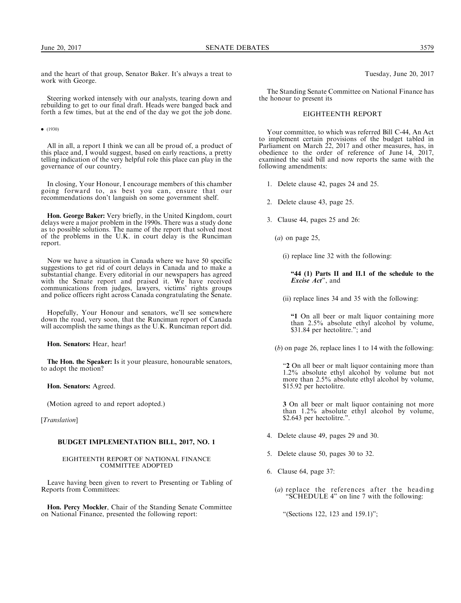and the heart of that group, Senator Baker. It's always a treat to work with George.

Steering worked intensely with our analysts, tearing down and rebuilding to get to our final draft. Heads were banged back and forth a few times, but at the end of the day we got the job done.

#### $\bullet$  (1930)

All in all, a report I think we can all be proud of, a product of this place and, I would suggest, based on early reactions, a pretty telling indication of the very helpful role this place can play in the governance of our country.

In closing, Your Honour, I encourage members of this chamber going forward to, as best you can, ensure that our recommendations don't languish on some government shelf.

Hon. George Baker: Very briefly, in the United Kingdom, court delays were a major problem in the 1990s. There was a study done as to possible solutions. The name of the report that solved most of the problems in the U.K. in court delay is the Runciman report.

Now we have a situation in Canada where we have 50 specific suggestions to get rid of court delays in Canada and to make a substantial change. Every editorial in our newspapers has agreed with the Senate report and praised it. We have received communications from judges, lawyers, victims' rights groups and police officers right across Canada congratulating the Senate.

Hopefully, Your Honour and senators, we'll see somewhere down the road, very soon, that the Runciman report of Canada will accomplish the same things as the U.K. Runciman report did.

Hon. Senators: Hear, hear!

The Hon. the Speaker: Is it your pleasure, honourable senators, to adopt the motion?

Hon. Senators: Agreed.

(Motion agreed to and report adopted.)

[Translation]

## BUDGET IMPLEMENTATION BILL, 2017, NO. 1

## EIGHTEENTH REPORT OF NATIONAL FINANCE COMMITTEE ADOPTED

Leave having been given to revert to Presenting or Tabling of Reports from Committees:

Hon. Percy Mockler, Chair of the Standing Senate Committee on National Finance, presented the following report:

Tuesday, June 20, 2017

The Standing Senate Committee on National Finance has the honour to present its

## EIGHTEENTH REPORT

Your committee, to which was referred Bill C-44, An Act to implement certain provisions of the budget tabled in Parliament on March 22, 2017 and other measures, has, in obedience to the order of reference of June 14, 2017, examined the said bill and now reports the same with the following amendments:

- 1. Delete clause 42, pages 24 and 25.
- 2. Delete clause 43, page 25.
- 3. Clause 44, pages 25 and 26:
	- $(a)$  on page 25,

(i) replace line 32 with the following:

"44 (1) Parts II and II.1 of the schedule to the Excise Act'', and

(ii) replace lines 34 and 35 with the following:

''1 On all beer or malt liquor containing more than 2.5% absolute ethyl alcohol by volume, \$31.84 per hectolitre."; and

(b) on page 26, replace lines 1 to 14 with the following:

"2 On all beer or malt liquor containing more than 1.2% absolute ethyl alcohol by volume but not more than 2.5% absolute ethyl alcohol by volume, \$15.92 per hectolitre.

3 On all beer or malt liquor containing not more than 1.2% absolute ethyl alcohol by volume, \$2.643 per hectolitre.".

- 4. Delete clause 49, pages 29 and 30.
- 5. Delete clause 50, pages 30 to 32.
- 6. Clause 64, page 37:
	- (a) replace the references after the heading ''SCHEDULE 4'' on line 7 with the following:

''(Sections 122, 123 and 159.1)'';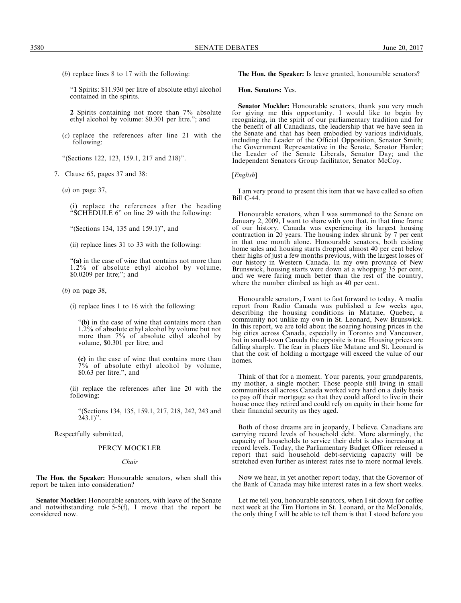(b) replace lines 8 to 17 with the following:

''1 Spirits: \$11.930 per litre of absolute ethyl alcohol contained in the spirits.

2 Spirits containing not more than 7% absolute ethyl alcohol by volume: \$0.301 per litre.''; and

(c) replace the references after line 21 with the following:

"(Sections 122, 123, 159.1, 217 and 218)".

- 7. Clause 65, pages 37 and 38:
	- $(a)$  on page 37,

(i) replace the references after the heading ''SCHEDULE 6'' on line 29 with the following:

''(Sections 134, 135 and 159.1)'', and

(ii) replace lines 31 to 33 with the following:

"(a) in the case of wine that contains not more than 1.2% of absolute ethyl alcohol by volume, \$0.0209 per litre;''; and

(b) on page 38,

(i) replace lines 1 to 16 with the following:

''(b) in the case of wine that contains more than 1.2% of absolute ethyl alcohol by volume but not more than 7% of absolute ethyl alcohol by volume, \$0.301 per litre; and

(c) in the case of wine that contains more than  $7\%$  of absolute ethyl alcohol by volume, \$0.63 per litre.'', and

(ii) replace the references after line 20 with the following:

''(Sections 134, 135, 159.1, 217, 218, 242, 243 and  $243.1$ ".

Respectfully submitted,

## PERCY MOCKLER

#### Chair

The Hon. the Speaker: Honourable senators, when shall this report be taken into consideration?

Senator Mockler: Honourable senators, with leave of the Senate and notwithstanding rule 5-5(f), I move that the report be considered now.

The Hon. the Speaker: Is leave granted, honourable senators?

Hon. Senators: Yes.

Senator Mockler: Honourable senators, thank you very much for giving me this opportunity. I would like to begin by recognizing, in the spirit of our parliamentary tradition and for the benefit of all Canadians, the leadership that we have seen in the Senate and that has been embodied by various individuals, including the Leader of the Official Opposition, Senator Smith; the Government Representative in the Senate, Senator Harder; the Leader of the Senate Liberals, Senator Day; and the Independent Senators Group facilitator, Senator McCoy.

### [*English*]

I am very proud to present this item that we have called so often Bill C-44.

Honourable senators, when I was summoned to the Senate on January 2, 2009, I want to share with you that, in that time frame of our history, Canada was experiencing its largest housing contraction in 20 years. The housing index shrunk by 7 per cent in that one month alone. Honourable senators, both existing home sales and housing starts dropped almost 40 per cent below their highs of just a few months previous, with the largest losses of our history in Western Canada. In my own province of New Brunswick, housing starts were down at a whopping 35 per cent, and we were faring much better than the rest of the country, where the number climbed as high as 40 per cent.

Honourable senators, I want to fast forward to today. A media report from Radio Canada was published a few weeks ago, describing the housing conditions in Matane, Quebec, a community not unlike my own in St. Leonard, New Brunswick. In this report, we are told about the soaring housing prices in the big cities across Canada, especially in Toronto and Vancouver, but in small-town Canada the opposite is true. Housing prices are falling sharply. The fear in places like Matane and St. Leonard is that the cost of holding a mortgage will exceed the value of our homes.

Think of that for a moment. Your parents, your grandparents, my mother, a single mother: Those people still living in small communities all across Canada worked very hard on a daily basis to pay off their mortgage so that they could afford to live in their house once they retired and could rely on equity in their home for their financial security as they aged.

Both of those dreams are in jeopardy, I believe. Canadians are carrying record levels of household debt. More alarmingly, the capacity of households to service their debt is also increasing at record levels. Today, the Parliamentary Budget Officer released a report that said household debt-servicing capacity will be stretched even further as interest rates rise to more normal levels.

Now we hear, in yet another report today, that the Governor of the Bank of Canada may hike interest rates in a few short weeks.

Let me tell you, honourable senators, when I sit down for coffee next week at the Tim Hortons in St. Leonard, or the McDonalds, the only thing I will be able to tell them is that I stood before you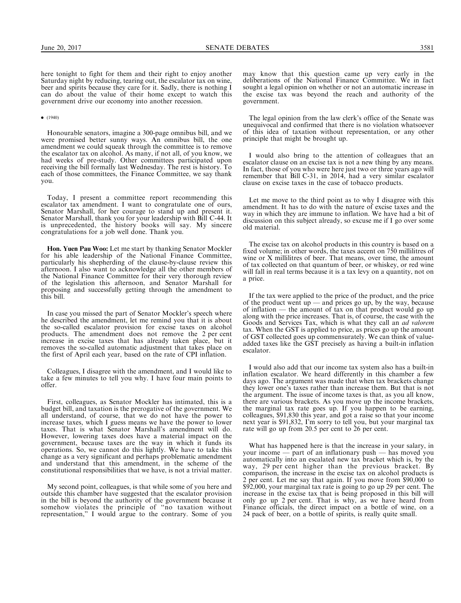here tonight to fight for them and their right to enjoy another Saturday night by reducing, tearing out, the escalator tax on wine, beer and spirits because they care for it. Sadly, there is nothing I can do about the value of their home except to watch this government drive our economy into another recession.

#### $\bullet$  (1940)

Honourable senators, imagine a 300-page omnibus bill, and we were promised better sunny ways. An omnibus bill, the one amendment we could squeak through the committee is to remove the escalator tax on alcohol. As many, if not all, of you know, we had weeks of pre-study. Other committees participated upon receiving the bill formally last Wednesday. The rest is history. To each of those committees, the Finance Committee, we say thank you.

Today, I present a committee report recommending this escalator tax amendment. I want to congratulate one of ours, Senator Marshall, for her courage to stand up and present it. Senator Marshall, thank you for your leadership with Bill C-44. It is unprecedented, the history books will say. My sincere congratulations for a job well done. Thank you.

Hon. Yuen Pau Woo: Let me start by thanking Senator Mockler for his able leadership of the National Finance Committee, particularly his shepherding of the clause-by-clause review this afternoon. I also want to acknowledge all the other members of the National Finance Committee for their very thorough review of the legislation this afternoon, and Senator Marshall for proposing and successfully getting through the amendment to this bill.

In case you missed the part of Senator Mockler's speech where he described the amendment, let me remind you that it is about the so-called escalator provision for excise taxes on alcohol products. The amendment does not remove the 2 per cent increase in excise taxes that has already taken place, but it removes the so-called automatic adjustment that takes place on the first of April each year, based on the rate of CPI inflation.

Colleagues, I disagree with the amendment, and I would like to take a few minutes to tell you why. I have four main points to offer.

First, colleagues, as Senator Mockler has intimated, this is a budget bill, and taxation is the prerogative of the government. We all understand, of course, that we do not have the power to increase taxes, which I guess means we have the power to lower taxes. That is what Senator Marshall's amendment will do. However, lowering taxes does have a material impact on the government, because taxes are the way in which it funds its operations. So, we cannot do this lightly. We have to take this change as a very significant and perhaps problematic amendment and understand that this amendment, in the scheme of the constitutional responsibilities that we have, is not a trivial matter.

My second point, colleagues, is that while some of you here and outside this chamber have suggested that the escalator provision in the bill is beyond the authority of the government because it somehow violates the principle of ''no taxation without representation,'' I would argue to the contrary. Some of you

may know that this question came up very early in the deliberations of the National Finance Committee. We in fact sought a legal opinion on whether or not an automatic increase in the excise tax was beyond the reach and authority of the government.

The legal opinion from the law clerk's office of the Senate was unequivocal and confirmed that there is no violation whatsoever of this idea of taxation without representation, or any other principle that might be brought up.

I would also bring to the attention of colleagues that an escalator clause on an excise tax is not a new thing by any means. In fact, those of you who were here just two or three years ago will remember that Bill C-31, in 2014, had a very similar escalator clause on excise taxes in the case of tobacco products.

Let me move to the third point as to why I disagree with this amendment. It has to do with the nature of excise taxes and the way in which they are immune to inflation. We have had a bit of discussion on this subject already, so excuse me if I go over some old material.

The excise tax on alcohol products in this country is based on a fixed volume; in other words, the taxes accent on 750 millilitres of wine or X millilitres of beer. That means, over time, the amount of tax collected on that quantum of beer, or whiskey, or red wine will fall in real terms because it is a tax levy on a quantity, not on a price.

If the tax were applied to the price of the product, and the price of the product went  $up$  — and prices go up, by the way, because of inflation — the amount of tax on that product would go up along with the price increases. That is, of course, the case with the Goods and Services Tax, which is what they call an ad valorem tax. When the GST is applied to price, as prices go up the amount of GST collected goes up commensurately. We can think of valueadded taxes like the GST precisely as having a built-in inflation escalator.

I would also add that our income tax system also has a built-in inflation escalator. We heard differently in this chamber a few days ago. The argument was made that when tax brackets change they lower one's taxes rather than increase them. But that is not the argument. The issue of income taxes is that, as you all know, there are various brackets. As you move up the income brackets, the marginal tax rate goes up. If you happen to be earning, colleagues, \$91,830 this year, and got a raise so that your income next year is \$91,832, I'm sorry to tell you, but your marginal tax rate will go up from 20.5 per cent to 26 per cent.

What has happened here is that the increase in your salary, in your income — part of an inflationary push — has moved you automatically into an escalated new tax bracket which is, by the way, 29 per cent higher than the previous bracket. By comparison, the increase in the excise tax on alcohol products is 2 per cent. Let me say that again. If you move from \$90,000 to \$92,000, your marginal tax rate is going to go up 29 per cent. The increase in the excise tax that is being proposed in this bill will only go up 2 per cent. That is why, as we have heard from Finance officials, the direct impact on a bottle of wine, on a 24 pack of beer, on a bottle of spirits, is really quite small.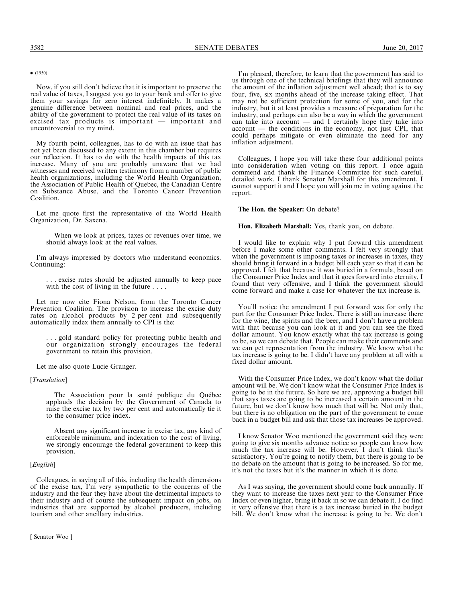## $\bullet$  (1950)

Now, if you still don't believe that it is important to preserve the real value of taxes, I suggest you go to your bank and offer to give them your savings for zero interest indefinitely. It makes a genuine difference between nominal and real prices, and the ability of the government to protect the real value of its taxes on excised tax products is important — important and uncontroversial to my mind.

My fourth point, colleagues, has to do with an issue that has not yet been discussed to any extent in this chamber but requires our reflection. It has to do with the health impacts of this tax increase. Many of you are probably unaware that we had witnesses and received written testimony from a number of public health organizations, including the World Health Organization, the Association of Public Health of Quebec, the Canadian Centre on Substance Abuse, and the Toronto Cancer Prevention Coalition.

Let me quote first the representative of the World Health Organization, Dr. Saxena.

When we look at prices, taxes or revenues over time, we should always look at the real values.

I'm always impressed by doctors who understand economics. Continuing:

. excise rates should be adjusted annually to keep pace with the cost of living in the future . . . .

Let me now cite Fiona Nelson, from the Toronto Cancer Prevention Coalition. The provision to increase the excise duty rates on alcohol products by 2 per cent and subsequently automatically index them annually to CPI is the:

. . . gold standard policy for protecting public health and our organization strongly encourages the federal government to retain this provision.

Let me also quote Lucie Granger.

## [*Translation*]

The Association pour la santé publique du Québec applauds the decision by the Government of Canada to raise the excise tax by two per cent and automatically tie it to the consumer price index.

Absent any significant increase in excise tax, any kind of enforceable minimum, and indexation to the cost of living, we strongly encourage the federal government to keep this provision.

## [*English*]

Colleagues, in saying all of this, including the health dimensions of the excise tax, I'm very sympathetic to the concerns of the industry and the fear they have about the detrimental impacts to their industry and of course the subsequent impact on jobs, on industries that are supported by alcohol producers, including tourism and other ancillary industries.

[ Senator Woo ]

I'm pleased, therefore, to learn that the government has said to us through one of the technical briefings that they will announce the amount of the inflation adjustment well ahead; that is to say four, five, six months ahead of the increase taking effect. That may not be sufficient protection for some of you, and for the industry, but it at least provides a measure of preparation for the industry, and perhaps can also be a way in which the government can take into account — and I certainly hope they take into account — the conditions in the economy, not just CPI, that could perhaps mitigate or even eliminate the need for any inflation adjustment.

Colleagues, I hope you will take these four additional points into consideration when voting on this report. I once again commend and thank the Finance Committee for such careful, detailed work. I thank Senator Marshall for this amendment. I cannot support it and I hope you will join me in voting against the report.

#### The Hon. the Speaker: On debate?

#### Hon. Elizabeth Marshall: Yes, thank you, on debate.

I would like to explain why I put forward this amendment before I make some other comments. I felt very strongly that when the government is imposing taxes or increases in taxes, they should bring it forward in a budget bill each year so that it can be approved. I felt that because it was buried in a formula, based on the Consumer Price Index and that it goes forward into eternity, I found that very offensive, and I think the government should come forward and make a case for whatever the tax increase is.

You'll notice the amendment I put forward was for only the part for the Consumer Price Index. There is still an increase there for the wine, the spirits and the beer, and I don't have a problem with that because you can look at it and you can see the fixed dollar amount. You know exactly what the tax increase is going to be, so we can debate that. People can make their comments and we can get representation from the industry. We know what the tax increase is going to be. I didn't have any problem at all with a fixed dollar amount.

With the Consumer Price Index, we don't know what the dollar amount will be. We don't know what the Consumer Price Index is going to be in the future. So here we are, approving a budget bill that says taxes are going to be increased a certain amount in the future, but we don't know how much that will be. Not only that, but there is no obligation on the part of the government to come back in a budget bill and ask that those tax increases be approved.

I know Senator Woo mentioned the government said they were going to give six months advance notice so people can know how much the tax increase will be. However, I don't think that's satisfactory. You're going to notify them, but there is going to be no debate on the amount that is going to be increased. So for me, it's not the taxes but it's the manner in which it is done.

As I was saying, the government should come back annually. If they want to increase the taxes next year to the Consumer Price Index or even higher, bring it back in so we can debate it. I do find it very offensive that there is a tax increase buried in the budget bill. We don't know what the increase is going to be. We don't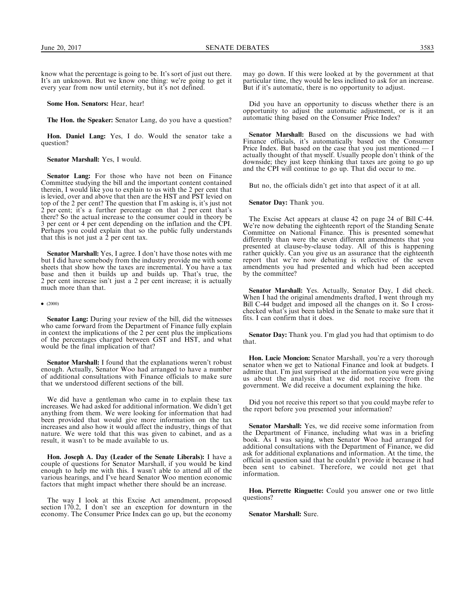know what the percentage is going to be. It's sort of just out there. It's an unknown. But we know one thing: we're going to get it every year from now until eternity, but it's not defined.

Some Hon. Senators: Hear, hear!

The Hon. the Speaker: Senator Lang, do you have a question?

Hon. Daniel Lang: Yes, I do. Would the senator take a question?

Senator Marshall: Yes, I would.

Senator Lang: For those who have not been on Finance Committee studying the bill and the important content contained therein, I would like you to explain to us with the 2 per cent that is levied, over and above that then are the HST and PST levied on top of the 2 per cent? The question that I'm asking is, it's just not 2 per cent; it's a further percentage on that 2 per cent that's there? So the actual increase to the consumer could in theory be 3 per cent or 4 per cent depending on the inflation and the CPI. Perhaps you could explain that so the public fully understands that this is not just a  $\tilde{2}$  per cent tax.

Senator Marshall: Yes, I agree. I don't have those notes with me but I did have somebody from the industry provide me with some sheets that show how the taxes are incremental. You have a tax base and then it builds up and builds up. That's true, the 2 per cent increase isn't just a 2 per cent increase; it is actually much more than that.

#### $\bullet$  (2000)

Senator Lang: During your review of the bill, did the witnesses who came forward from the Department of Finance fully explain in context the implications of the 2 per cent plus the implications of the percentages charged between GST and HST, and what would be the final implication of that?

Senator Marshall: I found that the explanations weren't robust enough. Actually, Senator Woo had arranged to have a number of additional consultations with Finance officials to make sure that we understood different sections of the bill.

We did have a gentleman who came in to explain these tax increases. We had asked for additional information. We didn't get anything from them. We were looking for information that had been provided that would give more information on the tax increases and also how it would affect the industry, things of that nature. We were told that this was given to cabinet, and as a result, it wasn't to be made available to us.

Hon. Joseph A. Day (Leader of the Senate Liberals): I have a couple of questions for Senator Marshall, if you would be kind enough to help me with this. I wasn't able to attend all of the various hearings, and I've heard Senator Woo mention economic factors that might impact whether there should be an increase.

The way I look at this Excise Act amendment, proposed section 170.2, I don't see an exception for downturn in the economy. The Consumer Price Index can go up, but the economy

may go down. If this were looked at by the government at that particular time, they would be less inclined to ask for an increase. But if it's automatic, there is no opportunity to adjust.

Did you have an opportunity to discuss whether there is an opportunity to adjust the automatic adjustment, or is it an automatic thing based on the Consumer Price Index?

Senator Marshall: Based on the discussions we had with Finance officials, it's automatically based on the Consumer Price Index. But based on the case that you just mentioned — I actually thought of that myself. Usually people don't think of the downside; they just keep thinking that taxes are going to go up and the CPI will continue to go up. That did occur to me.

But no, the officials didn't get into that aspect of it at all.

Senator Day: Thank you.

The Excise Act appears at clause 42 on page 24 of Bill C-44. We're now debating the eighteenth report of the Standing Senate Committee on National Finance. This is presented somewhat differently than were the seven different amendments that you presented at clause-by-clause today. All of this is happening rather quickly. Can you give us an assurance that the eighteenth report that we're now debating is reflective of the seven amendments you had presented and which had been accepted by the committee?

Senator Marshall: Yes. Actually, Senator Day, I did check. When I had the original amendments drafted, I went through my Bill C-44 budget and imposed all the changes on it. So I crosschecked what's just been tabled in the Senate to make sure that it fits. I can confirm that it does.

Senator Day: Thank you. I'm glad you had that optimism to do that.

Hon. Lucie Moncion: Senator Marshall, you're a very thorough senator when we get to National Finance and look at budgets. I admire that. I'm just surprised at the information you were giving us about the analysis that we did not receive from the government. We did receive a document explaining the hike.

Did you not receive this report so that you could maybe refer to the report before you presented your information?

Senator Marshall: Yes, we did receive some information from the Department of Finance, including what was in a briefing book. As I was saying, when Senator Woo had arranged for additional consultations with the Department of Finance, we did ask for additional explanations and information. At the time, the official in question said that he couldn't provide it because it had been sent to cabinet. Therefore, we could not get that information.

Hon. Pierrette Ringuette: Could you answer one or two little questions?

Senator Marshall: Sure.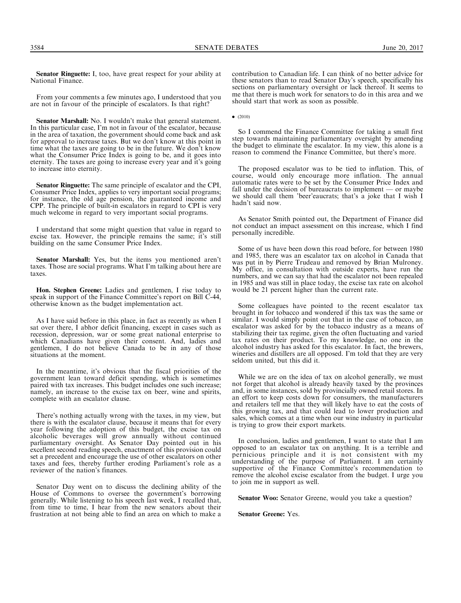3584 SENATE DEBATES June 20, 2017

Senator Ringuette: I, too, have great respect for your ability at National Finance.

From your comments a few minutes ago, I understood that you are not in favour of the principle of escalators. Is that right?

Senator Marshall: No. I wouldn't make that general statement. In this particular case, I'm not in favour of the escalator, because in the area of taxation, the government should come back and ask for approval to increase taxes. But we don't know at this point in time what the taxes are going to be in the future. We don't know what the Consumer Price Index is going to be, and it goes into eternity. The taxes are going to increase every year and it's going to increase into eternity.

Senator Ringuette: The same principle of escalator and the CPI, Consumer Price Index, applies to very important social programs; for instance, the old age pension, the guaranteed income and CPP. The principle of built-in escalators in regard to CPI is very much welcome in regard to very important social programs.

I understand that some might question that value in regard to excise tax. However, the principle remains the same; it's still building on the same Consumer Price Index.

Senator Marshall: Yes, but the items you mentioned aren't taxes. Those are social programs. What I'm talking about here are taxes.

Hon. Stephen Greene: Ladies and gentlemen, I rise today to speak in support of the Finance Committee's report on Bill C-44, otherwise known as the budget implementation act.

As I have said before in this place, in fact as recently as when I sat over there, I abhor deficit financing, except in cases such as recession, depression, war or some great national enterprise to which Canadians have given their consent. And, ladies and gentlemen, I do not believe Canada to be in any of those situations at the moment.

In the meantime, it's obvious that the fiscal priorities of the government lean toward deficit spending, which is sometimes paired with tax increases. This budget includes one such increase; namely, an increase to the excise tax on beer, wine and spirits, complete with an escalator clause.

There's nothing actually wrong with the taxes, in my view, but there is with the escalator clause, because it means that for every year following the adoption of this budget, the excise tax on alcoholic beverages will grow annually without continued parliamentary oversight. As Senator Day pointed out in his excellent second reading speech, enactment of this provision could set a precedent and encourage the use of other escalators on other taxes and fees, thereby further eroding Parliament's role as a reviewer of the nation's finances.

Senator Day went on to discuss the declining ability of the House of Commons to oversee the government's borrowing generally. While listening to his speech last week, I recalled that, from time to time, I hear from the new senators about their frustration at not being able to find an area on which to make a

contribution to Canadian life. I can think of no better advice for these senators than to read Senator Day's speech, specifically his sections on parliamentary oversight or lack thereof. It seems to me that there is much work for senators to do in this area and we should start that work as soon as possible.

 $\bullet$  (2010)

So I commend the Finance Committee for taking a small first step towards maintaining parliamentary oversight by amending the budget to eliminate the escalator. In my view, this alone is a reason to commend the Finance Committee, but there's more.

The proposed escalator was to be tied to inflation. This, of course, would only encourage more inflation. The annual automatic rates were to be set by the Consumer Price Index and fall under the decision of bureaucrats to implement — or maybe we should call them 'beer'eaucrats; that's a joke that I wish I hadn't said now.

As Senator Smith pointed out, the Department of Finance did not conduct an impact assessment on this increase, which I find personally incredible.

Some of us have been down this road before, for between 1980 and 1985, there was an escalator tax on alcohol in Canada that was put in by Pierre Trudeau and removed by Brian Mulroney. My office, in consultation with outside experts, have run the numbers, and we can say that had the escalator not been repealed in 1985 and was still in place today, the excise tax rate on alcohol would be 21 percent higher than the current rate.

Some colleagues have pointed to the recent escalator tax brought in for tobacco and wondered if this tax was the same or similar. I would simply point out that in the case of tobacco, an escalator was asked for by the tobacco industry as a means of stabilizing their tax regime, given the often fluctuating and varied tax rates on their product. To my knowledge, no one in the alcohol industry has asked for this escalator. In fact, the brewers, wineries and distillers are all opposed. I'm told that they are very seldom united, but this did it.

While we are on the idea of tax on alcohol generally, we must not forget that alcohol is already heavily taxed by the provinces and, in some instances, sold by provincially owned retail stores. In an effort to keep costs down for consumers, the manufacturers and retailers tell me that they will likely have to eat the costs of this growing tax, and that could lead to lower production and sales, which comes at a time when our wine industry in particular is trying to grow their export markets.

In conclusion, ladies and gentlemen, I want to state that I am opposed to an escalator tax on anything. It is a terrible and pernicious principle and it is not consistent with my understanding of the purpose of Parliament. I am certainly supportive of the Finance Committee's recommendation to remove the alcohol excise escalator from the budget. I urge you to join me in support as well.

Senator Woo: Senator Greene, would you take a question?

Senator Greene: Yes.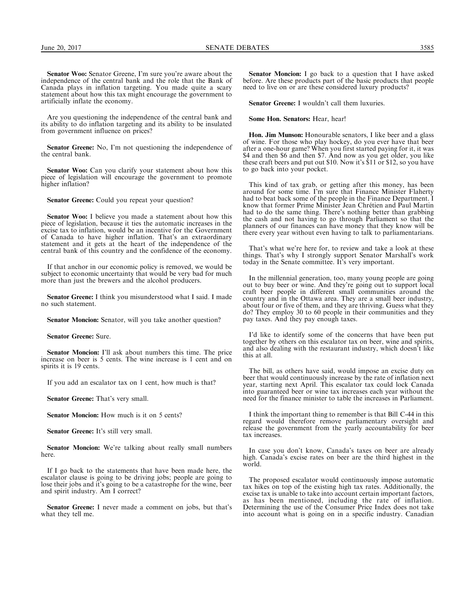Senator Woo: Senator Greene, I'm sure you're aware about the independence of the central bank and the role that the Bank of Canada plays in inflation targeting. You made quite a scary statement about how this tax might encourage the government to artificially inflate the economy.

Are you questioning the independence of the central bank and its ability to do inflation targeting and its ability to be insulated from government influence on prices?

Senator Greene: No, I'm not questioning the independence of the central bank.

Senator Woo: Can you clarify your statement about how this piece of legislation will encourage the government to promote higher inflation?

Senator Greene: Could you repeat your question?

Senator Woo: I believe you made a statement about how this piece of legislation, because it ties the automatic increases in the excise tax to inflation, would be an incentive for the Government of Canada to have higher inflation. That's an extraordinary statement and it gets at the heart of the independence of the central bank of this country and the confidence of the economy.

If that anchor in our economic policy is removed, we would be subject to economic uncertainty that would be very bad for much more than just the brewers and the alcohol producers.

Senator Greene: I think you misunderstood what I said. I made no such statement.

Senator Moncion: Senator, will you take another question?

Senator Greene: Sure.

Senator Moncion: I'll ask about numbers this time. The price increase on beer is 5 cents. The wine increase is 1 cent and on spirits it is 19 cents.

If you add an escalator tax on 1 cent, how much is that?

Senator Greene: That's very small.

Senator Moncion: How much is it on 5 cents?

Senator Greene: It's still very small.

Senator Moncion: We're talking about really small numbers here.

If I go back to the statements that have been made here, the escalator clause is going to be driving jobs; people are going to lose their jobs and it's going to be a catastrophe for the wine, beer and spirit industry. Am I correct?

Senator Greene: I never made a comment on jobs, but that's what they tell me.

Senator Moncion: I go back to a question that I have asked before. Are these products part of the basic products that people need to live on or are these considered luxury products?

Senator Greene: I wouldn't call them luxuries.

#### Some Hon. Senators: Hear, hear!

Hon. Jim Munson: Honourable senators, I like beer and a glass of wine. For those who play hockey, do you ever have that beer after a one-hour game? When you first started paying for it, it was \$4 and then \$6 and then \$7. And now as you get older, you like these craft beers and put out \$10. Now it's \$11 or \$12, so you have to go back into your pocket.

This kind of tax grab, or getting after this money, has been around for some time. I'm sure that Finance Minister Flaherty had to beat back some of the people in the Finance Department. I know that former Prime Minister Jean Chrétien and Paul Martin had to do the same thing. There's nothing better than grabbing the cash and not having to go through Parliament so that the planners of our finances can have money that they know will be there every year without even having to talk to parliamentarians.

That's what we're here for, to review and take a look at these things. That's why I strongly support Senator Marshall's work today in the Senate committee. It's very important.

In the millennial generation, too, many young people are going out to buy beer or wine. And they're going out to support local craft beer people in different small communities around the country and in the Ottawa area. They are a small beer industry, about four or five of them, and they are thriving. Guess what they do? They employ 30 to 60 people in their communities and they pay taxes. And they pay enough taxes.

I'd like to identify some of the concerns that have been put together by others on this escalator tax on beer, wine and spirits, and also dealing with the restaurant industry, which doesn't like this at all.

The bill, as others have said, would impose an excise duty on beer that would continuously increase by the rate of inflation next year, starting next April. This escalator tax could lock Canada into guaranteed beer or wine tax increases each year without the need for the finance minister to table the increases in Parliament.

I think the important thing to remember is that Bill C-44 in this regard would therefore remove parliamentary oversight and release the government from the yearly accountability for beer tax increases.

In case you don't know, Canada's taxes on beer are already high. Canada's excise rates on beer are the third highest in the world

The proposed escalator would continuously impose automatic tax hikes on top of the existing high tax rates. Additionally, the excise tax is unable to take into account certain important factors, as has been mentioned, including the rate of inflation. Determining the use of the Consumer Price Index does not take into account what is going on in a specific industry. Canadian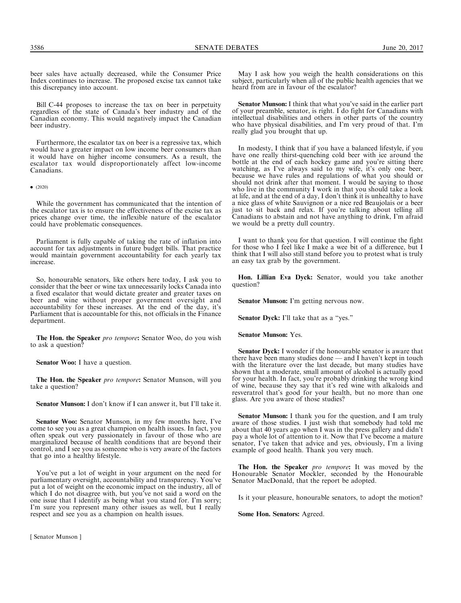beer sales have actually decreased, while the Consumer Price Index continues to increase. The proposed excise tax cannot take this discrepancy into account.

Bill C-44 proposes to increase the tax on beer in perpetuity regardless of the state of Canada's beer industry and of the Canadian economy. This would negatively impact the Canadian beer industry.

Furthermore, the escalator tax on beer is a regressive tax, which would have a greater impact on low income beer consumers than it would have on higher income consumers. As a result, the escalator tax would disproportionately affect low-income Canadians.

 $\bullet$  (2020)

While the government has communicated that the intention of the escalator tax is to ensure the effectiveness of the excise tax as prices change over time, the inflexible nature of the escalator could have problematic consequences.

Parliament is fully capable of taking the rate of inflation into account for tax adjustments in future budget bills. That practice would maintain government accountability for each yearly tax increase.

So, honourable senators, like others here today, I ask you to consider that the beer or wine tax unnecessarily locks Canada into a fixed escalator that would dictate greater and greater taxes on beer and wine without proper government oversight and accountability for these increases. At the end of the day, it's Parliament that is accountable for this, not officials in the Finance department.

The Hon. the Speaker pro tempore: Senator Woo, do you wish to ask a question?

Senator Woo: I have a question.

The Hon. the Speaker pro tempore: Senator Munson, will you take a question?

Senator Munson: I don't know if I can answer it, but I'll take it.

Senator Woo: Senator Munson, in my few months here, I've come to see you as a great champion on health issues. In fact, you often speak out very passionately in favour of those who are marginalized because of health conditions that are beyond their control, and I see you as someone who is very aware of the factors that go into a healthy lifestyle.

You've put a lot of weight in your argument on the need for parliamentary oversight, accountability and transparency. You've put a lot of weight on the economic impact on the industry, all of which I do not disagree with, but you've not said a word on the one issue that I identify as being what you stand for. I'm sorry; I'm sure you represent many other issues as well, but I really respect and see you as a champion on health issues.

[ Senator Munson ]

May I ask how you weigh the health considerations on this subject, particularly when all of the public health agencies that we heard from are in favour of the escalator?

Senator Munson: I think that what you've said in the earlier part of your preamble, senator, is right. I do fight for Canadians with intellectual disabilities and others in other parts of the country who have physical disabilities, and I'm very proud of that. I'm really glad you brought that up.

In modesty, I think that if you have a balanced lifestyle, if you have one really thirst-quenching cold beer with ice around the bottle at the end of each hockey game and you're sitting there watching, as I've always said to my wife, it's only one beer, because we have rules and regulations of what you should or should not drink after that moment. I would be saying to those who live in the community I work in that you should take a look at life, and at the end of a day, I don't think it is unhealthy to have a nice glass of white Sauvignon or a nice red Beaujolais or a beer just to sit back and relax. If you're talking about telling all Canadians to abstain and not have anything to drink, I'm afraid we would be a pretty dull country.

I want to thank you for that question. I will continue the fight for those who I feel like I make a wee bit of a difference, but I think that I will also still stand before you to protest what is truly an easy tax grab by the government.

Hon. Lillian Eva Dyck: Senator, would you take another question?

Senator Munson: I'm getting nervous now.

Senator Dyck: I'll take that as a "yes."

Senator Munson: Yes.

Senator Dyck: I wonder if the honourable senator is aware that there have been many studies done — and I haven't kept in touch with the literature over the last decade, but many studies have shown that a moderate, small amount of alcohol is actually good for your health. In fact, you're probably drinking the wrong kind of wine, because they say that it's red wine with alkaloids and resveratrol that's good for your health, but no more than one glass. Are you aware of those studies?

Senator Munson: I thank you for the question, and I am truly aware of those studies. I just wish that somebody had told me about that 40 years ago when I was in the press gallery and didn't pay a whole lot of attention to it. Now that I've become a mature senator, I've taken that advice and yes, obviously, I'm a living example of good health. Thank you very much.

The Hon. the Speaker pro tempore: It was moved by the Honourable Senator Mockler, seconded by the Honourable Senator MacDonald, that the report be adopted.

Is it your pleasure, honourable senators, to adopt the motion?

Some Hon. Senators: Agreed.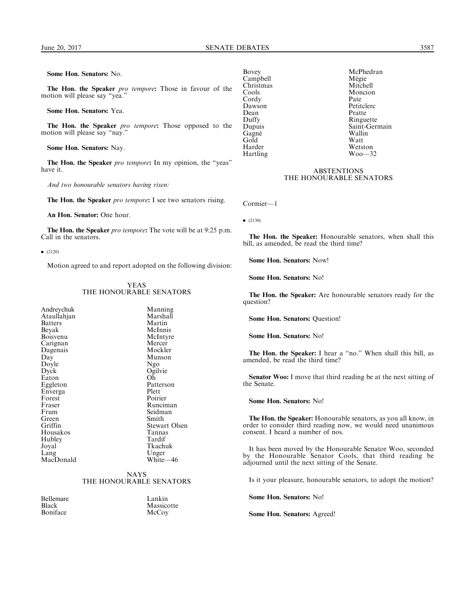Some Hon. Senators: No.

The Hon. the Speaker pro tempore: Those in favour of the motion will please say ''yea.''

Some Hon. Senators: Yea.

The Hon. the Speaker pro tempore: Those opposed to the motion will please say "nay."

Some Hon. Senators: Nay.

The Hon. the Speaker pro tempore: In my opinion, the "yeas" have it.

And two honourable senators having risen:

The Hon. the Speaker pro tempore: I see two senators rising.

An Hon. Senator: One hour.

The Hon. the Speaker pro tempore: The vote will be at 9:25 p.m. Call in the senators.

 $\bullet$  (2120)

Motion agreed to and report adopted on the following division:

## YEAS THE HONOURABLE SENATORS

| Andreychuk     | Manning              |
|----------------|----------------------|
| Ataullahjan    | Marshall             |
| <b>Batters</b> | Martin               |
| Beyak          | McInnis              |
| Boisvenu       | McIntyre             |
| Carignan       | Mercer               |
| Dagenais       | Mockler              |
| Day            | Munson               |
| Doyle          | Ngo                  |
| Dyck           | Ogilvie              |
| Eaton          | Oh                   |
| Eggleton       | Patterson            |
| Enverga        | Plett                |
| Forest         | Poirier              |
| Fraser         | Runciman             |
| Frum           | Seidman              |
| Green          | Smith                |
| Griffin        | <b>Stewart Olsen</b> |
| Housakos       | Tannas               |
| Hubley         | Tardif               |
| Joyal          | Tkachuk              |
| Lang           | Unger                |
| MacDonald      | White-46             |
|                |                      |

## NAYS THE HONOURABLE SENATORS

Bellemare Lankin<br>Black Massicc Boniface

Massicotte<br>McCoy

Christmas<br>Cools Cordy<br>Dawson Dean Pratte Gagné Wallin<br>Gold Watt Gold<br>Harder Hartling

Bovey McPhedran<br>Campbell Mégie Campbell Mégie Moncion<br>Pate Dawson Petitclerc<br>Dean Pratte Duffy Ringuette<br>Dupuis Saint-Geri Saint-Germain Wetston<br>Woo—32

## **ABSTENTIONS** THE HONOURABLE SENATORS

Cormier—1

 $\bullet$  (2130)

The Hon. the Speaker: Honourable senators, when shall this bill, as amended, be read the third time?

Some Hon. Senators: Now!

Some Hon. Senators: No!

The Hon. the Speaker: Are honourable senators ready for the question?

Some Hon. Senators: Question!

Some Hon. Senators: No!

The Hon. the Speaker: I hear a "no." When shall this bill, as amended, be read the third time?

Senator Woo: I move that third reading be at the next sitting of the Senate.

Some Hon. Senators: No!

The Hon. the Speaker: Honourable senators, as you all know, in order to consider third reading now, we would need unanimous consent. I heard a number of nos.

It has been moved by the Honourable Senator Woo, seconded by the Honourable Senator Cools, that third reading be adjourned until the next sitting of the Senate.

Is it your pleasure, honourable senators, to adopt the motion?

Some Hon. Senators: No!

Some Hon. Senators: Agreed!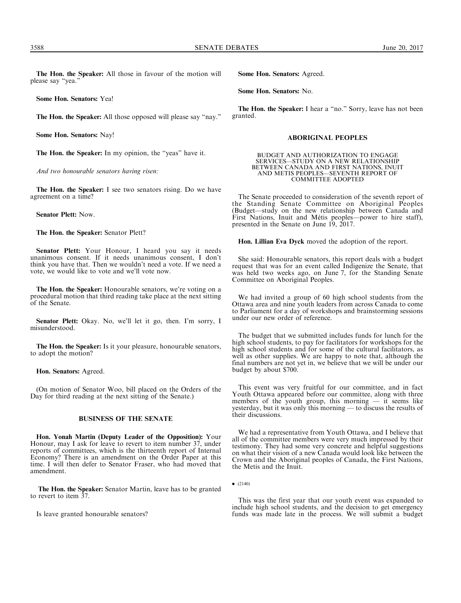The Hon. the Speaker: All those in favour of the motion will please say ''yea.''

Some Hon. Senators: Yea!

The Hon. the Speaker: All those opposed will please say ''nay.''

Some Hon. Senators: Nay!

The Hon. the Speaker: In my opinion, the "yeas" have it.

And two honourable senators having risen:

The Hon. the Speaker: I see two senators rising. Do we have agreement on a time?

Senator Plett: Now.

The Hon. the Speaker: Senator Plett?

Senator Plett: Your Honour, I heard you say it needs unanimous consent. If it needs unanimous consent, I don't think you have that. Then we wouldn't need a vote. If we need a vote, we would like to vote and we'll vote now.

The Hon. the Speaker: Honourable senators, we're voting on a procedural motion that third reading take place at the next sitting of the Senate.

Senator Plett: Okay. No, we'll let it go, then. I'm sorry, I misunderstood.

The Hon. the Speaker: Is it your pleasure, honourable senators, to adopt the motion?

Hon. Senators: Agreed.

(On motion of Senator Woo, bill placed on the Orders of the Day for third reading at the next sitting of the Senate.)

## BUSINESS OF THE SENATE

Hon. Yonah Martin (Deputy Leader of the Opposition): Your Honour, may I ask for leave to revert to item number 37, under reports of committees, which is the thirteenth report of Internal Economy? There is an amendment on the Order Paper at this time. I will then defer to Senator Fraser, who had moved that amendment.

The Hon. the Speaker: Senator Martin, leave has to be granted to revert to item 37.

Is leave granted honourable senators?

Some Hon. Senators: Agreed.

Some Hon. Senators: No.

The Hon. the Speaker: I hear a "no." Sorry, leave has not been granted.

## ABORIGINAL PEOPLES

BUDGET AND AUTHORIZATION TO ENGAGE SERVICES—STUDY ON A NEW RELATIONSHIP BETWEEN CANADA AND FIRST NATIONS, INUIT AND METIS PEOPLES—SEVENTH REPORT OF COMMITTEE ADOPTED

The Senate proceeded to consideration of the seventh report of the Standing Senate Committee on Aboriginal Peoples (Budget—study on the new relationship between Canada and First Nations, Inuit and Métis peoples—power to hire staff), presented in the Senate on June 19, 2017.

Hon. Lillian Eva Dyck moved the adoption of the report.

She said: Honourable senators, this report deals with a budget request that was for an event called Indigenize the Senate, that was held two weeks ago, on June 7, for the Standing Senate Committee on Aboriginal Peoples.

We had invited a group of 60 high school students from the Ottawa area and nine youth leaders from across Canada to come to Parliament for a day of workshops and brainstorming sessions under our new order of reference.

The budget that we submitted includes funds for lunch for the high school students, to pay for facilitators for workshops for the high school students and for some of the cultural facilitators, as well as other supplies. We are happy to note that, although the final numbers are not yet in, we believe that we will be under our budget by about \$700.

This event was very fruitful for our committee, and in fact Youth Ottawa appeared before our committee, along with three members of the youth group, this morning  $-$  it seems like yesterday, but it was only this morning — to discuss the results of their discussions.

We had a representative from Youth Ottawa, and I believe that all of the committee members were very much impressed by their testimony. They had some very concrete and helpful suggestions on what their vision of a new Canada would look like between the Crown and the Aboriginal peoples of Canada, the First Nations, the Metis and the Inuit.

This was the first year that our youth event was expanded to include high school students, and the decision to get emergency funds was made late in the process. We will submit a budget

 $\bullet$  (2140)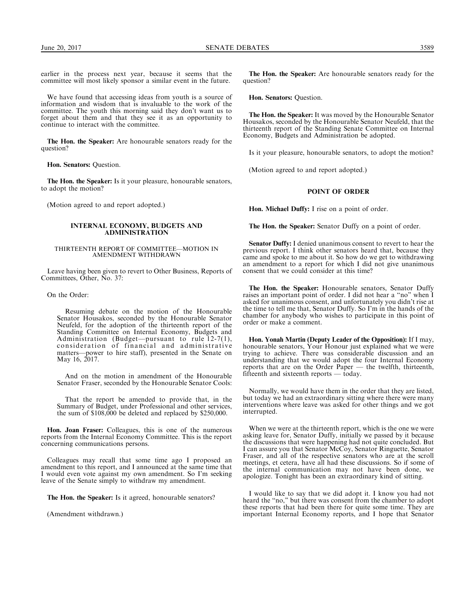earlier in the process next year, because it seems that the committee will most likely sponsor a similar event in the future.

We have found that accessing ideas from youth is a source of information and wisdom that is invaluable to the work of the committee. The youth this morning said they don't want us to forget about them and that they see it as an opportunity to continue to interact with the committee.

The Hon. the Speaker: Are honourable senators ready for the question?

Hon. Senators: Question.

The Hon. the Speaker: Is it your pleasure, honourable senators, to adopt the motion?

(Motion agreed to and report adopted.)

## INTERNAL ECONOMY, BUDGETS AND ADMINISTRATION

#### THIRTEENTH REPORT OF COMMITTEE—MOTION IN AMENDMENT WITHDRAWN

Leave having been given to revert to Other Business, Reports of Committees, Other, No. 37:

On the Order:

Resuming debate on the motion of the Honourable Senator Housakos, seconded by the Honourable Senator Neufeld, for the adoption of the thirteenth report of the Standing Committee on Internal Economy, Budgets and Administration (Budget—pursuant to rule 12-7(1), consideration of financial and administrative matters—power to hire staff), presented in the Senate on May 16, 2017.

And on the motion in amendment of the Honourable Senator Fraser, seconded by the Honourable Senator Cools:

That the report be amended to provide that, in the Summary of Budget, under Professional and other services, the sum of \$108,000 be deleted and replaced by \$250,000.

Hon. Joan Fraser: Colleagues, this is one of the numerous reports from the Internal Economy Committee. This is the report concerning communications persons.

Colleagues may recall that some time ago I proposed an amendment to this report, and I announced at the same time that I would even vote against my own amendment. So I'm seeking leave of the Senate simply to withdraw my amendment.

The Hon. the Speaker: Is it agreed, honourable senators?

(Amendment withdrawn.)

The Hon. the Speaker: Are honourable senators ready for the question?

Hon. Senators: Question.

The Hon. the Speaker: It was moved by the Honourable Senator Housakos, seconded by the Honourable Senator Neufeld, that the thirteenth report of the Standing Senate Committee on Internal Economy, Budgets and Administration be adopted.

Is it your pleasure, honourable senators, to adopt the motion?

(Motion agreed to and report adopted.)

## POINT OF ORDER

Hon. Michael Duffy: I rise on a point of order.

The Hon. the Speaker: Senator Duffy on a point of order.

Senator Duffy: I denied unanimous consent to revert to hear the previous report. I think other senators heard that, because they came and spoke to me about it. So how do we get to withdrawing an amendment to a report for which I did not give unanimous consent that we could consider at this time?

The Hon. the Speaker: Honourable senators, Senator Duffy raises an important point of order. I did not hear a ''no'' when I asked for unanimous consent, and unfortunately you didn't rise at the time to tell me that, Senator Duffy. So I'm in the hands of the chamber for anybody who wishes to participate in this point of order or make a comment.

Hon. Yonah Martin (Deputy Leader of the Opposition): If I may, honourable senators, Your Honour just explained what we were trying to achieve. There was considerable discussion and an understanding that we would adopt the four Internal Economy reports that are on the Order Paper — the twelfth, thirteenth, fifteenth and sixteenth reports — today.

Normally, we would have them in the order that they are listed, but today we had an extraordinary sitting where there were many interventions where leave was asked for other things and we got interrupted.

When we were at the thirteenth report, which is the one we were asking leave for, Senator Duffy, initially we passed by it because the discussions that were happening had not quite concluded. But I can assure you that Senator McCoy, Senator Ringuette, Senator Fraser, and all of the respective senators who are at the scroll meetings, et cetera, have all had these discussions. So if some of the internal communication may not have been done, we apologize. Tonight has been an extraordinary kind of sitting.

I would like to say that we did adopt it. I know you had not heard the "no," but there was consent from the chamber to adopt these reports that had been there for quite some time. They are important Internal Economy reports, and I hope that Senator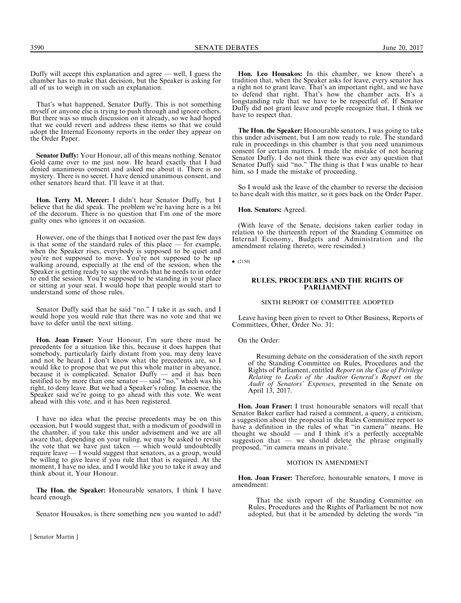3590 SENATE DEBATES June 20, 2017

Duffy will accept this explanation and agree — well, I guess the chamber has to make that decision, but the Speaker is asking for all of us to weigh in on such an explanation.

That's what happened, Senator Duffy. This is not something myself or anyone else is trying to push through and ignore others. But there was so much discussion on it already, so we had hoped that we could revert and address these items so that we could adopt the Internal Economy reports in the order they appear on the Order Paper.

Senator Duffy: Your Honour, all of this means nothing. Senator Gold came over to me just now. He heard exactly that I had denied unanimous consent and asked me about it. There is no mystery. There is no secret. I have denied unanimous consent, and other senators heard that. I'll leave it at that.

Hon. Terry M. Mercer: I didn't hear Senator Duffy, but I believe that he did speak. The problem we're having here is a bit of the decorum. There is no question that I'm one of the more guilty ones who ignores it on occasion.

However, one of the things that I noticed over the past few days is that some of the standard rules of this place — for example, when the Speaker rises, everybody is supposed to be quiet and you're not supposed to move. You're not supposed to be up walking around, especially at the end of the session, when the Speaker is getting ready to say the words that he needs to in order to end the session. You're supposed to be standing in your place or sitting at your seat. I would hope that people would start to understand some of those rules.

Senator Duffy said that he said "no." I take it as such, and I would hope you would rule that there was no vote and that we have to defer until the next sitting.

Hon. Joan Fraser: Your Honour, I'm sure there must be precedents for a situation like this, because it does happen that somebody, particularly fairly distant from you, may deny leave and not be heard. I don't know what the precedents are, so I would like to propose that we put this whole matter in abeyance, because it is complicated. Senator Duffy — and it has been testified to by more than one senator — said ''no,'' which was his right, to deny leave. But we had a Speaker's ruling. In essence, the Speaker said we're going to go ahead with this vote. We went ahead with this vote, and it has been registered.

I have no idea what the precise precedents may be on this occasion, but I would suggest that, with a modicum of goodwill in the chamber, if you take this under advisement and we are all aware that, depending on your ruling, we may be asked to revisit the vote that we have just taken — which would undoubtedly require leave — I would suggest that senators, as a group, would be willing to give leave if you rule that that is required. At the moment, I have no idea, and I would like you to take it away and think about it, Your Honour.

The Hon. the Speaker: Honourable senators, I think I have heard enough.

Senator Housakos, is there something new you wanted to add?

[ Senator Martin ]

Hon. Leo Housakos: In this chamber, we know there's a tradition that, when the Speaker asks for leave, every senator has a right not to grant leave. That's an important right, and we have to defend that right. That's how the chamber acts. It's a longstanding rule that we have to be respectful of. If Senator Duffy did not grant leave and people recognize that, I think we have to respect that.

The Hon. the Speaker: Honourable senators, I was going to take this under advisement, but I am now ready to rule. The standard rule in proceedings in this chamber is that you need unanimous consent for certain matters. I made the mistake of not hearing Senator Duffy. I do not think there was ever any question that Senator Duffy said ''no.'' The thing is that I was unable to hear him, so I made the mistake of proceeding.

So I would ask the leave of the chamber to reverse the decision to have dealt with this matter, so it goes back on the Order Paper.

Hon. Senators: Agreed.

(With leave of the Senate, decisions taken earlier today in relation to the thirteenth report of the Standing Committee on Internal Economy, Budgets and Administration and the amendment relating thereto, were rescinded.)

 $\bullet$  (2150)

## RULES, PROCEDURES AND THE RIGHTS OF PARLIAMENT

SIXTH REPORT OF COMMITTEE ADOPTED

Leave having been given to revert to Other Business, Reports of Committees, Other, Order No. 31:

On the Order:

Resuming debate on the consideration of the sixth report of the Standing Committee on Rules, Procedures and the Rights of Parliament, entitled Report on the Case of Privilege Relating to Leaks of the Auditor General's Report on the Audit of Senators' Expenses, presented in the Senate on April 13, 2017.

Hon. Joan Fraser: I trust honourable senators will recall that Senator Baker earlier had raised a comment, a query, a criticism, a suggestion about the proposal in the Rules Committee report to have a definition in the rules of what ''in camera'' means. He thought we should  $-$  and I think it's a perfectly acceptable suggestion that  $-$  we should delete the phrase originally proposed, ''in camera means in private.''

### MOTION IN AMENDMENT

Hon. Joan Fraser: Therefore, honourable senators, I move in amendment:

That the sixth report of the Standing Committee on Rules, Procedures and the Rights of Parliament be not now adopted, but that it be amended by deleting the words ''in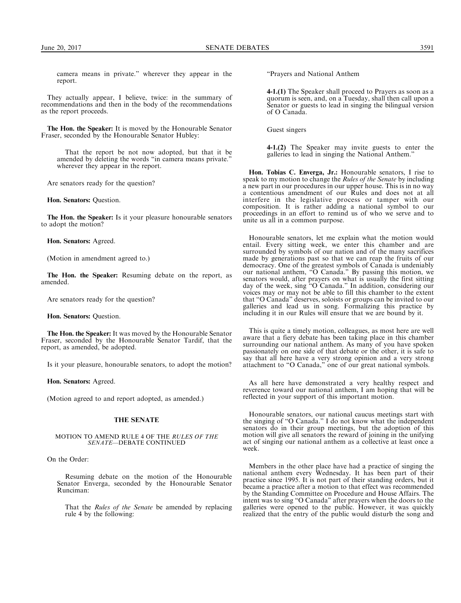camera means in private.'' wherever they appear in the report.

They actually appear, I believe, twice: in the summary of recommendations and then in the body of the recommendations as the report proceeds.

The Hon. the Speaker: It is moved by the Honourable Senator Fraser, seconded by the Honourable Senator Hubley:

That the report be not now adopted, but that it be amended by deleting the words ''in camera means private.'' wherever they appear in the report.

Are senators ready for the question?

Hon. Senators: Question.

The Hon. the Speaker: Is it your pleasure honourable senators to adopt the motion?

Hon. Senators: Agreed.

(Motion in amendment agreed to.)

The Hon. the Speaker: Resuming debate on the report, as amended.

Are senators ready for the question?

Hon. Senators: Question.

The Hon. the Speaker: It was moved by the Honourable Senator Fraser, seconded by the Honourable Senator Tardif, that the report, as amended, be adopted.

Is it your pleasure, honourable senators, to adopt the motion?

Hon. Senators: Agreed.

(Motion agreed to and report adopted, as amended.)

## THE SENATE

#### MOTION TO AMEND RULE 4 OF THE RULES OF THE SENATE—DEBATE CONTINUED

On the Order:

Resuming debate on the motion of the Honourable Senator Enverga, seconded by the Honourable Senator Runciman:

That the Rules of the Senate be amended by replacing rule 4 by the following:

''Prayers and National Anthem

4-1.(1) The Speaker shall proceed to Prayers as soon as a quorum is seen, and, on a Tuesday, shall then call upon a Senator or guests to lead in singing the bilingual version of O Canada.

Guest singers

4-1.(2) The Speaker may invite guests to enter the galleries to lead in singing the National Anthem.''

Hon. Tobias C. Enverga, Jr.: Honourable senators, I rise to speak to my motion to change the *Rules of the Senate* by including a new part in our procedures in our upper house. This is in no way a contentious amendment of our Rules and does not at all interfere in the legislative process or tamper with our composition. It is rather adding a national symbol to our proceedings in an effort to remind us of who we serve and to unite us all in a common purpose.

Honourable senators, let me explain what the motion would entail. Every sitting week, we enter this chamber and are surrounded by symbols of our nation and of the many sacrifices made by generations past so that we can reap the fruits of our democracy. One of the greatest symbols of Canada is undeniably our national anthem, ''O Canada.'' By passing this motion, we senators would, after prayers on what is usually the first sitting day of the week, sing ''O Canada.'' In addition, considering our voices may or may not be able to fill this chamber to the extent that ''O Canada'' deserves, soloists or groups can be invited to our galleries and lead us in song. Formalizing this practice by including it in our Rules will ensure that we are bound by it.

This is quite a timely motion, colleagues, as most here are well aware that a fiery debate has been taking place in this chamber surrounding our national anthem. As many of you have spoken passionately on one side of that debate or the other, it is safe to say that all here have a very strong opinion and a very strong attachment to ''O Canada,'' one of our great national symbols.

As all here have demonstrated a very healthy respect and reverence toward our national anthem, I am hoping that will be reflected in your support of this important motion.

Honourable senators, our national caucus meetings start with the singing of ''O Canada.'' I do not know what the independent senators do in their group meetings, but the adoption of this motion will give all senators the reward of joining in the unifying act of singing our national anthem as a collective at least once a week.

Members in the other place have had a practice of singing the national anthem every Wednesday. It has been part of their practice since 1995. It is not part of their standing orders, but it became a practice after a motion to that effect was recommended by the Standing Committee on Procedure and House Affairs. The intent was to sing ''O Canada'' after prayers when the doors to the galleries were opened to the public. However, it was quickly realized that the entry of the public would disturb the song and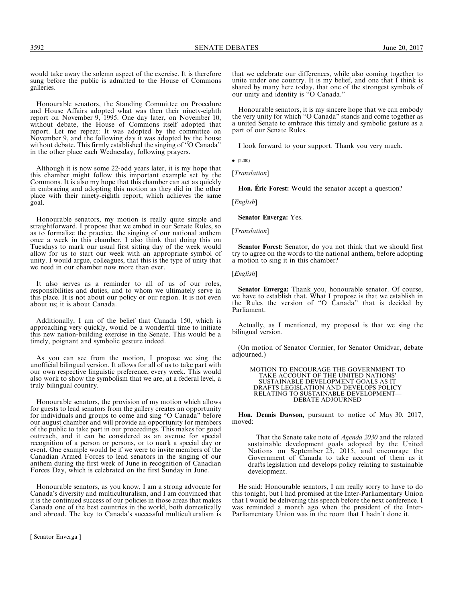3592 SENATE DEBATES June 20, 2017

would take away the solemn aspect of the exercise. It is therefore sung before the public is admitted to the House of Commons galleries.

Honourable senators, the Standing Committee on Procedure and House Affairs adopted what was then their ninety-eighth report on November 9, 1995. One day later, on November 10, without debate, the House of Commons itself adopted that report. Let me repeat: It was adopted by the committee on November 9, and the following day it was adopted by the house without debate. This firmly established the singing of ''O Canada'' in the other place each Wednesday, following prayers.

Although it is now some 22-odd years later, it is my hope that this chamber might follow this important example set by the Commons. It is also my hope that this chamber can act as quickly in embracing and adopting this motion as they did in the other place with their ninety-eighth report, which achieves the same goal.

Honourable senators, my motion is really quite simple and straightforward. I propose that we embed in our Senate Rules, so as to formalize the practice, the singing of our national anthem once a week in this chamber. I also think that doing this on Tuesdays to mark our usual first sitting day of the week would allow for us to start our week with an appropriate symbol of unity. I would argue, colleagues, that this is the type of unity that we need in our chamber now more than ever.

It also serves as a reminder to all of us of our roles, responsibilities and duties, and to whom we ultimately serve in this place. It is not about our policy or our region. It is not even about us; it is about Canada.

Additionally, I am of the belief that Canada 150, which is approaching very quickly, would be a wonderful time to initiate this new nation-building exercise in the Senate. This would be a timely, poignant and symbolic gesture indeed.

As you can see from the motion, I propose we sing the unofficial bilingual version. It allows for all of us to take part with our own respective linguistic preference, every week. This would also work to show the symbolism that we are, at a federal level, a truly bilingual country.

Honourable senators, the provision of my motion which allows for guests to lead senators from the gallery creates an opportunity for individuals and groups to come and sing ''O Canada'' before our august chamber and will provide an opportunity for members of the public to take part in our proceedings. This makes for good outreach, and it can be considered as an avenue for special recognition of a person or persons, or to mark a special day or event. One example would be if we were to invite members of the Canadian Armed Forces to lead senators in the singing of our anthem during the first week of June in recognition of Canadian Forces Day, which is celebrated on the first Sunday in June.

Honourable senators, as you know, I am a strong advocate for Canada's diversity and multiculturalism, and I am convinced that it is the continued success of our policies in those areas that makes Canada one of the best countries in the world, both domestically and abroad. The key to Canada's successful multiculturalism is

that we celebrate our differences, while also coming together to unite under one country. It is my belief, and one that  $\tilde{I}$  think is shared by many here today, that one of the strongest symbols of our unity and identity is ''O Canada.''

Honourable senators, it is my sincere hope that we can embody the very unity for which ''O Canada'' stands and come together as a united Senate to embrace this timely and symbolic gesture as a part of our Senate Rules.

I look forward to your support. Thank you very much.

 $\bullet$  (2200)

[Translation]

Hon. **É**ric Forest: Would the senator accept a question?

[*English*]

Senator Enverga: Yes.

#### [*Translation*]

Senator Forest: Senator, do you not think that we should first try to agree on the words to the national anthem, before adopting a motion to sing it in this chamber?

[*English*]

Senator Enverga: Thank you, honourable senator. Of course, we have to establish that. What I propose is that we establish in the Rules the version of ''O Canada'' that is decided by Parliament.

Actually, as I mentioned, my proposal is that we sing the bilingual version.

(On motion of Senator Cormier, for Senator Omidvar, debate adjourned.)

MOTION TO ENCOURAGE THE GOVERNMENT TO TAKE ACCOUNT OF THE UNITED NATIONS' SUSTAINABLE DEVELOPMENT GOALS AS IT DRAFTS LEGISLATION AND DEVELOPS POLICY RELATING TO SUSTAINABLE DEVELOPMENT— DEBATE ADJOURNED

Hon. Dennis Dawson, pursuant to notice of May 30, 2017, moved:

That the Senate take note of Agenda 2030 and the related sustainable development goals adopted by the United Nations on September 25, 2015, and encourage the Government of Canada to take account of them as it drafts legislation and develops policy relating to sustainable development.

He said: Honourable senators, I am really sorry to have to do this tonight, but I had promised at the Inter-Parliamentary Union that I would be delivering this speech before the next conference. I was reminded a month ago when the president of the Inter-Parliamentary Union was in the room that I hadn't done it.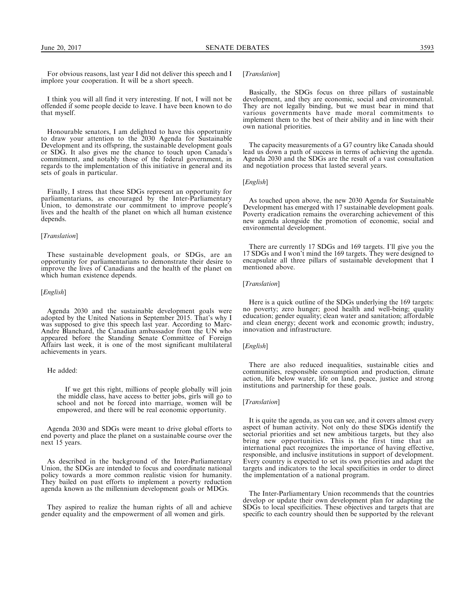For obvious reasons, last year I did not deliver this speech and I implore your cooperation. It will be a short speech.

I think you will all find it very interesting. If not, I will not be offended if some people decide to leave. I have been known to do that myself.

Honourable senators, I am delighted to have this opportunity to draw your attention to the 2030 Agenda for Sustainable Development and its offspring, the sustainable development goals or SDG. It also gives me the chance to touch upon Canada's commitment, and notably those of the federal government, in regards to the implementation of this initiative in general and its sets of goals in particular.

Finally, I stress that these SDGs represent an opportunity for parliamentarians, as encouraged by the Inter-Parliamentary Union, to demonstrate our commitment to improve people's lives and the health of the planet on which all human existence depends.

## [Translation]

These sustainable development goals, or SDGs, are an opportunity for parliamentarians to demonstrate their desire to improve the lives of Canadians and the health of the planet on which human existence depends.

## [*English*]

Agenda 2030 and the sustainable development goals were adopted by the United Nations in September 2015. That's why I was supposed to give this speech last year. According to Marc-Andre Blanchard, the Canadian ambassador from the UN who appeared before the Standing Senate Committee of Foreign Affairs last week, it is one of the most significant multilateral achievements in years.

## He added:

If we get this right, millions of people globally will join the middle class, have access to better jobs, girls will go to school and not be forced into marriage, women will be empowered, and there will be real economic opportunity.

Agenda 2030 and SDGs were meant to drive global efforts to end poverty and place the planet on a sustainable course over the next 15 years.

As described in the background of the Inter-Parliamentary Union, the SDGs are intended to focus and coordinate national policy towards a more common realistic vision for humanity. They bailed on past efforts to implement a poverty reduction agenda known as the millennium development goals or MDGs.

They aspired to realize the human rights of all and achieve gender equality and the empowerment of all women and girls.

## [Translation]

Basically, the SDGs focus on three pillars of sustainable development, and they are economic, social and environmental. They are not legally binding, but we must bear in mind that various governments have made moral commitments to implement them to the best of their ability and in line with their own national priorities.

The capacity measurements of a G7 country like Canada should lead us down a path of success in terms of achieving the agenda. Agenda 2030 and the SDGs are the result of a vast consultation and negotiation process that lasted several years.

## [English]

As touched upon above, the new 2030 Agenda for Sustainable Development has emerged with 17 sustainable development goals. Poverty eradication remains the overarching achievement of this new agenda alongside the promotion of economic, social and environmental development.

There are currently 17 SDGs and 169 targets. I'll give you the 17 SDGs and I won't mind the 169 targets. They were designed to encapsulate all three pillars of sustainable development that I mentioned above.

## [Translation]

Here is a quick outline of the SDGs underlying the 169 targets: no poverty; zero hunger; good health and well-being; quality education; gender equality; clean water and sanitation; affordable and clean energy; decent work and economic growth; industry, innovation and infrastructure.

#### [English]

There are also reduced inequalities, sustainable cities and communities, responsible consumption and production, climate action, life below water, life on land, peace, justice and strong institutions and partnership for these goals.

## [Translation]

It is quite the agenda, as you can see, and it covers almost every aspect of human activity. Not only do these SDGs identify the sectorial priorities and set new ambitious targets, but they also bring new opportunities. This is the first time that an international pact recognizes the importance of having effective, responsible, and inclusive institutions in support of development. Every country is expected to set its own priorities and adapt the targets and indicators to the local specificities in order to direct the implementation of a national program.

The Inter-Parliamentary Union recommends that the countries develop or update their own development plan for adapting the SDGs to local specificities. These objectives and targets that are specific to each country should then be supported by the relevant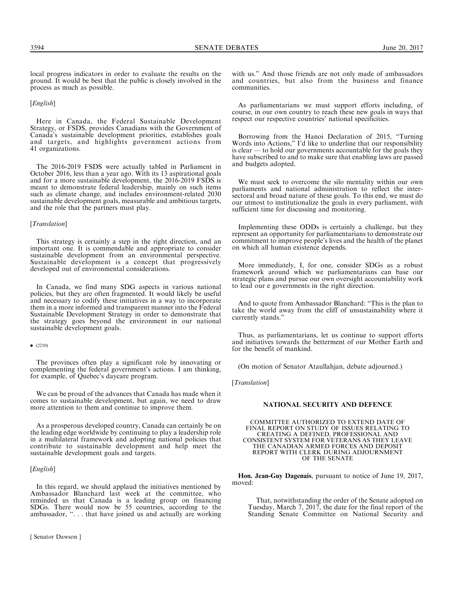local progress indicators in order to evaluate the results on the ground. It would be best that the public is closely involved in the process as much as possible.

#### [*English*]

Here in Canada, the Federal Sustainable Development Strategy, or FSDS, provides Canadians with the Government of Canada's sustainable development priorities, establishes goals and targets, and highlights government actions from 41 organizations.

The 2016-2019 FSDS were actually tabled in Parliament in October 2016, less than a year ago. With its 13 aspirational goals and for a more sustainable development, the 2016-2019 FSDS is meant to demonstrate federal leadership, mainly on such items such as climate change, and includes environment-related 2030 sustainable development goals, measurable and ambitious targets, and the role that the partners must play.

## [*Translation*]

This strategy is certainly a step in the right direction, and an important one. It is commendable and appropriate to consider sustainable development from an environmental perspective. Sustainable development is a concept that progressively developed out of environmental considerations.

In Canada, we find many SDG aspects in various national policies, but they are often fragmented. It would likely be useful and necessary to codify these initiatives in a way to incorporate them in a more informed and transparent manner into the Federal Sustainable Development Strategy in order to demonstrate that the strategy goes beyond the environment in our national sustainable development goals.

 $\bullet$  (2210)

The provinces often play a significant role by innovating or complementing the federal government's actions. I am thinking, for example, of Quebec's daycare program.

We can be proud of the advances that Canada has made when it comes to sustainable development, but again, we need to draw more attention to them and continue to improve them.

As a prosperous developed country, Canada can certainly be on the leading edge worldwide by continuing to play a leadership role in a multilateral framework and adopting national policies that contribute to sustainable development and help meet the sustainable development goals and targets.

## [*English*]

In this regard, we should applaud the initiatives mentioned by Ambassador Blanchard last week at the committee, who reminded us that Canada is a leading group on financing SDGs. There would now be 55 countries, according to the ambassador, ''. . . that have joined us and actually are working

[ Senator Dawson ]

with us.'' And those friends are not only made of ambassadors and countries, but also from the business and finance communities.

As parliamentarians we must support efforts including, of course, in our own country to reach these new goals in ways that respect our respective countries' national specificities.

Borrowing from the Hanoi Declaration of 2015, ''Turning Words into Actions," I'd like to underline that our responsibility is clear — to hold our governments accountable for the goals they have subscribed to and to make sure that enabling laws are passed and budgets adopted.

We must seek to overcome the silo mentality within our own parliaments and national administration to reflect the intersectoral and broad nature of these goals. To this end, we must do our utmost to institutionalize the goals in every parliament, with sufficient time for discussing and monitoring.

Implementing these ODDs is certainly a challenge, but they represent an opportunity for parliamentarians to demonstrate our commitment to improve people's lives and the health of the planet on which all human existence depends.

More immediately, I, for one, consider SDGs as a robust framework around which we parliamentarians can base our strategic plans and pursue our own oversight accountability work to lead our e governments in the right direction.

And to quote from Ambassador Blanchard: ''This is the plan to take the world away from the cliff of unsustainability where it currently stands.''

Thus, as parliamentarians, let us continue to support efforts and initiatives towards the betterment of our Mother Earth and for the benefit of mankind.

(On motion of Senator Ataullahjan, debate adjourned.)

[Translation]

## NATIONAL SECURITY AND DEFENCE

COMMITTEE AUTHORIZED TO EXTEND DATE OF FINAL REPORT ON STUDY OF ISSUES RELATING TO CREATING A DEFINED, PROFESSIONAL AND CONSISTENT SYSTEM FOR VETERANS AS THEY LEAVE THE CANADIAN ARMED FORCES AND DEPOSIT REPORT WITH CLERK DURING ADJOURNMENT OF THE SENATE

Hon. Jean-Guy Dagenais, pursuant to notice of June 19, 2017, moved:

That, notwithstanding the order of the Senate adopted on Tuesday, March 7, 2017, the date for the final report of the Standing Senate Committee on National Security and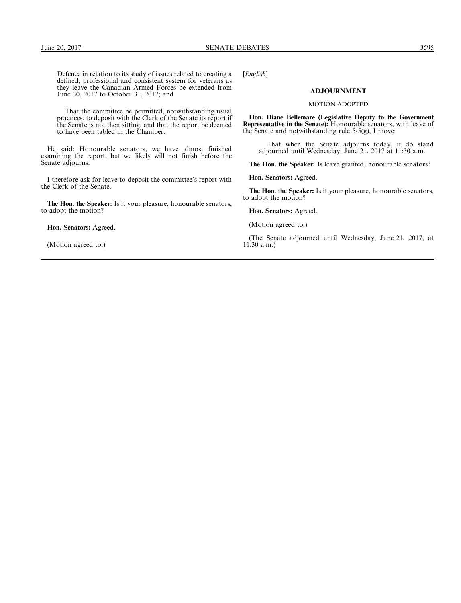Defence in relation to its study of issues related to creating a defined, professional and consistent system for veterans as they leave the Canadian Armed Forces be extended from June 30, 2017 to October 31, 2017; and

That the committee be permitted, notwithstanding usual practices, to deposit with the Clerk of the Senate its report if the Senate is not then sitting, and that the report be deemed to have been tabled in the Chamber.

He said: Honourable senators, we have almost finished examining the report, but we likely will not finish before the Senate adjourns.

I therefore ask for leave to deposit the committee's report with the Clerk of the Senate.

The Hon. the Speaker: Is it your pleasure, honourable senators, to adopt the motion?

Hon. Senators: Agreed.

(Motion agreed to.)

[*English*]

## ADJOURNMENT

#### MOTION ADOPTED

Hon. Diane Bellemare (Legislative Deputy to the Government Representative in the Senate): Honourable senators, with leave of the Senate and notwithstanding rule 5-5(g), I move:

That when the Senate adjourns today, it do stand adjourned until Wednesday, June 21, 2017 at 11:30 a.m.

The Hon. the Speaker: Is leave granted, honourable senators?

Hon. Senators: Agreed.

The Hon. the Speaker: Is it your pleasure, honourable senators, to adopt the motion?

Hon. Senators: Agreed.

(Motion agreed to.)

(The Senate adjourned until Wednesday, June 21, 2017, at 11:30 a.m.)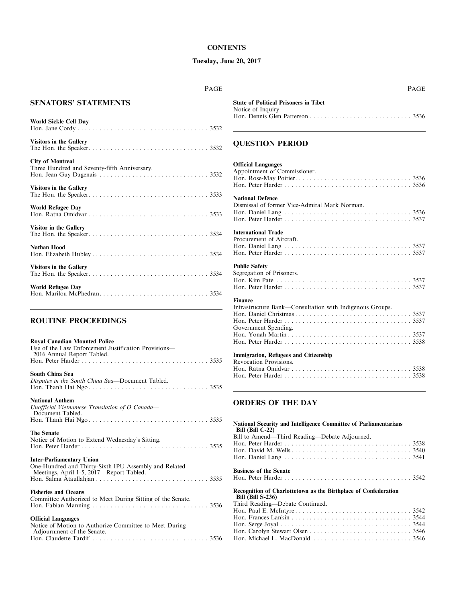# **CONTENTS**

# Tuesday, June 20, 2017

PAGE

# SENATORS' STATEMENTS

| World Sickle Cell Day                                                   |
|-------------------------------------------------------------------------|
| <b>Visitors in the Gallery</b>                                          |
| <b>City of Montreal</b><br>Three Hundred and Seventy-fifth Anniversary. |
| <b>Visitors in the Gallery</b>                                          |
| <b>World Refugee Day</b>                                                |
| Visitor in the Gallery                                                  |
| <b>Nathan Hood</b>                                                      |
| <b>Visitors in the Gallery</b>                                          |
| <b>World Refugee Day</b>                                                |

# ROUTINE PROCEEDINGS

| <b>Royal Canadian Mounted Police</b>                                                              |
|---------------------------------------------------------------------------------------------------|
| Use of the Law Enforcement Justification Provisions—<br>2016 Annual Report Tabled.                |
|                                                                                                   |
| South China Sea                                                                                   |
| Disputes in the South China Sea-Document Tabled.                                                  |
| <b>National Anthem</b>                                                                            |
| Unofficial Vietnamese Translation of O Canada-<br>Document Tabled.                                |
|                                                                                                   |
| <b>The Senate</b>                                                                                 |
| Notice of Motion to Extend Wednesday's Sitting.                                                   |
| <b>Inter-Parliamentary Union</b>                                                                  |
| One-Hundred and Thirty-Sixth IPU Assembly and Related<br>Meetings, April 1-5, 2017—Report Tabled. |
|                                                                                                   |
| <b>Fisheries and Oceans</b>                                                                       |
| Committee Authorized to Meet During Sitting of the Senate.                                        |
|                                                                                                   |
| <b>Official Languages</b>                                                                         |
| Notice of Motion to Authorize Committee to Meet During<br>Adjournment of the Senate.              |

Hon. Claudette Tardif . . . . . . . . . . . . . . . . . . . . . . . . . . . . . . . . 3536

|                                              | <b>PAGE</b> |
|----------------------------------------------|-------------|
| <b>State of Political Prisoners in Tibet</b> |             |
| Notice of Inquiry.                           |             |
|                                              |             |

# QUESTION PERIOD

# Official Languages

| Appointment of Commissioner.                                                                       |
|----------------------------------------------------------------------------------------------------|
| <b>National Defence</b><br>Dismissal of former Vice-Admiral Mark Norman.                           |
| <b>International Trade</b><br>Procurement of Aircraft.                                             |
| <b>Public Safety</b><br>Segregation of Prisoners.                                                  |
| <b>Finance</b><br>Infrastructure Bank—Consultation with Indigenous Groups.<br>Government Spending. |
| <b>Immigration, Refugees and Citizenship</b><br>Revocation Provisions.                             |

# ORDERS OF THE DAY

| <b>National Security and Intelligence Committee of Parliamentarians</b><br>Bill $(Bill C-22)$ |
|-----------------------------------------------------------------------------------------------|
| Bill to Amend—Third Reading—Debate Adjourned.                                                 |
|                                                                                               |
|                                                                                               |
|                                                                                               |
| <b>Business of the Senate</b>                                                                 |
|                                                                                               |
|                                                                                               |
| Recognition of Charlottetown as the Birthplace of Confederation<br><b>Bill (Bill S-236)</b>   |
| Third Reading—Debate Continued.                                                               |
|                                                                                               |
|                                                                                               |
|                                                                                               |
|                                                                                               |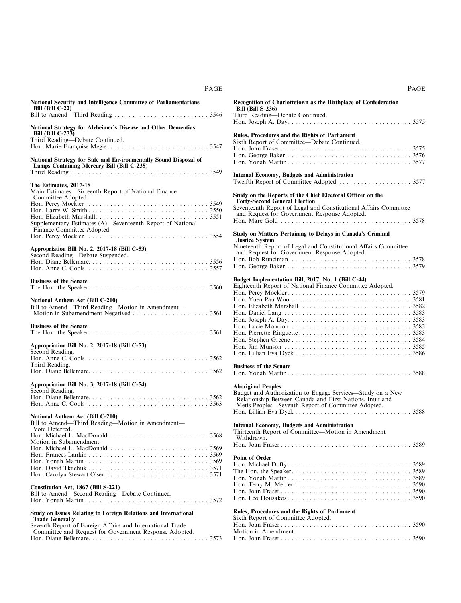| National Security and Intelligence Committee of Parliamentarians<br>Bill (Bill $C-22$ )                                                                |  |
|--------------------------------------------------------------------------------------------------------------------------------------------------------|--|
| National Strategy for Alzheimer's Disease and Other Dementias<br><b>Bill (Bill C-233)</b>                                                              |  |
| Third Reading-Debate Continued.                                                                                                                        |  |
| National Strategy for Safe and Environmentally Sound Disposal of<br>Lamps Containing Mercury Bill (Bill C-238)                                         |  |
| The Estimates, 2017-18<br>Main Estimates—Sixteenth Report of National Finance<br>Committee Adopted.                                                    |  |
| Supplementary Estimates (A)-Seventeenth Report of National                                                                                             |  |
| Appropriation Bill No. 2, 2017-18 (Bill C-53)                                                                                                          |  |
| Second Reading-Debate Suspended.                                                                                                                       |  |
| <b>Business of the Senate</b>                                                                                                                          |  |
| National Anthem Act (Bill C-210)<br>Bill to Amend-Third Reading-Motion in Amendment-                                                                   |  |
| <b>Business of the Senate</b>                                                                                                                          |  |
| Appropriation Bill No. 2, 2017-18 (Bill C-53)<br>Second Reading.                                                                                       |  |
| Third Reading.                                                                                                                                         |  |
| Appropriation Bill No. 3, 2017-18 (Bill C-54)                                                                                                          |  |
| Second Reading.                                                                                                                                        |  |
| National Anthem Act (Bill C-210)<br>Bill to Amend-Third Reading-Motion in Amendment-                                                                   |  |
| Vote Deferred.<br>Motion in Subamendment.                                                                                                              |  |
|                                                                                                                                                        |  |
| Constitution Act, 1867 (Bill S-221)<br>Bill to Amend-Second Reading-Debate Continued.                                                                  |  |
| Study on Issues Relating to Foreign Relations and International<br><b>Trade Generally</b><br>Seventh Report of Foreign Affairs and International Trade |  |
| Committee and Request for Government Response Adopted.                                                                                                 |  |

| Recognition of Charlottetown as the Birthplace of Confederation<br><b>Bill (Bill S-236)</b><br>Third Reading-Debate Continued.                                                                                                                                                                                                                                                                                      |  |
|---------------------------------------------------------------------------------------------------------------------------------------------------------------------------------------------------------------------------------------------------------------------------------------------------------------------------------------------------------------------------------------------------------------------|--|
|                                                                                                                                                                                                                                                                                                                                                                                                                     |  |
| Rules, Procedures and the Rights of Parliament<br>Sixth Report of Committee-Debate Continued.                                                                                                                                                                                                                                                                                                                       |  |
|                                                                                                                                                                                                                                                                                                                                                                                                                     |  |
| <b>Internal Economy, Budgets and Administration</b>                                                                                                                                                                                                                                                                                                                                                                 |  |
| Study on the Reports of the Chief Electoral Officer on the                                                                                                                                                                                                                                                                                                                                                          |  |
| <b>Forty-Second General Election</b><br>Seventeenth Report of Legal and Constitutional Affairs Committee<br>and Request for Government Response Adopted.                                                                                                                                                                                                                                                            |  |
|                                                                                                                                                                                                                                                                                                                                                                                                                     |  |
| <b>Study on Matters Pertaining to Delays in Canada's Criminal</b><br><b>Justice System</b>                                                                                                                                                                                                                                                                                                                          |  |
| Nineteenth Report of Legal and Constitutional Affairs Committee<br>and Request for Government Response Adopted.                                                                                                                                                                                                                                                                                                     |  |
|                                                                                                                                                                                                                                                                                                                                                                                                                     |  |
| Budget Implementation Bill, 2017, No. 1 (Bill C-44)                                                                                                                                                                                                                                                                                                                                                                 |  |
| Eighteenth Report of National Finance Committee Adopted.<br><b>Business of the Senate</b><br><b>Aboriginal Peoples</b><br>Budget and Authorization to Engage Services—Study on a New<br>Relationship Between Canada and First Nations, Inuit and<br>Metis Peoples—Seventh Report of Committee Adopted.<br><b>Internal Economy, Budgets and Administration</b><br>Thirteenth Report of Committee-Motion in Amendment |  |
| Withdrawn.                                                                                                                                                                                                                                                                                                                                                                                                          |  |
|                                                                                                                                                                                                                                                                                                                                                                                                                     |  |
| <b>Point of Order</b>                                                                                                                                                                                                                                                                                                                                                                                               |  |
| Rules, Procedures and the Rights of Parliament                                                                                                                                                                                                                                                                                                                                                                      |  |
| Sixth Report of Committee Adopted.<br>Motion in Amendment.                                                                                                                                                                                                                                                                                                                                                          |  |

Hon. Joan Fraser . . . . . . . . . . . . . . . . . . . . . . . . . . . . . . . . . . . . 3590

PAGE

PAGE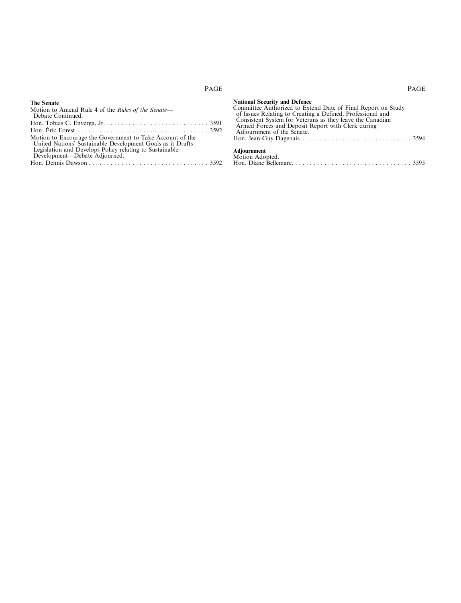# PAGE

## The Senate

# PAGE

| Motion to Amend Rule 4 of the <i>Rules of the Senate</i> —<br>Debate Continued.                                       |  |
|-----------------------------------------------------------------------------------------------------------------------|--|
|                                                                                                                       |  |
|                                                                                                                       |  |
| Motion to Encourage the Government to Take Account of the                                                             |  |
| United Nations' Sustainable Development Goals as it Drafts<br>Legislation and Develops Policy relating to Sustainable |  |
| Development—Debate Adjourned.                                                                                         |  |
|                                                                                                                       |  |

| <b>National Security and Defence</b>                         |  |
|--------------------------------------------------------------|--|
| Committee Authorized to Extend Date of Final Report on Study |  |
| of Issues Relating to Creating a Defined, Professional and   |  |
| Consistent System for Veterans as they leave the Canadian    |  |
| Armed Forces and Deposit Report with Clerk during            |  |
| Adjournment of the Senate.                                   |  |
|                                                              |  |
| Adjournment                                                  |  |
| Motion Adopted.                                              |  |
|                                                              |  |